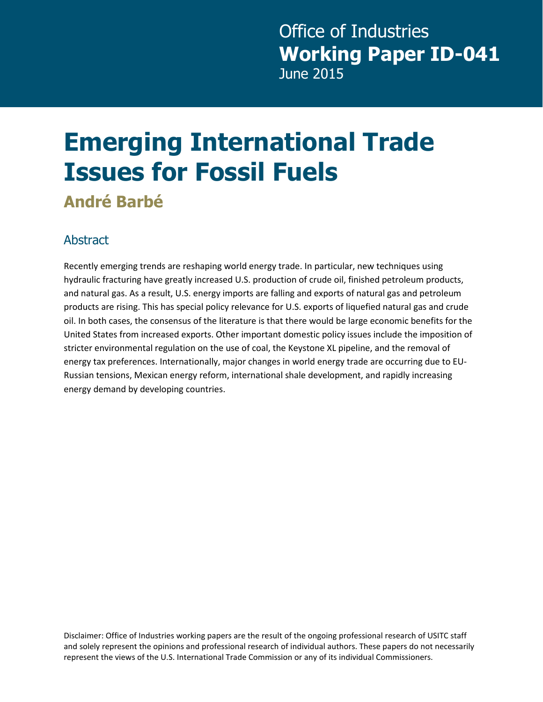## **Emerging International Trade Issues for Fossil Fuels**

**André Barbé** 

#### Abstract

Recently emerging trends are reshaping world energy trade. In particular, new techniques using hydraulic fracturing have greatly increased U.S. production of crude oil, finished petroleum products, and natural gas. As a result, U.S. energy imports are falling and exports of natural gas and petroleum products are rising. This has special policy relevance for U.S. exports of liquefied natural gas and crude oil. In both cases, the consensus of the literature is that there would be large economic benefits for the United States from increased exports. Other important domestic policy issues include the imposition of stricter environmental regulation on the use of coal, the Keystone XL pipeline, and the removal of energy tax preferences. Internationally, major changes in world energy trade are occurring due to EU-Russian tensions, Mexican energy reform, international shale development, and rapidly increasing energy demand by developing countries.

Disclaimer: Office of Industries working papers are the result of the ongoing professional research of USITC staff and solely represent the opinions and professional research of individual authors. These papers do not necessarily represent the views of the U.S. International Trade Commission or any of its individual Commissioners.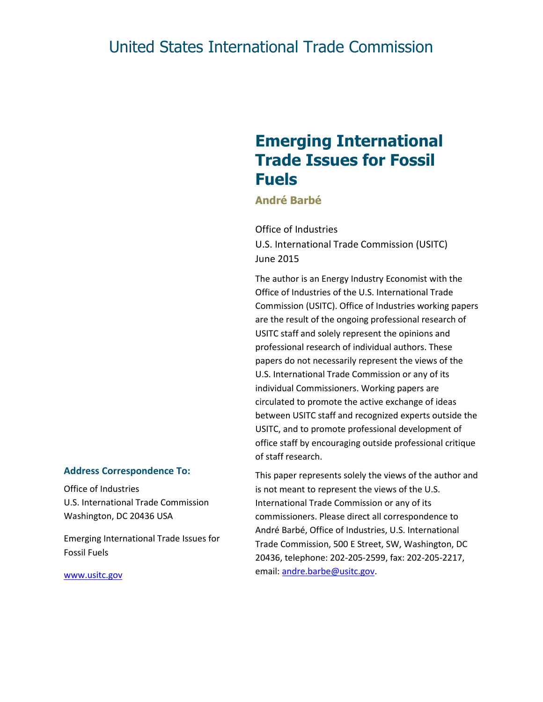#### United States International Trade Commission

#### **Emerging International Trade Issues for Fossil Fuels**

**André Barbé**

Office of Industries U.S. International Trade Commission (USITC) June 2015

The author is an Energy Industry Economist with the Office of Industries of the U.S. International Trade Commission (USITC). Office of Industries working papers are the result of the ongoing professional research of USITC staff and solely represent the opinions and professional research of individual authors. These papers do not necessarily represent the views of the U.S. International Trade Commission or any of its individual Commissioners. Working papers are circulated to promote the active exchange of ideas between USITC staff and recognized experts outside the USITC, and to promote professional development of office staff by encouraging outside professional critique of staff research.

This paper represents solely the views of the author and is not meant to represent the views of the U.S. International Trade Commission or any of its commissioners. Please direct all correspondence to André Barbé, Office of Industries, U.S. International Trade Commission, 500 E Street, SW, Washington, DC 20436, telephone: 202-205-2599, fax: 202-205-2217, email: [andre.barbe@usitc.gov.](mailto:andre.barbe@usitc.gov)

#### **Address Correspondence To:**

Office of Industries U.S. International Trade Commission Washington, DC 20436 USA

Emerging International Trade Issues for Fossil Fuels

[www.usitc.gov](http://www.usitc.gov/)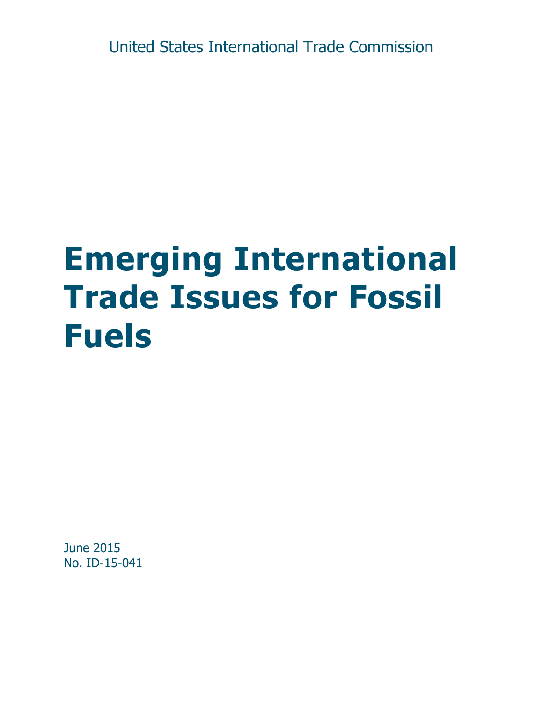United States International Trade Commission

# **Emerging International Trade Issues for Fossil Fuels**

June 2015 No. ID-15-041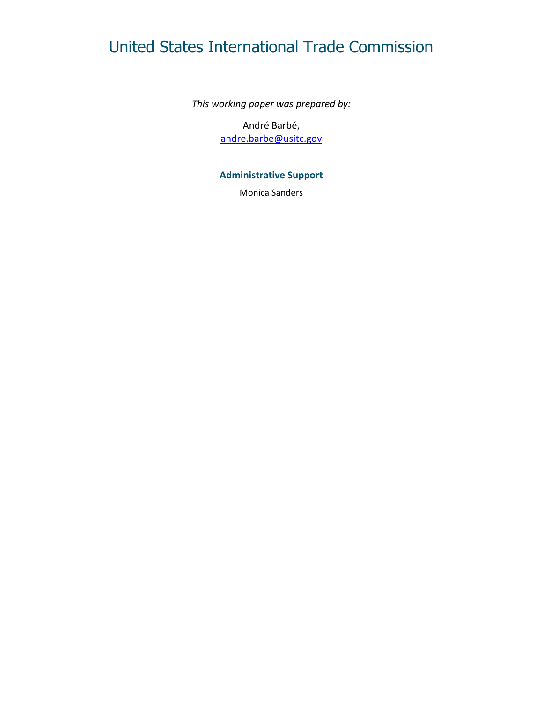#### United States International Trade Commission

*This working paper was prepared by:*

André Barbé, [andre.barbe@usitc.gov](mailto:andre.barbe@usitc.gov)

#### **Administrative Support**

Monica Sanders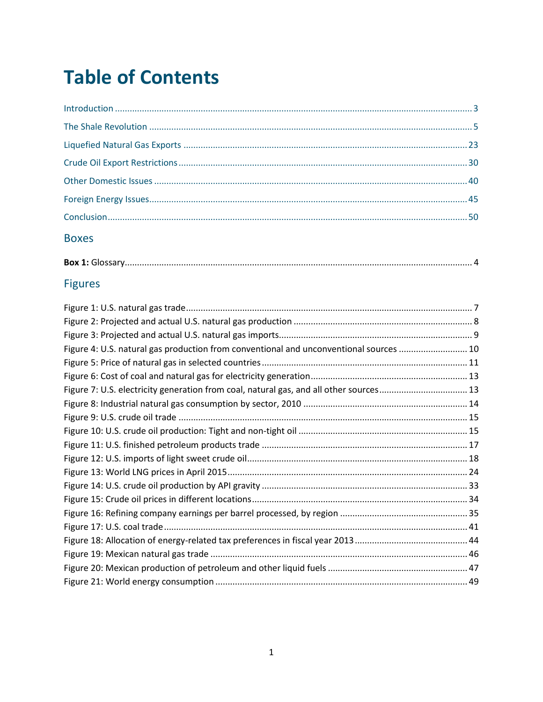### **Table of Contents**

#### **Boxes**

|--|--|

#### **Figures**

| Figure 4: U.S. natural gas production from conventional and unconventional sources  10 |  |
|----------------------------------------------------------------------------------------|--|
|                                                                                        |  |
|                                                                                        |  |
| Figure 7: U.S. electricity generation from coal, natural gas, and all other sources 13 |  |
|                                                                                        |  |
|                                                                                        |  |
|                                                                                        |  |
|                                                                                        |  |
|                                                                                        |  |
|                                                                                        |  |
|                                                                                        |  |
|                                                                                        |  |
|                                                                                        |  |
|                                                                                        |  |
|                                                                                        |  |
|                                                                                        |  |
|                                                                                        |  |
|                                                                                        |  |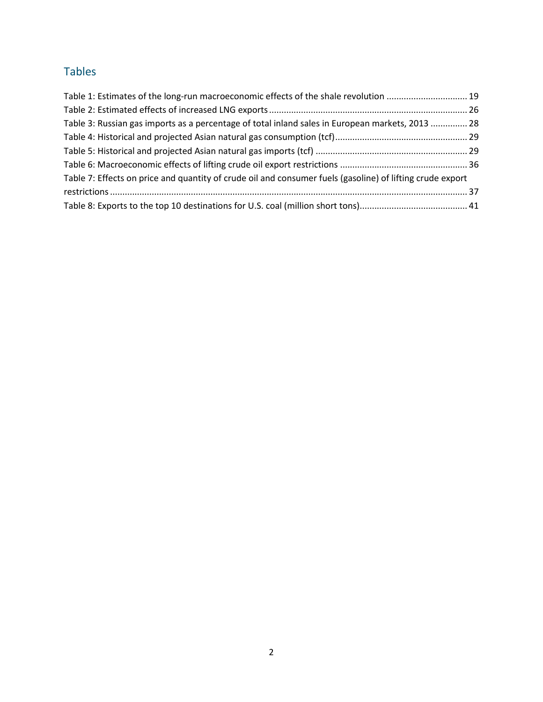#### Tables

| Table 1: Estimates of the long-run macroeconomic effects of the shale revolution  19                      |  |
|-----------------------------------------------------------------------------------------------------------|--|
|                                                                                                           |  |
| Table 3: Russian gas imports as a percentage of total inland sales in European markets, 2013  28          |  |
|                                                                                                           |  |
|                                                                                                           |  |
|                                                                                                           |  |
| Table 7: Effects on price and quantity of crude oil and consumer fuels (gasoline) of lifting crude export |  |
|                                                                                                           |  |
|                                                                                                           |  |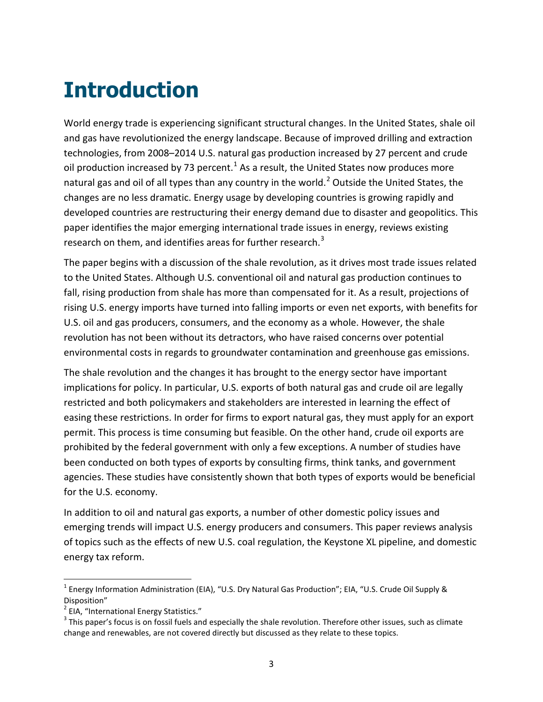## <span id="page-6-0"></span>**Introduction**

World energy trade is experiencing significant structural changes. In the United States, shale oil and gas have revolutionized the energy landscape. Because of improved drilling and extraction technologies, from 2008–2014 U.S. natural gas production increased by 27 percent and crude oil production increased by 73 percent.<sup>[1](#page-6-1)</sup> As a result, the United States now produces more natural gas and oil of all types than any country in the world.<sup>[2](#page-6-2)</sup> Outside the United States, the changes are no less dramatic. Energy usage by developing countries is growing rapidly and developed countries are restructuring their energy demand due to disaster and geopolitics. This paper identifies the major emerging international trade issues in energy, reviews existing research on them, and identifies areas for further research.<sup>[3](#page-6-3)</sup>

The paper begins with a discussion of the shale revolution, as it drives most trade issues related to the United States. Although U.S. conventional oil and natural gas production continues to fall, rising production from shale has more than compensated for it. As a result, projections of rising U.S. energy imports have turned into falling imports or even net exports, with benefits for U.S. oil and gas producers, consumers, and the economy as a whole. However, the shale revolution has not been without its detractors, who have raised concerns over potential environmental costs in regards to groundwater contamination and greenhouse gas emissions.

The shale revolution and the changes it has brought to the energy sector have important implications for policy. In particular, U.S. exports of both natural gas and crude oil are legally restricted and both policymakers and stakeholders are interested in learning the effect of easing these restrictions. In order for firms to export natural gas, they must apply for an export permit. This process is time consuming but feasible. On the other hand, crude oil exports are prohibited by the federal government with only a few exceptions. A number of studies have been conducted on both types of exports by consulting firms, think tanks, and government agencies. These studies have consistently shown that both types of exports would be beneficial for the U.S. economy.

In addition to oil and natural gas exports, a number of other domestic policy issues and emerging trends will impact U.S. energy producers and consumers. This paper reviews analysis of topics such as the effects of new U.S. coal regulation, the Keystone XL pipeline, and domestic energy tax reform.

<span id="page-6-1"></span><sup>&</sup>lt;sup>1</sup> Energy Information Administration (EIA), "U.S. Dry Natural Gas Production"; EIA, "U.S. Crude Oil Supply & Disposition"

<span id="page-6-2"></span><sup>&</sup>lt;sup>2</sup> EIA, "International Energy Statistics."

<span id="page-6-3"></span> $3$  This paper's focus is on fossil fuels and especially the shale revolution. Therefore other issues, such as climate change and renewables, are not covered directly but discussed as they relate to these topics.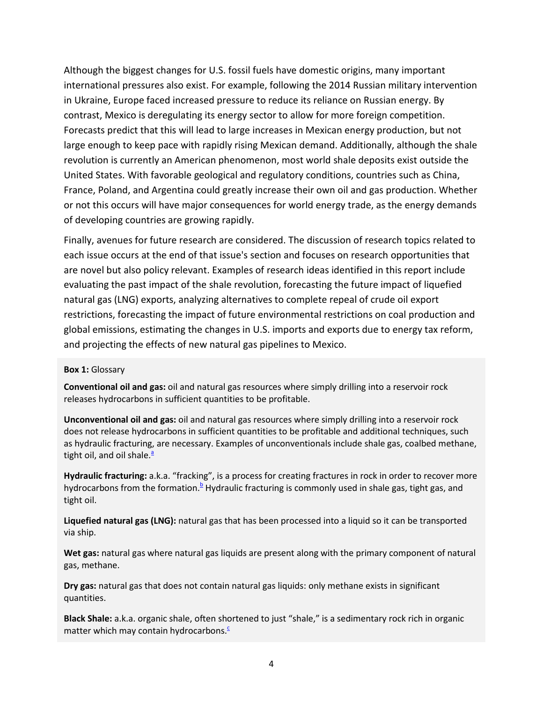Although the biggest changes for U.S. fossil fuels have domestic origins, many important international pressures also exist. For example, following the 2014 Russian military intervention in Ukraine, Europe faced increased pressure to reduce its reliance on Russian energy. By contrast, Mexico is deregulating its energy sector to allow for more foreign competition. Forecasts predict that this will lead to large increases in Mexican energy production, but not large enough to keep pace with rapidly rising Mexican demand. Additionally, although the shale revolution is currently an American phenomenon, most world shale deposits exist outside the United States. With favorable geological and regulatory conditions, countries such as China, France, Poland, and Argentina could greatly increase their own oil and gas production. Whether or not this occurs will have major consequences for world energy trade, as the energy demands of developing countries are growing rapidly.

Finally, avenues for future research are considered. The discussion of research topics related to each issue occurs at the end of that issue's section and focuses on research opportunities that are novel but also policy relevant. Examples of research ideas identified in this report include evaluating the past impact of the shale revolution, forecasting the future impact of liquefied natural gas (LNG) exports, analyzing alternatives to complete repeal of crude oil export restrictions, forecasting the impact of future environmental restrictions on coal production and global emissions, estimating the changes in U.S. imports and exports due to energy tax reform, and projecting the effects of new natural gas pipelines to Mexico.

#### <span id="page-7-0"></span>**Box 1:** Glossary

**Conventional oil and gas:** oil and natural gas resources where simply drilling into a reservoir rock releases hydrocarbons in sufficient quantities to be profitable.

**Unconventional oil and gas:** oil and natural gas resources where simply drilling into a reservoir rock does not release hydrocarbons in sufficient quantities to be profitable and additional techniques, such as hydraulic fracturing, are necessary. Examples of unconventionals include shale gas, coalbed methane, tight oil, and oil shale[.](#page-8-1) $a^2$ 

**Hydraulic fracturing:** a.k.a. "fracking", is a process for creating fractures in rock in order to recover more hydrocarbons from the formation.<sup>b</sup> Hydraulic fracturing is commonly used in shale gas, tight gas, and tight oil.

**Liquefied natural gas (LNG):** natural gas that has been processed into a liquid so it can be transported via ship.

**Wet gas:** natural gas where natural gas liquids are present along with the primary component of natural gas, methane.

**Dry gas:** natural gas that does not contain natural gas liquids: only methane exists in significant quantities.

**Black Shale:** a.k.a. organic shale, often shortened to just "shale," is a sedimentary rock rich in organic matter which may contain hydrocarbons[.](#page-8-3) $\frac{c}{x}$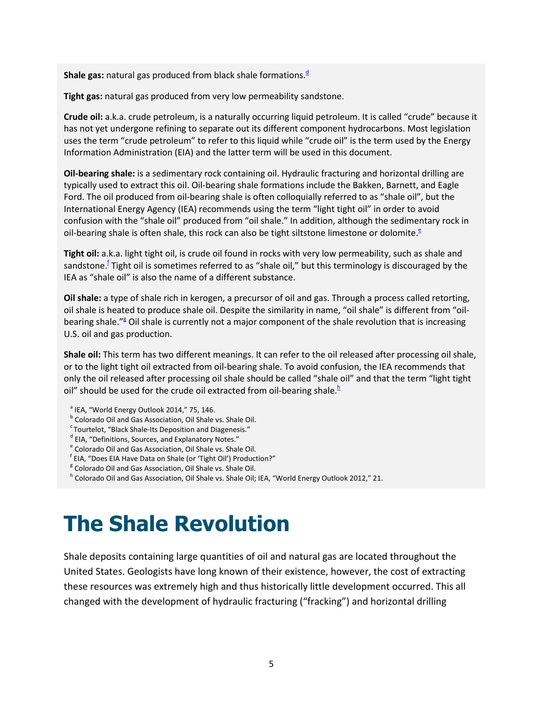**Shale gas:** natural gas pro[d](#page-8-4)uced from black shale formations.<sup>d</sup>

**Tight gas:** natural gas produced from very low permeability sandstone.

**Crude oil:** a.k.a. crude petroleum, is a naturally occurring liquid petroleum. It is called "crude" because it has not yet undergone refining to separate out its different component hydrocarbons. Most legislation uses the term "crude petroleum" to refer to this liquid while "crude oil" is the term used by the Energy Information Administration (EIA) and the latter term will be used in this document.

**Oil-bearing shale:** is a sedimentary rock containing oil. Hydraulic fracturing and horizontal drilling are typically used to extract this oil. Oil-bearing shale formations include the Bakken, Barnett, and Eagle Ford. The oil produced from oil-bearing shale is often colloquially referred to as "shale oil", but the International Energy Agency (IEA) recommends using the term "light tight oil" in order to avoid confusion with the "shale oil" produced from "oil shale." In addition, although the sedimentary rock in oil-bearing shale is often shale, this rock can also be tight siltstone limestone or dolomite[.](#page-8-5)<sup> $\epsilon$ </sup>

**Tight oil:** a.k.a. light tight oil, is crude oil found in rocks with very low permeability, such as shale and sandstone.<sup>f</sup> Tight oil is sometimes referred to as "shale oil," but this terminology is discouraged by the IEA as "shale oil" is also the name of a different substance.

**Oil shale:** a type of shale rich in kerogen, a precursor of oil and gas. Through a process called retorting, oil shale is heated to produce shale oil. Despite the similarity in name, "oil shale" is different from "oil-bearing shale.["](#page-8-7)<sup>*E*</sup> Oil shale is currently not a major component of the shale revolution that is increasing U.S. oil and gas production.

**Shale oil:** This term has two different meanings. It can refer to the oil released after processing oil shale, or to the light tight oil extracted from oil-bearing shale. To avoid confusion, the IEA recommends that only the oil released after processing oil shale should be called "shale oil" and that the term "light tight oil" should be used for the crude oil extracted from oil-bearing shale. $<sup>b</sup>$ </sup>

- <span id="page-8-1"></span> $a$  IEA, "World Energy Outlook 2014," 75, 146.
- <span id="page-8-2"></span><sup>b</sup> Colorado Oil and Gas Association, Oil Shale vs. Shale Oil.<br><sup>c</sup> Tourtelot, "Black Shale-Its Deposition and Diagenesis."
- <span id="page-8-3"></span>
- <span id="page-8-4"></span> $d$  EIA, "Definitions, Sources, and Explanatory Notes."
- <span id="page-8-5"></span> $e^e$  Colorado Oil and Gas Association, Oil Shale vs. Shale Oil.
- <span id="page-8-6"></span>EIA, "Does EIA Have Data on Shale (or 'Tight Oil') Production?"
- <span id="page-8-7"></span><sup>g</sup> Colorado Oil and Gas Association, Oil Shale vs. Shale Oil.
- <span id="page-8-8"></span>h Colorado Oil and Gas Association, Oil Shale vs. Shale Oil; IEA, "World Energy Outlook 2012," 21.

## <span id="page-8-0"></span>**The Shale Revolution**

Shale deposits containing large quantities of oil and natural gas are located throughout the United States. Geologists have long known of their existence, however, the cost of extracting these resources was extremely high and thus historically little development occurred. This all changed with the development of hydraulic fracturing ("fracking") and horizontal drilling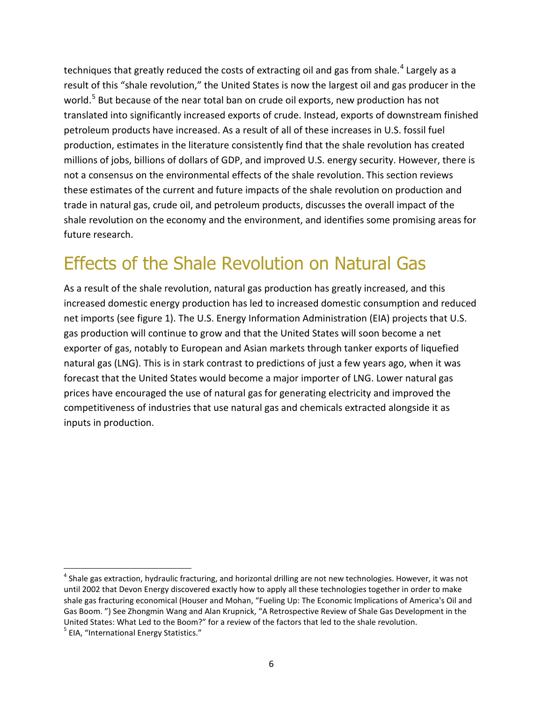techniques that greatly reduced the costs of extracting oil and gas from shale.<sup>[4](#page-9-0)</sup> Largely as a result of this "shale revolution," the United States is now the largest oil and gas producer in the world.<sup>[5](#page-9-1)</sup> But because of the near total ban on crude oil exports, new production has not translated into significantly increased exports of crude. Instead, exports of downstream finished petroleum products have increased. As a result of all of these increases in U.S. fossil fuel production, estimates in the literature consistently find that the shale revolution has created millions of jobs, billions of dollars of GDP, and improved U.S. energy security. However, there is not a consensus on the environmental effects of the shale revolution. This section reviews these estimates of the current and future impacts of the shale revolution on production and trade in natural gas, crude oil, and petroleum products, discusses the overall impact of the shale revolution on the economy and the environment, and identifies some promising areas for future research.

#### Effects of the Shale Revolution on Natural Gas

As a result of the shale revolution, natural gas production has greatly increased, and this increased domestic energy production has led to increased domestic consumption and reduced net imports (see figure 1). The U.S. Energy Information Administration (EIA) projects that U.S. gas production will continue to grow and that the United States will soon become a net exporter of gas, notably to European and Asian markets through tanker exports of liquefied natural gas (LNG). This is in stark contrast to predictions of just a few years ago, when it was forecast that the United States would become a major importer of LNG. Lower natural gas prices have encouraged the use of natural gas for generating electricity and improved the competitiveness of industries that use natural gas and chemicals extracted alongside it as inputs in production.

 $\overline{\phantom{a}}$ 

<span id="page-9-1"></span><span id="page-9-0"></span> $<sup>4</sup>$  Shale gas extraction, hydraulic fracturing, and horizontal drilling are not new technologies. However, it was not</sup> until 2002 that Devon Energy discovered exactly how to apply all these technologies together in order to make shale gas fracturing economical (Houser and Mohan, "Fueling Up: The Economic Implications of America's Oil and Gas Boom. ") See Zhongmin Wang and Alan Krupnick, "A Retrospective Review of Shale Gas Development in the United States: What Led to the Boom?" for a review of the factors that led to the shale revolution.<br> $5$  EIA, "International Energy Statistics."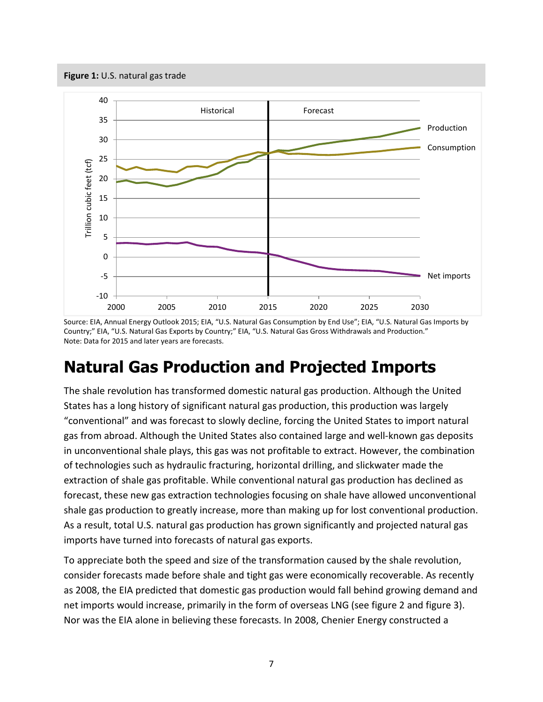<span id="page-10-0"></span>**Figure 1:** U.S. natural gas trade



Source: EIA, Annual Energy Outlook 2015; EIA, "U.S. Natural Gas Consumption by End Use"; EIA, "U.S. Natural Gas Imports by Country;" EIA, "U.S. Natural Gas Exports by Country;" EIA, "U.S. Natural Gas Gross Withdrawals and Production." Note: Data for 2015 and later years are forecasts.

#### **Natural Gas Production and Projected Imports**

The shale revolution has transformed domestic natural gas production. Although the United States has a long history of significant natural gas production, this production was largely "conventional" and was forecast to slowly decline, forcing the United States to import natural gas from abroad. Although the United States also contained large and well-known gas deposits in unconventional shale plays, this gas was not profitable to extract. However, the combination of technologies such as hydraulic fracturing, horizontal drilling, and slickwater made the extraction of shale gas profitable. While conventional natural gas production has declined as forecast, these new gas extraction technologies focusing on shale have allowed unconventional shale gas production to greatly increase, more than making up for lost conventional production. As a result, total U.S. natural gas production has grown significantly and projected natural gas imports have turned into forecasts of natural gas exports.

To appreciate both the speed and size of the transformation caused by the shale revolution, consider forecasts made before shale and tight gas were economically recoverable. As recently as 2008, the EIA predicted that domestic gas production would fall behind growing demand and net imports would increase, primarily in the form of overseas LNG (see figure 2 and figure 3). Nor was the EIA alone in believing these forecasts. In 2008, Chenier Energy constructed a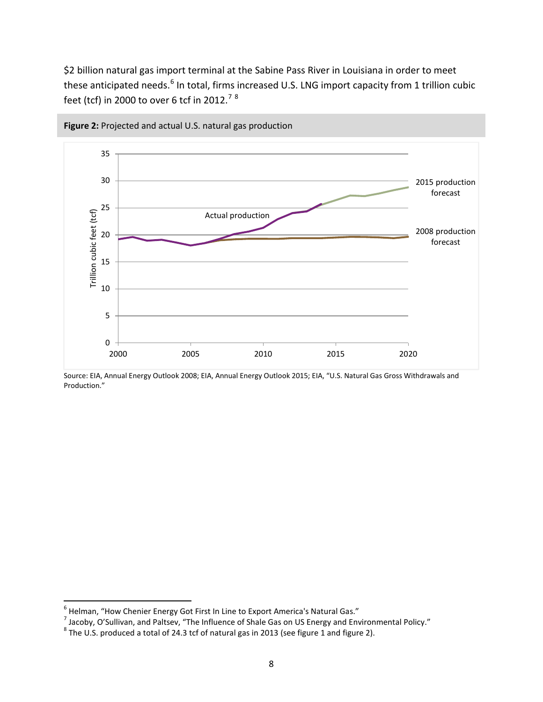\$2 billion natural gas import terminal at the Sabine Pass River in Louisiana in order to meet these anticipated needs.<sup>[6](#page-11-1)</sup> In total, firms increased U.S. LNG import capacity from 1 trillion cubic feet (tcf) in 2000 to over 6 tcf in 2012.<sup>[7](#page-11-2)[8](#page-11-3)</sup>



<span id="page-11-0"></span>**Figure 2:** Projected and actual U.S. natural gas production

Source: EIA, Annual Energy Outlook 2008; EIA, Annual Energy Outlook 2015; EIA, "U.S. Natural Gas Gross Withdrawals and Production."

<span id="page-11-1"></span> $^6$  Helman, "How Chenier Energy Got First In Line to Export America's Natural Gas."

<span id="page-11-2"></span><sup>7</sup> Jacoby, O'Sullivan, and Paltsev, "The Influence of Shale Gas on US Energy and Environmental Policy."<br><sup>8</sup> The U.S. produced a total of 24.3 tcf of natural gas in 2013 (see figure 1 and figure 2).

<span id="page-11-3"></span>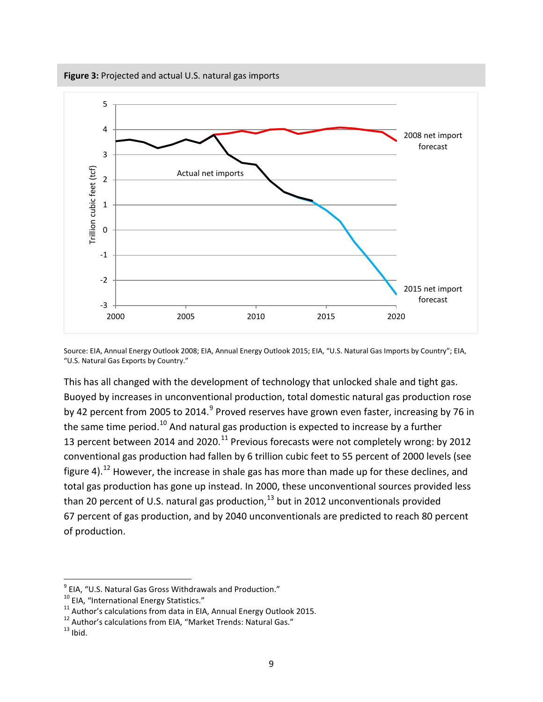<span id="page-12-0"></span>

Source: EIA, Annual Energy Outlook 2008; EIA, Annual Energy Outlook 2015; EIA, "U.S. Natural Gas Imports by Country"; EIA, "U.S. Natural Gas Exports by Country."

This has all changed with the development of technology that unlocked shale and tight gas. Buoyed by increases in unconventional production, total domestic natural gas production rose by 42 percent from 2005 to 2014.<sup>[9](#page-12-1)</sup> Proved reserves have grown even faster, increasing by 76 in the same time period.<sup>[10](#page-12-2)</sup> And natural gas production is expected to increase by a further 13 percent between 2014 and 2020.<sup>[11](#page-12-3)</sup> Previous forecasts were not completely wrong: by 2012 conventional gas production had fallen by 6 trillion cubic feet to 55 percent of 2000 levels (see figure 4).<sup>[12](#page-12-4)</sup> However, the increase in shale gas has more than made up for these declines, and total gas production has gone up instead. In 2000, these unconventional sources provided less than 20 percent of U.S. natural gas production, $^{13}$  $^{13}$  $^{13}$  but in 2012 unconventionals provided 67 percent of gas production, and by 2040 unconventionals are predicted to reach 80 percent of production.

<span id="page-12-3"></span>

<span id="page-12-2"></span><span id="page-12-1"></span><sup>&</sup>lt;sup>9</sup> EIA, "U.S. Natural Gas Gross Withdrawals and Production."<br><sup>10</sup> EIA, "International Energy Statistics."<br><sup>11</sup> Author's calculations from data in EIA, Annual Energy Outlook 2015.<br><sup>12</sup> Author's calculations from EIA, "Mar

<span id="page-12-5"></span><span id="page-12-4"></span>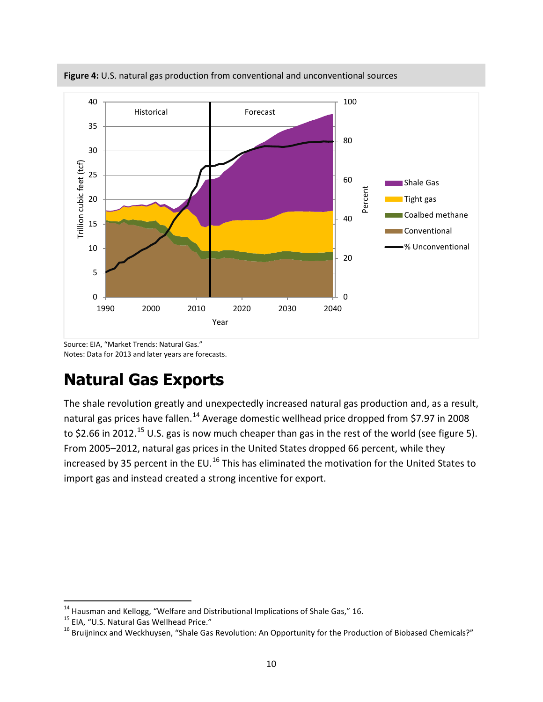

<span id="page-13-0"></span>**Figure 4:** U.S. natural gas production from conventional and unconventional sources

Source: EIA, "Market Trends: Natural Gas." Notes: Data for 2013 and later years are forecasts.

#### **Natural Gas Exports**

The shale revolution greatly and unexpectedly increased natural gas production and, as a result, natural gas prices have fallen.<sup>[14](#page-13-1)</sup> Average domestic wellhead price dropped from \$7.97 in 2008 to \$2.66 in 2012.<sup>[15](#page-13-2)</sup> U.S. gas is now much cheaper than gas in the rest of the world (see figure 5). From 2005–2012, natural gas prices in the United States dropped 66 percent, while they increased by 35 percent in the EU.<sup>[16](#page-13-3)</sup> This has eliminated the motivation for the United States to import gas and instead created a strong incentive for export.

<span id="page-13-1"></span><sup>&</sup>lt;sup>14</sup> Hausman and Kellogg, "Welfare and Distributional Implications of Shale Gas," 16.

<span id="page-13-3"></span><span id="page-13-2"></span><sup>&</sup>lt;sup>15</sup> EIA, "U.S. Natural Gas Wellhead Price."<br><sup>16</sup> Bruijnincx and Weckhuysen, "Shale Gas Revolution: An Opportunity for the Production of Biobased Chemicals?"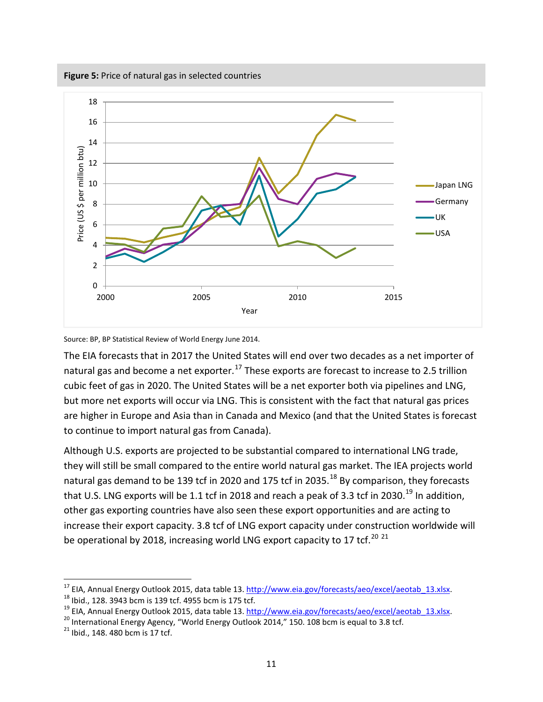<span id="page-14-0"></span>**Figure 5:** Price of natural gas in selected countries



Source: BP, BP Statistical Review of World Energy June 2014.

The EIA forecasts that in 2017 the United States will end over two decades as a net importer of natural gas and become a net exporter.<sup>[17](#page-14-1)</sup> These exports are forecast to increase to 2.5 trillion cubic feet of gas in 2020. The United States will be a net exporter both via pipelines and LNG, but more net exports will occur via LNG. This is consistent with the fact that natural gas prices are higher in Europe and Asia than in Canada and Mexico (and that the United States is forecast to continue to import natural gas from Canada).

Although U.S. exports are projected to be substantial compared to international LNG trade, they will still be small compared to the entire world natural gas market. The IEA projects world natural gas demand to be 139 tcf in 2020 and 175 tcf in 2035.<sup>[18](#page-14-2)</sup> By comparison, they forecasts that U.S. LNG exports will be 1.1 tcf in 2018 and reach a peak of 3.3 tcf in 2030.<sup>[19](#page-14-3)</sup> In addition, other gas exporting countries have also seen these export opportunities and are acting to increase their export capacity. 3.8 tcf of LNG export capacity under construction worldwide will be operational by [20](#page-14-4)18, increasing world LNG export capacity to 17 tcf.<sup>20 [21](#page-14-5)</sup>

<span id="page-14-1"></span><sup>&</sup>lt;sup>17</sup> EIA, Annual Energy Outlook 2015, data table 13. <u>http://www.eia.gov/forecasts/aeo/excel/aeotab 13.xlsx</u>.<br><sup>18</sup> Ibid., 128. 3943 bcm is 139 tcf. 4955 bcm is 175 tcf.<br><sup>19</sup> EIA, Annual Energy Outlook 2015, data table 13.

<span id="page-14-3"></span><span id="page-14-2"></span>

<span id="page-14-4"></span>

<span id="page-14-5"></span>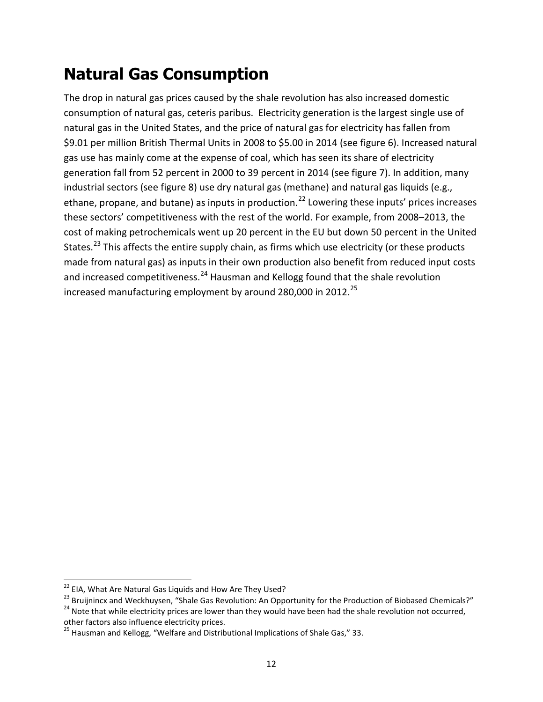#### **Natural Gas Consumption**

The drop in natural gas prices caused by the shale revolution has also increased domestic consumption of natural gas, ceteris paribus. Electricity generation is the largest single use of natural gas in the United States, and the price of natural gas for electricity has fallen from \$9.01 per million British Thermal Units in 2008 to \$5.00 in 2014 (see figure 6). Increased natural gas use has mainly come at the expense of coal, which has seen its share of electricity generation fall from 52 percent in 2000 to 39 percent in 2014 (see figure 7). In addition, many industrial sectors (see figure 8) use dry natural gas (methane) and natural gas liquids (e.g., ethane, propane, and butane) as inputs in production.<sup>[22](#page-15-0)</sup> Lowering these inputs' prices increases these sectors' competitiveness with the rest of the world. For example, from 2008–2013, the cost of making petrochemicals went up 20 percent in the EU but down 50 percent in the United States.<sup>[23](#page-15-1)</sup> This affects the entire supply chain, as firms which use electricity (or these products made from natural gas) as inputs in their own production also benefit from reduced input costs and increased competitiveness. $^{24}$  $^{24}$  $^{24}$  Hausman and Kellogg found that the shale revolution increased manufacturing employment by around 280,000 in 2012.<sup>[25](#page-15-3)</sup>

<span id="page-15-0"></span><sup>&</sup>lt;sup>22</sup> EIA, What Are Natural Gas Liquids and How Are They Used?

<span id="page-15-1"></span><sup>23</sup> Bruijnincx and Weckhuysen, "Shale Gas Revolution: An Opportunity for the Production of Biobased Chemicals?"<br>24 Note that while electricity prices are lower than they would have been had the shale revolution not occurred

<span id="page-15-2"></span>other factors also influence electricity prices.

<span id="page-15-3"></span><sup>&</sup>lt;sup>25</sup> Hausman and Kellogg, "Welfare and Distributional Implications of Shale Gas," 33.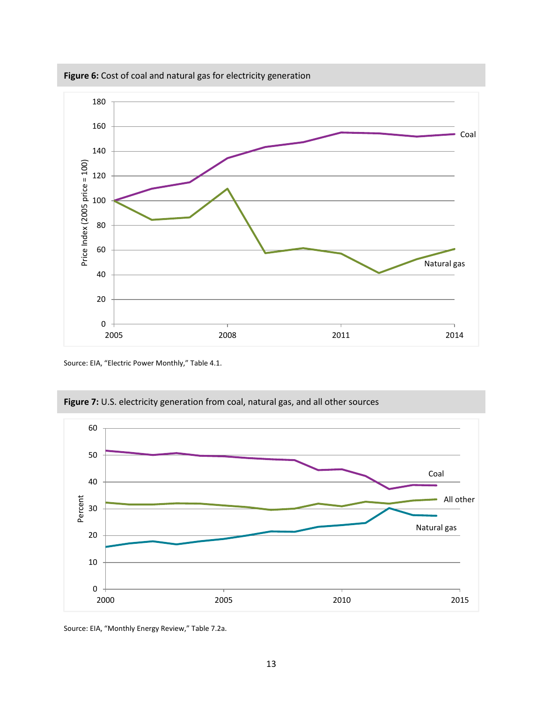

<span id="page-16-0"></span>**Figure 6:** Cost of coal and natural gas for electricity generation

Source: EIA, "Electric Power Monthly," Table 4.1.



<span id="page-16-1"></span>**Figure 7:** U.S. electricity generation from coal, natural gas, and all other sources

Source: EIA, "Monthly Energy Review," Table 7.2a.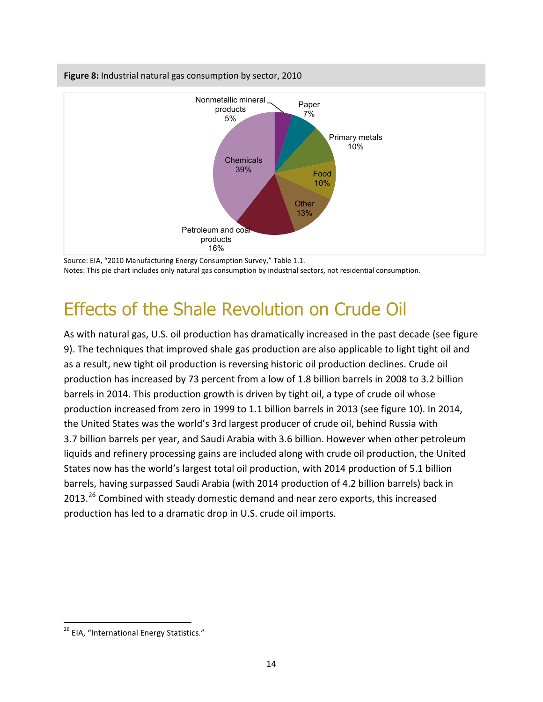<span id="page-17-0"></span>

Source: EIA, "2010 Manufacturing Energy Consumption Survey," Table 1.1. Notes: This pie chart includes only natural gas consumption by industrial sectors, not residential consumption.

#### Effects of the Shale Revolution on Crude Oil

As with natural gas, U.S. oil production has dramatically increased in the past decade (see figure 9). The techniques that improved shale gas production are also applicable to light tight oil and as a result, new tight oil production is reversing historic oil production declines. Crude oil production has increased by 73 percent from a low of 1.8 billion barrels in 2008 to 3.2 billion barrels in 2014. This production growth is driven by tight oil, a type of crude oil whose production increased from zero in 1999 to 1.1 billion barrels in 2013 (see figure 10). In 2014, the United States was the world's 3rd largest producer of crude oil, behind Russia with 3.7 billion barrels per year, and Saudi Arabia with 3.6 billion. However when other petroleum liquids and refinery processing gains are included along with crude oil production, the United States now has the world's largest total oil production, with 2014 production of 5.1 billion barrels, having surpassed Saudi Arabia (with 2014 production of 4.2 billion barrels) back in  $2013.<sup>26</sup>$  $2013.<sup>26</sup>$  $2013.<sup>26</sup>$  Combined with steady domestic demand and near zero exports, this increased production has led to a dramatic drop in U.S. crude oil imports.

<span id="page-17-1"></span><sup>&</sup>lt;sup>26</sup> EIA, "International Energy Statistics."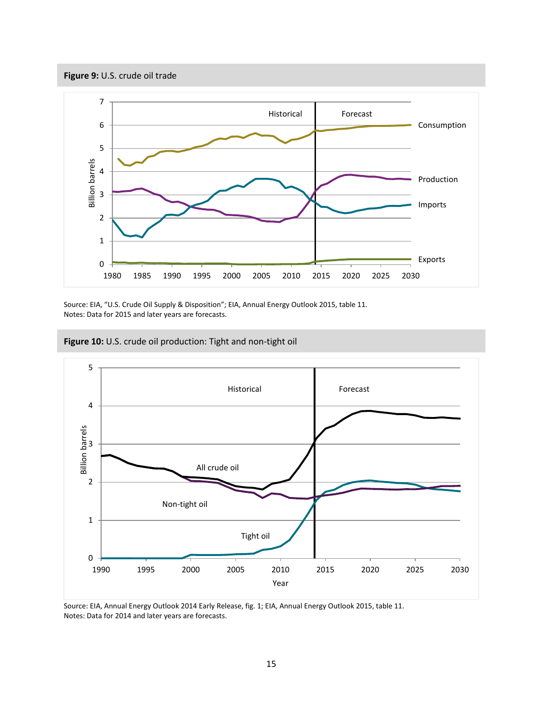<span id="page-18-0"></span>



Source: EIA, "U.S. Crude Oil Supply & Disposition"; EIA, Annual Energy Outlook 2015, table 11. Notes: Data for 2015 and later years are forecasts.

<span id="page-18-1"></span>



Source: EIA, Annual Energy Outlook 2014 Early Release, fig. 1; EIA, Annual Energy Outlook 2015, table 11. Notes: Data for 2014 and later years are forecasts.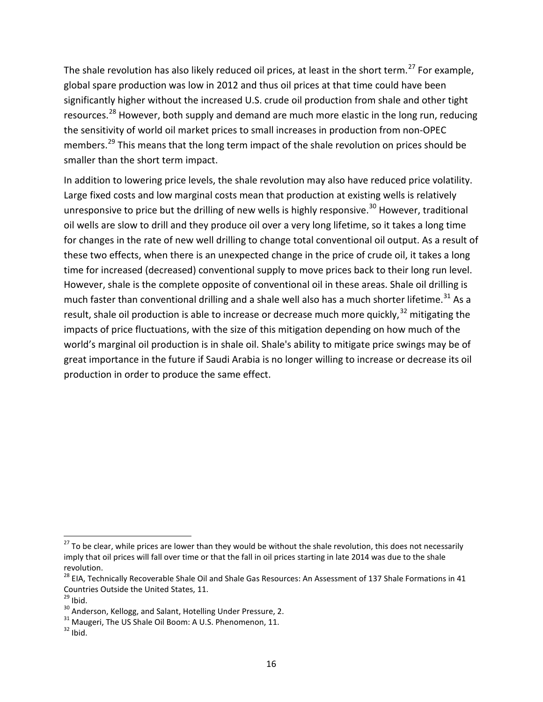The shale revolution has also likely reduced oil prices, at least in the short term.<sup>[27](#page-19-0)</sup> For example, global spare production was low in 2012 and thus oil prices at that time could have been significantly higher without the increased U.S. crude oil production from shale and other tight resources.<sup>[28](#page-19-1)</sup> However, both supply and demand are much more elastic in the long run, reducing the sensitivity of world oil market prices to small increases in production from non-OPEC members.<sup>[29](#page-19-2)</sup> This means that the long term impact of the shale revolution on prices should be smaller than the short term impact.

In addition to lowering price levels, the shale revolution may also have reduced price volatility. Large fixed costs and low marginal costs mean that production at existing wells is relatively unresponsive to price but the drilling of new wells is highly responsive.<sup>[30](#page-19-3)</sup> However, traditional oil wells are slow to drill and they produce oil over a very long lifetime, so it takes a long time for changes in the rate of new well drilling to change total conventional oil output. As a result of these two effects, when there is an unexpected change in the price of crude oil, it takes a long time for increased (decreased) conventional supply to move prices back to their long run level. However, shale is the complete opposite of conventional oil in these areas. Shale oil drilling is much faster than conventional drilling and a shale well also has a much shorter lifetime.<sup>[31](#page-19-4)</sup> As a result, shale oil production is able to increase or decrease much more quickly,  $32$  mitigating the impacts of price fluctuations, with the size of this mitigation depending on how much of the world's marginal oil production is in shale oil. Shale's ability to mitigate price swings may be of great importance in the future if Saudi Arabia is no longer willing to increase or decrease its oil production in order to produce the same effect.

<span id="page-19-0"></span> $27$  To be clear, while prices are lower than they would be without the shale revolution, this does not necessarily imply that oil prices will fall over time or that the fall in oil prices starting in late 2014 was due to the shale revolution.

<span id="page-19-1"></span> $^{28}$  EIA, Technically Recoverable Shale Oil and Shale Gas Resources: An Assessment of 137 Shale Formations in 41 Countries Outside the United States, 11.<br><sup>29</sup> Ibid.

<span id="page-19-2"></span>

<span id="page-19-4"></span><span id="page-19-3"></span><sup>&</sup>lt;sup>30</sup> Anderson, Kellogg, and Salant, Hotelling Under Pressure, 2.<br><sup>31</sup> Maugeri, The US Shale Oil Boom: A U.S. Phenomenon, 11.<br><sup>32</sup> Ibid.

<span id="page-19-5"></span>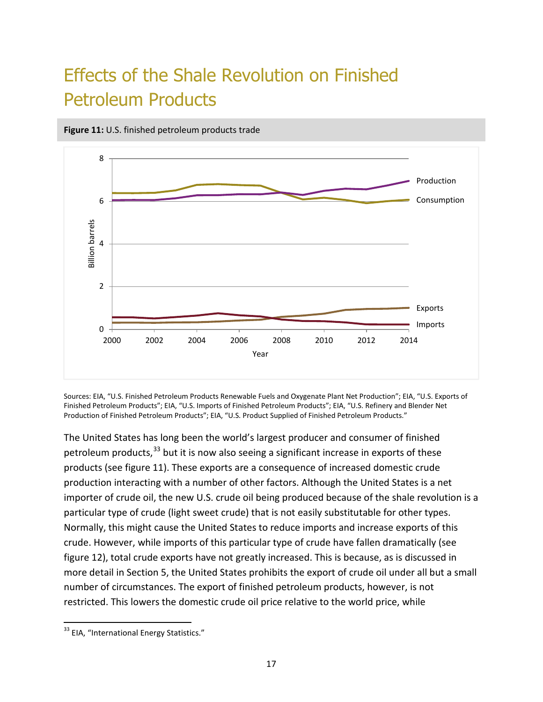### Effects of the Shale Revolution on Finished Petroleum Products



<span id="page-20-0"></span>**Figure 11:** U.S. finished petroleum products trade

Sources: EIA, "U.S. Finished Petroleum Products Renewable Fuels and Oxygenate Plant Net Production"; EIA, "U.S. Exports of Finished Petroleum Products"; EIA, "U.S. Imports of Finished Petroleum Products"; EIA, "U.S. Refinery and Blender Net Production of Finished Petroleum Products"; EIA, "U.S. Product Supplied of Finished Petroleum Products."

The United States has long been the world's largest producer and consumer of finished petroleum products,  $33$  but it is now also seeing a significant increase in exports of these products (see figure 11). These exports are a consequence of increased domestic crude production interacting with a number of other factors. Although the United States is a net importer of crude oil, the new U.S. crude oil being produced because of the shale revolution is a particular type of crude (light sweet crude) that is not easily substitutable for other types. Normally, this might cause the United States to reduce imports and increase exports of this crude. However, while imports of this particular type of crude have fallen dramatically (see figure 12), total crude exports have not greatly increased. This is because, as is discussed in more detail in Section 5, the United States prohibits the export of crude oil under all but a small number of circumstances. The export of finished petroleum products, however, is not restricted. This lowers the domestic crude oil price relative to the world price, while

<span id="page-20-1"></span><sup>&</sup>lt;sup>33</sup> EIA, "International Energy Statistics."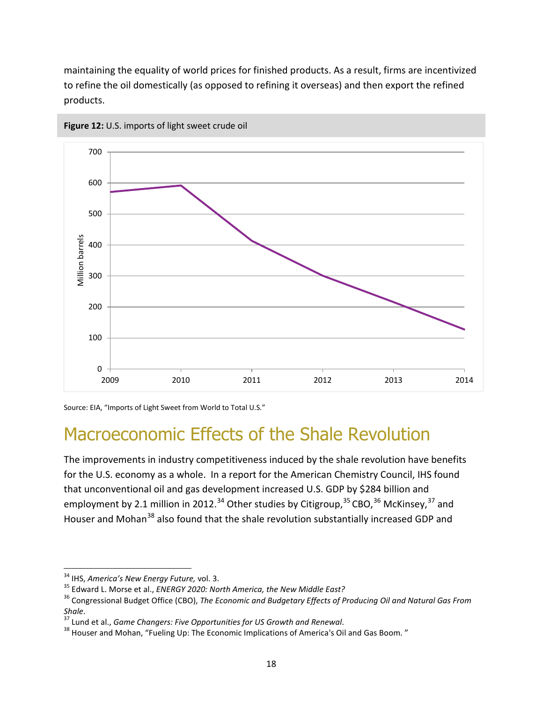maintaining the equality of world prices for finished products. As a result, firms are incentivized to refine the oil domestically (as opposed to refining it overseas) and then export the refined products.



<span id="page-21-0"></span>![](_page_21_Figure_2.jpeg)

Source: EIA, "Imports of Light Sweet from World to Total U.S."

#### Macroeconomic Effects of the Shale Revolution

The improvements in industry competitiveness induced by the shale revolution have benefits for the U.S. economy as a whole. In a report for the American Chemistry Council, IHS found that unconventional oil and gas development increased U.S. GDP by \$284 billion and employment by 2.1 million in 2012.<sup>[34](#page-21-1)</sup> Other studies by Citigroup,  $35$  CBO,  $36$  McKinsey,  $37$  and Houser and Mohan<sup>[38](#page-21-5)</sup> also found that the shale revolution substantially increased GDP and

<span id="page-21-3"></span><span id="page-21-2"></span>

<span id="page-21-1"></span><sup>&</sup>lt;sup>34</sup> IHS, America's New Energy Future, vol. 3.<br><sup>35</sup> Edward L. Morse et al., *ENERGY 2020: North America, the New Middle East?*<br><sup>36</sup> Congressional Budget Office (CBO), *The Economic and Budgetary Effects of Producing Oil an Shale.*<br><sup>37</sup> Lund et al., *Game Changers: Five Opportunities for US Growth and Renewal.*<br><sup>38</sup> Houser and Mohan, "Fueling Up: The Economic Implications of America's Oil and Gas Boom. "

<span id="page-21-4"></span>

<span id="page-21-5"></span>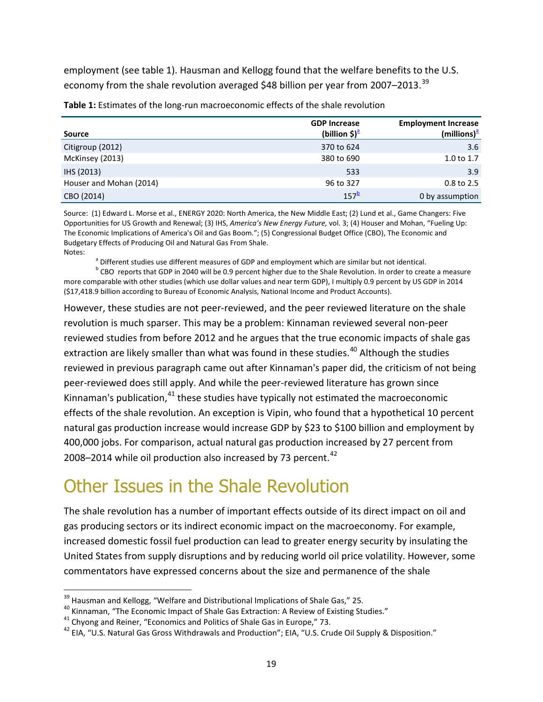employment (see table 1). Hausman and Kellogg found that the welfare benefits to the U.S. economy from the shale revolution averaged \$48 billion per year from 2007–2013.<sup>[39](#page-22-3)</sup>

| <b>Source</b>           | <b>GDP Increase</b><br>(billion \$) <sup>a</sup> | <b>Employment Increase</b><br>$(millions)^{a}$ |
|-------------------------|--------------------------------------------------|------------------------------------------------|
| Citigroup (2012)        | 370 to 624                                       | 3.6                                            |
| McKinsey (2013)         | 380 to 690                                       | 1.0 to 1.7                                     |
| IHS (2013)              | 533                                              | 3.9                                            |
| Houser and Mohan (2014) | 96 to 327                                        | $0.8$ to 2.5                                   |
| CBO (2014)              | $157^{\circ}$                                    | 0 by assumption                                |

<span id="page-22-0"></span>**Table 1:** Estimates of the long-run macroeconomic effects of the shale revolution

Source: (1) Edward L. Morse et al., ENERGY 2020: North America, the New Middle East; (2) Lund et al., Game Changers: Five Opportunities for US Growth and Renewal; (3) IHS, *America's New Energy Future,* vol. 3; (4) Houser and Mohan, "Fueling Up: The Economic Implications of America's Oil and Gas Boom."; (5) Congressional Budget Office (CBO), The Economic and Budgetary Effects of Producing Oil and Natural Gas From Shale.

<span id="page-22-1"></span>Notes:<br>a Different studies use different measures of GDP and employment which are similar but not identical.

<span id="page-22-2"></span><sup>b</sup> CBO reports that GDP in 2040 will be 0.9 percent higher due to the Shale Revolution. In order to create a measure more comparable with other studies (which use dollar values and near term GDP), I multiply 0.9 percent by US GDP in 2014 (\$17,418.9 billion according to Bureau of Economic Analysis, National Income and Product Accounts).

However, these studies are not peer-reviewed, and the peer reviewed literature on the shale revolution is much sparser. This may be a problem: Kinnaman reviewed several non-peer reviewed studies from before 2012 and he argues that the true economic impacts of shale gas extraction are likely smaller than what was found in these studies.<sup>[40](#page-22-4)</sup> Although the studies reviewed in previous paragraph came out after Kinnaman's paper did, the criticism of not being peer-reviewed does still apply. And while the peer-reviewed literature has grown since Kinnaman's publication, $41$  these studies have typically not estimated the macroeconomic effects of the shale revolution. An exception is Vipin, who found that a hypothetical 10 percent natural gas production increase would increase GDP by \$23 to \$100 billion and employment by 400,000 jobs. For comparison, actual natural gas production increased by 27 percent from 2008–2014 while oil production also increased by 73 percent. $42$ 

#### Other Issues in the Shale Revolution

The shale revolution has a number of important effects outside of its direct impact on oil and gas producing sectors or its indirect economic impact on the macroeconomy. For example, increased domestic fossil fuel production can lead to greater energy security by insulating the United States from supply disruptions and by reducing world oil price volatility. However, some commentators have expressed concerns about the size and permanence of the shale

<span id="page-22-4"></span>

<span id="page-22-6"></span><span id="page-22-5"></span>

<span id="page-22-3"></span><sup>&</sup>lt;sup>39</sup> Hausman and Kellogg, "Welfare and Distributional Implications of Shale Gas," 25.<br><sup>40</sup> Kinnaman, "The Economic Impact of Shale Gas Extraction: A Review of Existing Studies."<br><sup>41</sup> Chyong and Reiner, "Economics and Poli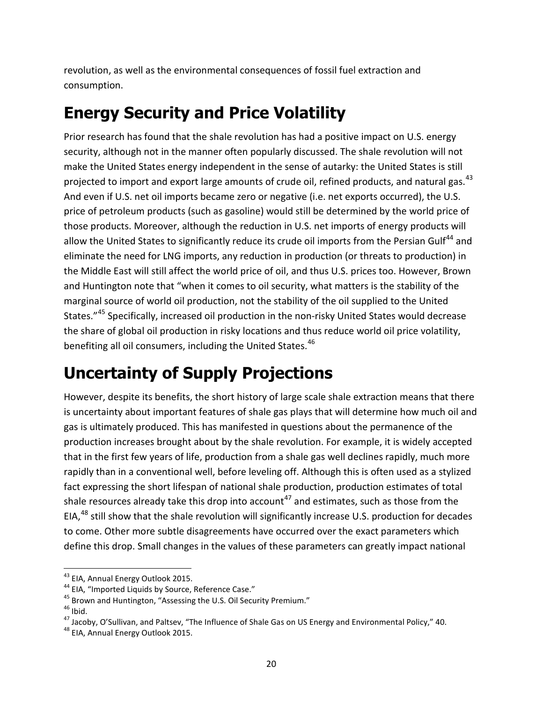revolution, as well as the environmental consequences of fossil fuel extraction and consumption.

#### **Energy Security and Price Volatility**

Prior research has found that the shale revolution has had a positive impact on U.S. energy security, although not in the manner often popularly discussed. The shale revolution will not make the United States energy independent in the sense of autarky: the United States is still projected to import and export large amounts of crude oil, refined products, and natural gas.<sup>[43](#page-23-0)</sup> And even if U.S. net oil imports became zero or negative (i.e. net exports occurred), the U.S. price of petroleum products (such as gasoline) would still be determined by the world price of those products. Moreover, although the reduction in U.S. net imports of energy products will allow the United States to significantly reduce its crude oil imports from the Persian Gulf<sup>[44](#page-23-1)</sup> and eliminate the need for LNG imports, any reduction in production (or threats to production) in the Middle East will still affect the world price of oil, and thus U.S. prices too. However, Brown and Huntington note that "when it comes to oil security, what matters is the stability of the marginal source of world oil production, not the stability of the oil supplied to the United States."[45](#page-23-2) Specifically, increased oil production in the non-risky United States would decrease the share of global oil production in risky locations and thus reduce world oil price volatility, benefiting all oil consumers, including the United States.<sup>[46](#page-23-3)</sup>

#### **Uncertainty of Supply Projections**

However, despite its benefits, the short history of large scale shale extraction means that there is uncertainty about important features of shale gas plays that will determine how much oil and gas is ultimately produced. This has manifested in questions about the permanence of the production increases brought about by the shale revolution. For example, it is widely accepted that in the first few years of life, production from a shale gas well declines rapidly, much more rapidly than in a conventional well, before leveling off. Although this is often used as a stylized fact expressing the short lifespan of national shale production, production estimates of total shale resources already take this drop into account<sup>[47](#page-23-4)</sup> and estimates, such as those from the EIA,<sup>[48](#page-23-5)</sup> still show that the shale revolution will significantly increase U.S. production for decades to come. Other more subtle disagreements have occurred over the exact parameters which define this drop. Small changes in the values of these parameters can greatly impact national

<span id="page-23-1"></span>

<span id="page-23-2"></span>

<span id="page-23-4"></span><span id="page-23-3"></span>

<span id="page-23-0"></span><sup>&</sup>lt;sup>43</sup> EIA, Annual Energy Outlook 2015.<br><sup>44</sup> EIA, "Imported Liquids by Source, Reference Case."<br><sup>45</sup> Brown and Huntington, "Assessing the U.S. Oil Security Premium."<br><sup>45</sup> Ibid.<br><sup>47</sup> Jacoby, O'Sullivan, and Paltsev, "The Inf

<span id="page-23-5"></span>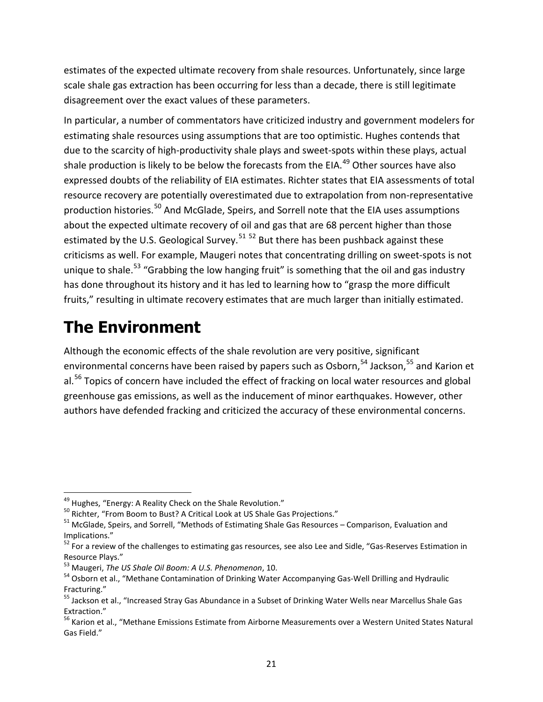estimates of the expected ultimate recovery from shale resources. Unfortunately, since large scale shale gas extraction has been occurring for less than a decade, there is still legitimate disagreement over the exact values of these parameters.

In particular, a number of commentators have criticized industry and government modelers for estimating shale resources using assumptions that are too optimistic. Hughes contends that due to the scarcity of high-productivity shale plays and sweet-spots within these plays, actual shale production is likely to be below the forecasts from the EIA. $49$  Other sources have also expressed doubts of the reliability of EIA estimates. Richter states that EIA assessments of total resource recovery are potentially overestimated due to extrapolation from non-representative production histories.<sup>[50](#page-24-1)</sup> And McGlade, Speirs, and Sorrell note that the EIA uses assumptions about the expected ultimate recovery of oil and gas that are 68 percent higher than those estimated by the U.S. Geological Survey.<sup>[51](#page-24-2) [52](#page-24-3)</sup> But there has been pushback against these criticisms as well. For example, Maugeri notes that concentrating drilling on sweet-spots is not unique to shale.<sup>[53](#page-24-4)</sup> "Grabbing the low hanging fruit" is something that the oil and gas industry has done throughout its history and it has led to learning how to "grasp the more difficult fruits," resulting in ultimate recovery estimates that are much larger than initially estimated.

#### **The Environment**

Although the economic effects of the shale revolution are very positive, significant environmental concerns have been raised by papers such as Osborn,<sup>[54](#page-24-5)</sup> Jackson,<sup>[55](#page-24-6)</sup> and Karion et al.<sup>[56](#page-24-7)</sup> Topics of concern have included the effect of fracking on local water resources and global greenhouse gas emissions, as well as the inducement of minor earthquakes. However, other authors have defended fracking and criticized the accuracy of these environmental concerns.

<span id="page-24-1"></span><span id="page-24-0"></span><sup>&</sup>lt;sup>49</sup> Hughes, "Energy: A Reality Check on the Shale Revolution."<br><sup>50</sup> Richter, "From Boom to Bust? A Critical Look at US Shale Gas Projections."<br><sup>51</sup> McGlade, Speirs, and Sorrell, "Methods of Estimating Shale Gas Resources

<span id="page-24-3"></span><span id="page-24-2"></span>Implications."<br><sup>52</sup> For a review of the challenges to estimating gas resources, see also Lee and Sidle, "Gas-Reserves Estimation in<br>Resource Plays."

<span id="page-24-5"></span><span id="page-24-4"></span><sup>&</sup>lt;sup>53</sup> Maugeri, *The US Shale Oil Boom: A U.S. Phenomenon*, 10.<br><sup>54</sup> Osborn et al., "Methane Contamination of Drinking Water Accompanying Gas-Well Drilling and Hydraulic Fracturing."<br><sup>55</sup> Jackson et al., "Increased Stray Gas Abundance in a Subset of Drinking Water Wells near Marcellus Shale Gas

<span id="page-24-6"></span>Extraction."<br><sup>56</sup> Karion et al., "Methane Emissions Estimate from Airborne Measurements over a Western United States Natural

<span id="page-24-7"></span>Gas Field."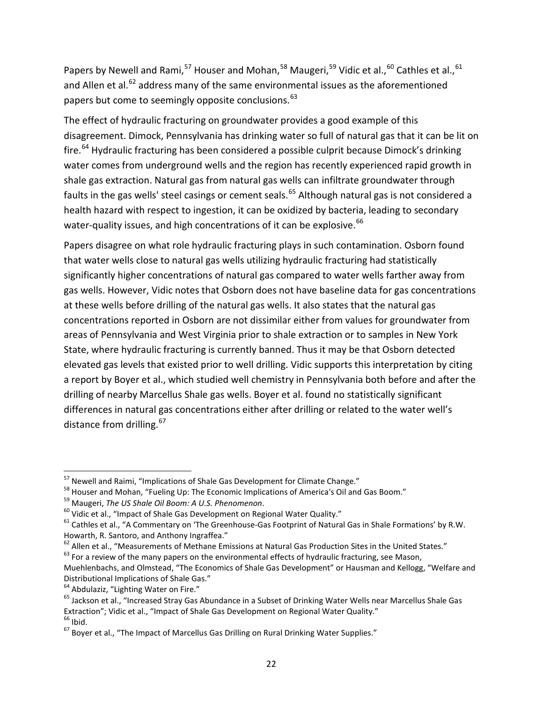Papers by Newell and Rami,<sup>[57](#page-25-0)</sup> Houser and Mohan,<sup>[58](#page-25-1)</sup> Maugeri,<sup>[59](#page-25-2)</sup> Vidic et al.,<sup>[60](#page-25-3)</sup> Cathles et al.,<sup>[61](#page-25-4)</sup> and Allen et al. $^{62}$  $^{62}$  $^{62}$  address many of the same environmental issues as the aforementioned papers but come to seemingly opposite conclusions.<sup>63</sup>

The effect of hydraulic fracturing on groundwater provides a good example of this disagreement. Dimock, Pennsylvania has drinking water so full of natural gas that it can be lit on fire.<sup>[64](#page-25-7)</sup> Hydraulic fracturing has been considered a possible culprit because Dimock's drinking water comes from underground wells and the region has recently experienced rapid growth in shale gas extraction. Natural gas from natural gas wells can infiltrate groundwater through faults in the gas wells' steel casings or cement seals.<sup>[65](#page-25-8)</sup> Although natural gas is not considered a health hazard with respect to ingestion, it can be oxidized by bacteria, leading to secondary water-quality issues, and high concentrations of it can be explosive.<sup>[66](#page-25-9)</sup>

Papers disagree on what role hydraulic fracturing plays in such contamination. Osborn found that water wells close to natural gas wells utilizing hydraulic fracturing had statistically significantly higher concentrations of natural gas compared to water wells farther away from gas wells. However, Vidic notes that Osborn does not have baseline data for gas concentrations at these wells before drilling of the natural gas wells. It also states that the natural gas concentrations reported in Osborn are not dissimilar either from values for groundwater from areas of Pennsylvania and West Virginia prior to shale extraction or to samples in New York State, where hydraulic fracturing is currently banned. Thus it may be that Osborn detected elevated gas levels that existed prior to well drilling. Vidic supports this interpretation by citing a report by Boyer et al., which studied well chemistry in Pennsylvania both before and after the drilling of nearby Marcellus Shale gas wells. Boyer et al. found no statistically significant differences in natural gas concentrations either after drilling or related to the water well's distance from drilling. [67](#page-25-10)

<span id="page-25-2"></span>

<span id="page-25-4"></span><span id="page-25-3"></span>

<span id="page-25-1"></span><span id="page-25-0"></span><sup>&</sup>lt;sup>57</sup> Newell and Raimi, "Implications of Shale Gas Development for Climate Change."<br><sup>58</sup> Houser and Mohan, "Fueling Up: The Economic Implications of America's Oil and Gas Boom."<br><sup>59</sup> Maugeri, *The US Shale Oil Boom: A U.S.* Howarth, R. Santoro, and Anthony Ingraffea."<br><sup>62</sup> Allen et al., "Measurements of Methane Emissions at Natural Gas Production Sites in the United States."<br><sup>63</sup> For a review of the many papers on the environmental effects of

<span id="page-25-5"></span>

<span id="page-25-6"></span>

Muehlenbachs, and Olmstead, "The Economics of Shale Gas Development" or Hausman and Kellogg, "Welfare and Distributional Implications of Shale Gas."<br><sup>64</sup> Abdulaziz, "Lighting Water on Fire."<br><sup>65</sup> Jackson et al., "Increased Stray Gas Abundance in a Subset of Drinking Water Wells near Marcellus Shale Gas

<span id="page-25-7"></span>

<span id="page-25-8"></span>Extraction"; Vidic et al., "Impact of Shale Gas Development on Regional Water Quality."<br>
<sup>66</sup> Ibid.<br>
<sup>67</sup> Boyer et al., "The Impact of Marcellus Gas Drilling on Rural Drinking Water Supplies."

<span id="page-25-10"></span><span id="page-25-9"></span>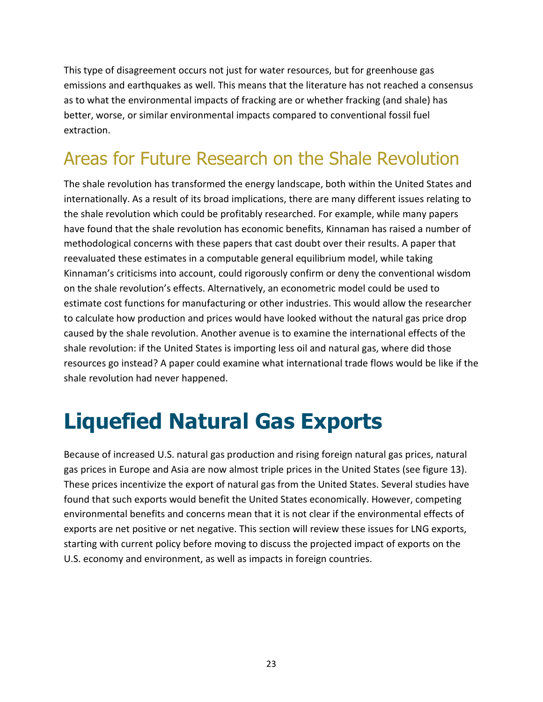This type of disagreement occurs not just for water resources, but for greenhouse gas emissions and earthquakes as well. This means that the literature has not reached a consensus as to what the environmental impacts of fracking are or whether fracking (and shale) has better, worse, or similar environmental impacts compared to conventional fossil fuel extraction.

### Areas for Future Research on the Shale Revolution

The shale revolution has transformed the energy landscape, both within the United States and internationally. As a result of its broad implications, there are many different issues relating to the shale revolution which could be profitably researched. For example, while many papers have found that the shale revolution has economic benefits, Kinnaman has raised a number of methodological concerns with these papers that cast doubt over their results. A paper that reevaluated these estimates in a computable general equilibrium model, while taking Kinnaman's criticisms into account, could rigorously confirm or deny the conventional wisdom on the shale revolution's effects. Alternatively, an econometric model could be used to estimate cost functions for manufacturing or other industries. This would allow the researcher to calculate how production and prices would have looked without the natural gas price drop caused by the shale revolution. Another avenue is to examine the international effects of the shale revolution: if the United States is importing less oil and natural gas, where did those resources go instead? A paper could examine what international trade flows would be like if the shale revolution had never happened.

## <span id="page-26-0"></span>**Liquefied Natural Gas Exports**

Because of increased U.S. natural gas production and rising foreign natural gas prices, natural gas prices in Europe and Asia are now almost triple prices in the United States (see figure 13). These prices incentivize the export of natural gas from the United States. Several studies have found that such exports would benefit the United States economically. However, competing environmental benefits and concerns mean that it is not clear if the environmental effects of exports are net positive or net negative. This section will review these issues for LNG exports, starting with current policy before moving to discuss the projected impact of exports on the U.S. economy and environment, as well as impacts in foreign countries.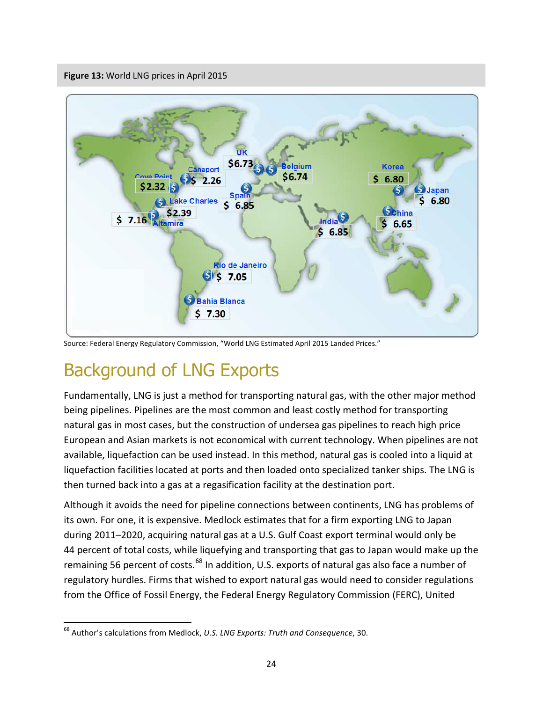<span id="page-27-0"></span>**Figure 13:** World LNG prices in April 2015

![](_page_27_Figure_1.jpeg)

Source: Federal Energy Regulatory Commission, "World LNG Estimated April 2015 Landed Prices."

#### Background of LNG Exports

Fundamentally, LNG is just a method for transporting natural gas, with the other major method being pipelines. Pipelines are the most common and least costly method for transporting natural gas in most cases, but the construction of undersea gas pipelines to reach high price European and Asian markets is not economical with current technology. When pipelines are not available, liquefaction can be used instead. In this method, natural gas is cooled into a liquid at liquefaction facilities located at ports and then loaded onto specialized tanker ships. The LNG is then turned back into a gas at a regasification facility at the destination port.

Although it avoids the need for pipeline connections between continents, LNG has problems of its own. For one, it is expensive. Medlock estimates that for a firm exporting LNG to Japan during 2011–2020, acquiring natural gas at a U.S. Gulf Coast export terminal would only be 44 percent of total costs, while liquefying and transporting that gas to Japan would make up the remaining 56 percent of costs.<sup>[68](#page-27-1)</sup> In addition, U.S. exports of natural gas also face a number of regulatory hurdles. Firms that wished to export natural gas would need to consider regulations from the Office of Fossil Energy, the Federal Energy Regulatory Commission (FERC), United

<span id="page-27-1"></span> <sup>68</sup> Author's calculations from Medlock, *U.S. LNG Exports: Truth and Consequence*, 30.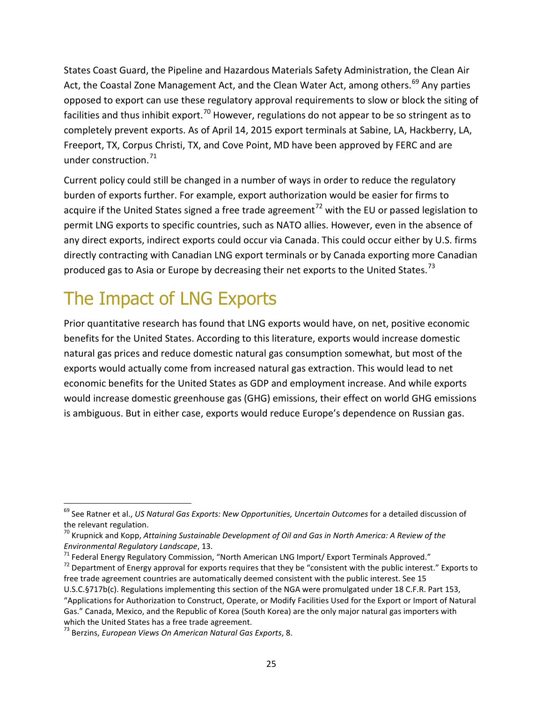States Coast Guard, the Pipeline and Hazardous Materials Safety Administration, the Clean Air Act, the Coastal Zone Management Act, and the Clean Water Act, among others.<sup>[69](#page-28-0)</sup> Any parties opposed to export can use these regulatory approval requirements to slow or block the siting of facilities and thus inhibit export.<sup>[70](#page-28-1)</sup> However, regulations do not appear to be so stringent as to completely prevent exports. As of April 14, 2015 export terminals at Sabine, LA, Hackberry, LA, Freeport, TX, Corpus Christi, TX, and Cove Point, MD have been approved by FERC and are under construction.<sup>[71](#page-28-2)</sup>

Current policy could still be changed in a number of ways in order to reduce the regulatory burden of exports further. For example, export authorization would be easier for firms to acquire if the United States signed a free trade agreement<sup>[72](#page-28-3)</sup> with the EU or passed legislation to permit LNG exports to specific countries, such as NATO allies. However, even in the absence of any direct exports, indirect exports could occur via Canada. This could occur either by U.S. firms directly contracting with Canadian LNG export terminals or by Canada exporting more Canadian produced gas to Asia or Europe by decreasing their net exports to the United States.<sup>[73](#page-28-4)</sup>

### The Impact of LNG Exports

Prior quantitative research has found that LNG exports would have, on net, positive economic benefits for the United States. According to this literature, exports would increase domestic natural gas prices and reduce domestic natural gas consumption somewhat, but most of the exports would actually come from increased natural gas extraction. This would lead to net economic benefits for the United States as GDP and employment increase. And while exports would increase domestic greenhouse gas (GHG) emissions, their effect on world GHG emissions is ambiguous. But in either case, exports would reduce Europe's dependence on Russian gas.

<span id="page-28-3"></span><span id="page-28-2"></span><sup>71</sup> Federal Energy Regulatory Commission, "North American LNG Import/ Export Terminals Approved."<br><sup>72</sup> Department of Energy approval for exports requires that they be "consistent with the public interest." Exports to free trade agreement countries are automatically deemed consistent with the public interest. See 15 U.S.C.§717b(c). Regulations implementing this section of the NGA were promulgated under 18 C.F.R. Part 153,

<span id="page-28-0"></span> <sup>69</sup> See Ratner et al., *US Natural Gas Exports: New Opportunities, Uncertain Outcomes* for a detailed discussion of

<span id="page-28-1"></span>the relevant regulation.<br><sup>70</sup> Krupnick and Kopp, *Attaining Sustainable Development of Oil and Gas in North America: A Review of the <i>Environmental Regulatory Landscape*, 13.

<sup>&</sup>quot;Applications for Authorization to Construct, Operate, or Modify Facilities Used for the Export or Import of Natural Gas." Canada, Mexico, and the Republic of Korea (South Korea) are the only major natural gas importers with which the United States has a free trade agreement.<br><sup>73</sup> Berzins, *European Views On American Natural Gas Exports*, 8.

<span id="page-28-4"></span>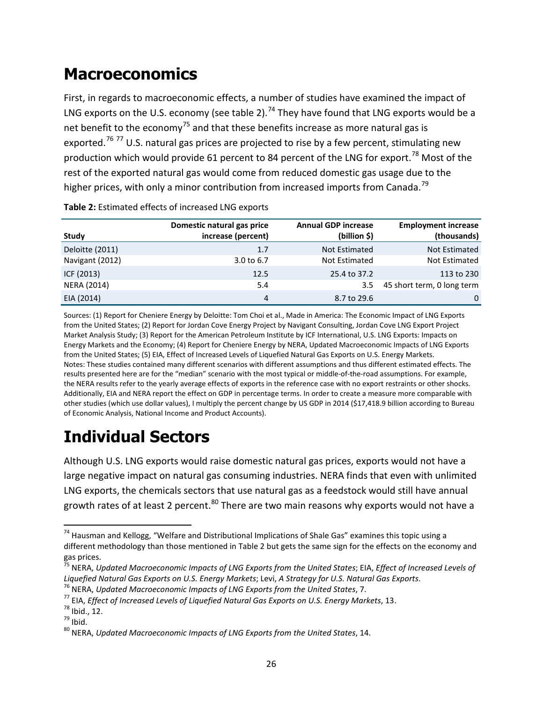#### **Macroeconomics**

First, in regards to macroeconomic effects, a number of studies have examined the impact of LNG exports on the U.S. economy (see table 2).<sup>[74](#page-29-1)</sup> They have found that LNG exports would be a net benefit to the economy<sup>[75](#page-29-2)</sup> and that these benefits increase as more natural gas is exported.<sup>[76](#page-29-3) [77](#page-29-4)</sup> U.S. natural gas prices are projected to rise by a few percent, stimulating new production which would provide 61 percent to 84 percent of the LNG for export.<sup>[78](#page-29-5)</sup> Most of the rest of the exported natural gas would come from reduced domestic gas usage due to the higher prices, with only a minor contribution from increased imports from Canada.<sup>[79](#page-29-6)</sup>

|                    | Domestic natural gas price | <b>Annual GDP increase</b> | <b>Employment increase</b> |
|--------------------|----------------------------|----------------------------|----------------------------|
| <b>Study</b>       | increase (percent)         | (billion \$)               | (thousands)                |
| Deloitte (2011)    | 1.7                        | Not Estimated              | Not Estimated              |
| Navigant (2012)    | 3.0 to 6.7                 | Not Estimated              | Not Estimated              |
| ICF (2013)         | 12.5                       | 25.4 to 37.2               | 113 to 230                 |
| <b>NERA (2014)</b> | 5.4                        | 3.5                        | 45 short term, 0 long term |
| EIA (2014)         | 4                          | 8.7 to 29.6                | 0                          |

<span id="page-29-0"></span>**Table 2:** Estimated effects of increased LNG exports

Sources: (1) Report for Cheniere Energy by Deloitte: Tom Choi et al., Made in America: The Economic Impact of LNG Exports from the United States; (2) Report for Jordan Cove Energy Project by Navigant Consulting, Jordan Cove LNG Export Project Market Analysis Study; (3) Report for the American Petroleum Institute by ICF International, U.S. LNG Exports: Impacts on Energy Markets and the Economy; (4) Report for Cheniere Energy by NERA, Updated Macroeconomic Impacts of LNG Exports from the United States; (5) EIA, Effect of Increased Levels of Liquefied Natural Gas Exports on U.S. Energy Markets. Notes: These studies contained many different scenarios with different assumptions and thus different estimated effects. The results presented here are for the "median" scenario with the most typical or middle-of-the-road assumptions. For example, the NERA results refer to the yearly average effects of exports in the reference case with no export restraints or other shocks. Additionally, EIA and NERA report the effect on GDP in percentage terms. In order to create a measure more comparable with other studies (which use dollar values), I multiply the percent change by US GDP in 2014 (\$17,418.9 billion according to Bureau of Economic Analysis, National Income and Product Accounts).

#### **Individual Sectors**

Although U.S. LNG exports would raise domestic natural gas prices, exports would not have a large negative impact on natural gas consuming industries. NERA finds that even with unlimited LNG exports, the chemicals sectors that use natural gas as a feedstock would still have annual growth rates of at least 2 percent.<sup>[80](#page-29-7)</sup> There are two main reasons why exports would not have a

<span id="page-29-1"></span><sup>&</sup>lt;sup>74</sup> Hausman and Kellogg, "Welfare and Distributional Implications of Shale Gas" examines this topic using a different methodology than those mentioned in Table 2 but gets the same sign for the effects on the economy and gas prices.

<span id="page-29-2"></span><sup>75</sup> NERA, *Updated Macroeconomic Impacts of LNG Exports from the United States*; EIA, *Effect of Increased Levels of*  Liquefied Natural Gas Exports on U.S. Energy Markets; Levi, A Strategy for U.S. Natural Gas Exports.<br><sup>76</sup> NERA, Updated Macroeconomic Impacts of LNG Exports from the United States, 7.<br><sup>77</sup> EIA, Effect of Increased Levels

<span id="page-29-3"></span>

<span id="page-29-4"></span>

<span id="page-29-5"></span>

<span id="page-29-6"></span>

<span id="page-29-7"></span>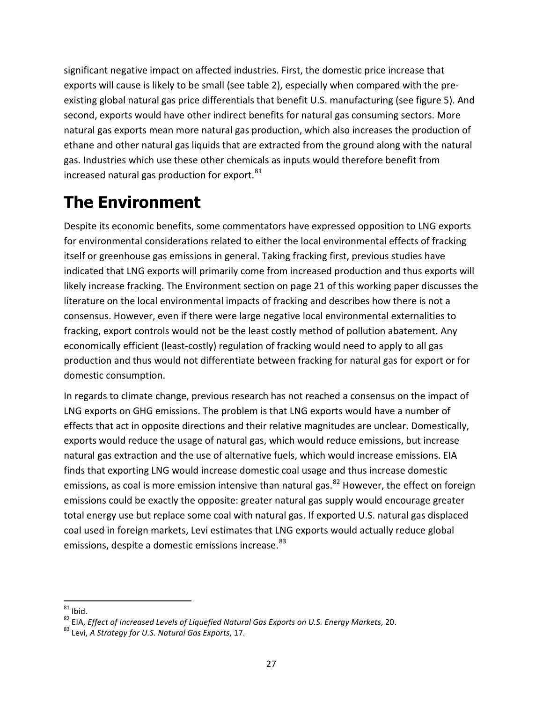significant negative impact on affected industries. First, the domestic price increase that exports will cause is likely to be small (see table 2), especially when compared with the preexisting global natural gas price differentials that benefit U.S. manufacturing (see figure 5). And second, exports would have other indirect benefits for natural gas consuming sectors. More natural gas exports mean more natural gas production, which also increases the production of ethane and other natural gas liquids that are extracted from the ground along with the natural gas. Industries which use these other chemicals as inputs would therefore benefit from increased natural gas production for export. $81$ 

#### **The Environment**

Despite its economic benefits, some commentators have expressed opposition to LNG exports for environmental considerations related to either the local environmental effects of fracking itself or greenhouse gas emissions in general. Taking fracking first, previous studies have indicated that LNG exports will primarily come from increased production and thus exports will likely increase fracking. The Environment section on page 21 of this working paper discusses the literature on the local environmental impacts of fracking and describes how there is not a consensus. However, even if there were large negative local environmental externalities to fracking, export controls would not be the least costly method of pollution abatement. Any economically efficient (least-costly) regulation of fracking would need to apply to all gas production and thus would not differentiate between fracking for natural gas for export or for domestic consumption.

In regards to climate change, previous research has not reached a consensus on the impact of LNG exports on GHG emissions. The problem is that LNG exports would have a number of effects that act in opposite directions and their relative magnitudes are unclear. Domestically, exports would reduce the usage of natural gas, which would reduce emissions, but increase natural gas extraction and the use of alternative fuels, which would increase emissions. EIA finds that exporting LNG would increase domestic coal usage and thus increase domestic emissions, as coal is more emission intensive than natural gas.<sup>[82](#page-30-1)</sup> However, the effect on foreign emissions could be exactly the opposite: greater natural gas supply would encourage greater total energy use but replace some coal with natural gas. If exported U.S. natural gas displaced coal used in foreign markets, Levi estimates that LNG exports would actually reduce global emissions, despite a domestic emissions increase.<sup>[83](#page-30-2)</sup>

<span id="page-30-1"></span><span id="page-30-0"></span><sup>&</sup>lt;sup>81</sup> Ibid.<br><sup>82</sup> EIA, *Effect of Increased Levels of Liquefied Natural Gas Exports on U.S. Energy Markets, 20.*<br><sup>83</sup> Levi. *A Strateav for U.S. Natural Gas Exports*, 17.

<span id="page-30-2"></span>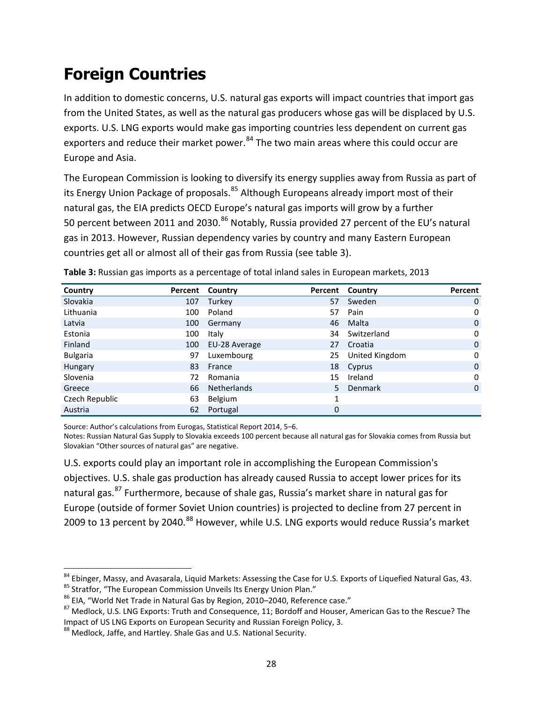#### **Foreign Countries**

In addition to domestic concerns, U.S. natural gas exports will impact countries that import gas from the United States, as well as the natural gas producers whose gas will be displaced by U.S. exports. U.S. LNG exports would make gas importing countries less dependent on current gas exporters and reduce their market power.<sup>[84](#page-31-1)</sup> The two main areas where this could occur are Europe and Asia.

The European Commission is looking to diversify its energy supplies away from Russia as part of its Energy Union Package of proposals.<sup>[85](#page-31-2)</sup> Although Europeans already import most of their natural gas, the EIA predicts OECD Europe's natural gas imports will grow by a further 50 percent between 2011 and 2030.<sup>[86](#page-31-3)</sup> Notably, Russia provided 27 percent of the EU's natural gas in 2013. However, Russian dependency varies by country and many Eastern European countries get all or almost all of their gas from Russia (see table 3).

| Country         |     | Percent Country |             | Percent Country | Percent      |
|-----------------|-----|-----------------|-------------|-----------------|--------------|
| Slovakia        | 107 | Turkey          | 57          | Sweden          | $\mathbf{0}$ |
| Lithuania       | 100 | Poland          | 57          | Pain            | 0            |
| Latvia          | 100 | Germany         | 46          | Malta           | $\mathbf{0}$ |
| Estonia         | 100 | Italy           | 34          | Switzerland     | $\mathbf 0$  |
| Finland         | 100 | EU-28 Average   | 27          | Croatia         | $\mathbf 0$  |
| <b>Bulgaria</b> | 97  | Luxembourg      | 25          | United Kingdom  | $\mathbf 0$  |
| Hungary         | 83  | France          | 18          | Cyprus          | $\mathbf 0$  |
| Slovenia        | 72  | Romania         | 15          | Ireland         | 0            |
| Greece          | 66  | Netherlands     | 5.          | <b>Denmark</b>  | $\mathbf 0$  |
| Czech Republic  | 63  | Belgium         |             |                 |              |
| Austria         | 62  | Portugal        | $\mathbf 0$ |                 |              |

<span id="page-31-0"></span>**Table 3:** Russian gas imports as a percentage of total inland sales in European markets, 2013

Source: Author's calculations from Eurogas, Statistical Report 2014, 5–6.

Notes: Russian Natural Gas Supply to Slovakia exceeds 100 percent because all natural gas for Slovakia comes from Russia but Slovakian "Other sources of natural gas" are negative.

U.S. exports could play an important role in accomplishing the European Commission's objectives. U.S. shale gas production has already caused Russia to accept lower prices for its natural gas.<sup>[87](#page-31-4)</sup> Furthermore, because of shale gas, Russia's market share in natural gas for Europe (outside of former Soviet Union countries) is projected to decline from 27 percent in 2009 to 13 percent by 2040.<sup>[88](#page-31-5)</sup> However, while U.S. LNG exports would reduce Russia's market

<span id="page-31-1"></span>

<span id="page-31-2"></span>

<span id="page-31-4"></span><span id="page-31-3"></span>

<sup>&</sup>lt;sup>84</sup> Ebinger, Massy, and Avasarala, Liquid Markets: Assessing the Case for U.S. Exports of Liquefied Natural Gas, 43.<br><sup>85</sup> Stratfor, "The European Commission Unveils Its Energy Union Plan."<br><sup>86</sup> EIA, "World Net Trade in Na

<span id="page-31-5"></span><sup>&</sup>lt;sup>88</sup> Medlock, Jaffe, and Hartley. Shale Gas and U.S. National Security.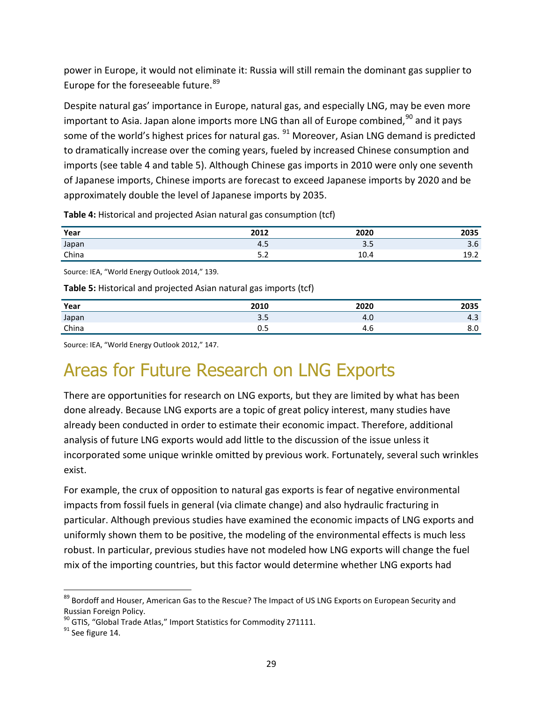power in Europe, it would not eliminate it: Russia will still remain the dominant gas supplier to Europe for the foreseeable future.<sup>[89](#page-32-2)</sup>

Despite natural gas' importance in Europe, natural gas, and especially LNG, may be even more important to Asia. Japan alone imports more LNG than all of Europe combined,<sup>[90](#page-32-3)</sup> and it pays some of the world's highest prices for natural gas. <sup>[91](#page-32-4)</sup> Moreover, Asian LNG demand is predicted to dramatically increase over the coming years, fueled by increased Chinese consumption and imports (see table 4 and table 5). Although Chinese gas imports in 2010 were only one seventh of Japanese imports, Chinese imports are forecast to exceed Japanese imports by 2020 and be approximately double the level of Japanese imports by 2035.

| Year                                                                                                                                                                                 | 2012        | 2020 | 2035 |
|--------------------------------------------------------------------------------------------------------------------------------------------------------------------------------------|-------------|------|------|
| Japan                                                                                                                                                                                | 4.5         | 3.5  | 3.6  |
| China<br>$\mathcal{L}^{\text{max}}_{\text{max}}$ and $\mathcal{L}^{\text{max}}_{\text{max}}$ and $\mathcal{L}^{\text{max}}_{\text{max}}$ and $\mathcal{L}^{\text{max}}_{\text{max}}$ | $ -$<br>ے.د | 10.4 | 19.2 |

<span id="page-32-0"></span>**Table 4:** Historical and projected Asian natural gas consumption (tcf)

Source: IEA, "World Energy Outlook 2014," 139.

<span id="page-32-1"></span>**Table 5:** Historical and projected Asian natural gas imports (tcf)

| Year  | 2010       | 2020 | 2035 |
|-------|------------|------|------|
| Japan | n r<br>၁.၁ | 4.V  | 4.5  |
| China | υ.υ        | 4.b  | ο.υ  |

Source: IEA, "World Energy Outlook 2012," 147.

#### Areas for Future Research on LNG Exports

There are opportunities for research on LNG exports, but they are limited by what has been done already. Because LNG exports are a topic of great policy interest, many studies have already been conducted in order to estimate their economic impact. Therefore, additional analysis of future LNG exports would add little to the discussion of the issue unless it incorporated some unique wrinkle omitted by previous work. Fortunately, several such wrinkles exist.

For example, the crux of opposition to natural gas exports is fear of negative environmental impacts from fossil fuels in general (via climate change) and also hydraulic fracturing in particular. Although previous studies have examined the economic impacts of LNG exports and uniformly shown them to be positive, the modeling of the environmental effects is much less robust. In particular, previous studies have not modeled how LNG exports will change the fuel mix of the importing countries, but this factor would determine whether LNG exports had

<span id="page-32-2"></span><sup>89</sup> Bordoff and Houser, American Gas to the Rescue? The Impact of US LNG Exports on European Security and Russian Foreign Policy.

<span id="page-32-4"></span><span id="page-32-3"></span> $^{90}$  GTIS, "Global Trade Atlas," Import Statistics for Commodity 271111.<br><sup>91</sup> See figure 14.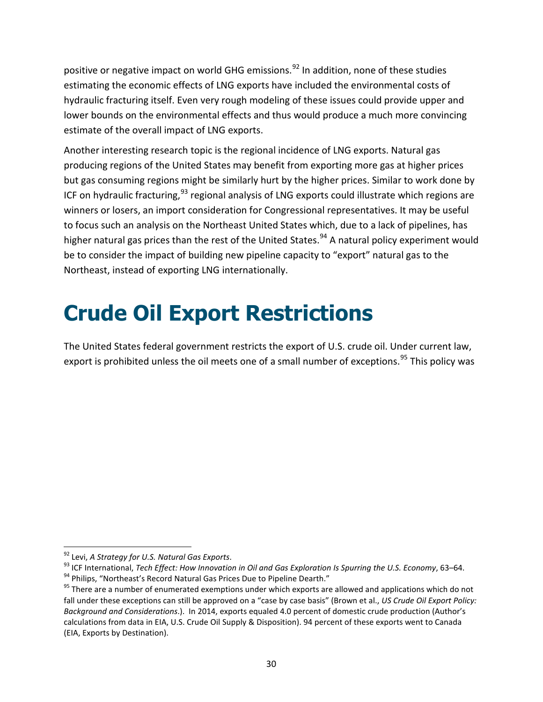positive or negative impact on world GHG emissions.<sup>[92](#page-33-1)</sup> In addition, none of these studies estimating the economic effects of LNG exports have included the environmental costs of hydraulic fracturing itself. Even very rough modeling of these issues could provide upper and lower bounds on the environmental effects and thus would produce a much more convincing estimate of the overall impact of LNG exports.

Another interesting research topic is the regional incidence of LNG exports. Natural gas producing regions of the United States may benefit from exporting more gas at higher prices but gas consuming regions might be similarly hurt by the higher prices. Similar to work done by ICF on hydraulic fracturing,  $93$  regional analysis of LNG exports could illustrate which regions are winners or losers, an import consideration for Congressional representatives. It may be useful to focus such an analysis on the Northeast United States which, due to a lack of pipelines, has higher natural gas prices than the rest of the United States.<sup>[94](#page-33-3)</sup> A natural policy experiment would be to consider the impact of building new pipeline capacity to "export" natural gas to the Northeast, instead of exporting LNG internationally.

## <span id="page-33-0"></span>**Crude Oil Export Restrictions**

The United States federal government restricts the export of U.S. crude oil. Under current law, export is prohibited unless the oil meets one of a small number of exceptions.<sup>[95](#page-33-4)</sup> This policy was

<span id="page-33-2"></span><span id="page-33-1"></span><sup>&</sup>lt;sup>92</sup> Levi, *A Strategy for U.S. Natural Gas Exports.*<br><sup>93</sup> ICF International, *Tech Effect: How Innovation in Oil and Gas Exploration Is Spurring the U.S. Economy, 63–64.*<br><sup>94</sup> Philips, "Northeast's Record Natural Gas Pri

<span id="page-33-3"></span>

<span id="page-33-4"></span>fall under these exceptions can still be approved on a "case by case basis" (Brown et al., *US Crude Oil Export Policy: Background and Considerations*.). In 2014, exports equaled 4.0 percent of domestic crude production (Author's calculations from data in EIA, U.S. Crude Oil Supply & Disposition). 94 percent of these exports went to Canada (EIA, Exports by Destination).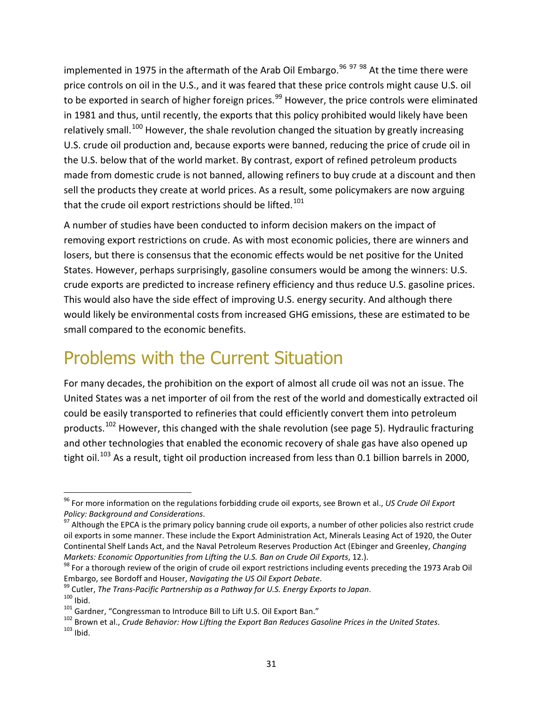implemented in 1975 in the aftermath of the Arab Oil Embargo.<sup>[96](#page-34-0) [97](#page-34-1) [98](#page-34-2)</sup> At the time there were price controls on oil in the U.S., and it was feared that these price controls might cause U.S. oil to be exported in search of higher foreign prices.<sup>[99](#page-34-3)</sup> However, the price controls were eliminated in 1981 and thus, until recently, the exports that this policy prohibited would likely have been relatively small.<sup>[100](#page-34-4)</sup> However, the shale revolution changed the situation by greatly increasing U.S. crude oil production and, because exports were banned, reducing the price of crude oil in the U.S. below that of the world market. By contrast, export of refined petroleum products made from domestic crude is not banned, allowing refiners to buy crude at a discount and then sell the products they create at world prices. As a result, some policymakers are now arguing that the crude oil export restrictions should be lifted.<sup>[101](#page-34-5)</sup>

A number of studies have been conducted to inform decision makers on the impact of removing export restrictions on crude. As with most economic policies, there are winners and losers, but there is consensus that the economic effects would be net positive for the United States. However, perhaps surprisingly, gasoline consumers would be among the winners: U.S. crude exports are predicted to increase refinery efficiency and thus reduce U.S. gasoline prices. This would also have the side effect of improving U.S. energy security. And although there would likely be environmental costs from increased GHG emissions, these are estimated to be small compared to the economic benefits.

#### Problems with the Current Situation

For many decades, the prohibition on the export of almost all crude oil was not an issue. The United States was a net importer of oil from the rest of the world and domestically extracted oil could be easily transported to refineries that could efficiently convert them into petroleum products.<sup>[102](#page-34-6)</sup> However, this changed with the shale revolution (see page 5). Hydraulic fracturing and other technologies that enabled the economic recovery of shale gas have also opened up tight oil.<sup>[103](#page-34-7)</sup> As a result, tight oil production increased from less than 0.1 billion barrels in 2000,

<span id="page-34-0"></span> <sup>96</sup> For more information on the regulations forbidding crude oil exports, see Brown et al., *US Crude Oil Export* 

<span id="page-34-1"></span><sup>&</sup>lt;sup>97</sup> Although the EPCA is the primary policy banning crude oil exports, a number of other policies also restrict crude oil exports in some manner. These include the Export Administration Act, Minerals Leasing Act of 1920, the Outer Continental Shelf Lands Act, and the Naval Petroleum Reserves Production Act (Ebinger and Greenley, *Changing Markets: Economic Opportunities from Lifting the U.S. Ban on Crude Oil <i>Exports*, 12.).<br><sup>98</sup> For a thorough review of the origin of crude oil export restrictions including events preceding the 1973 Arab Oil

<span id="page-34-2"></span>

<span id="page-34-4"></span><span id="page-34-3"></span>

<span id="page-34-7"></span><span id="page-34-6"></span><span id="page-34-5"></span>

Embargo, see Bordoff and Houser, *Navigating the US Oil Export Debate*.<br><sup>99</sup> Cutler, *The Trans-Pacific Partnership as a Pathway for U.S. Energy Exports to Japan.*<br><sup>100</sup> Ibid.<br><sup>101</sup> Gardner, "Congressman to Introduce Bill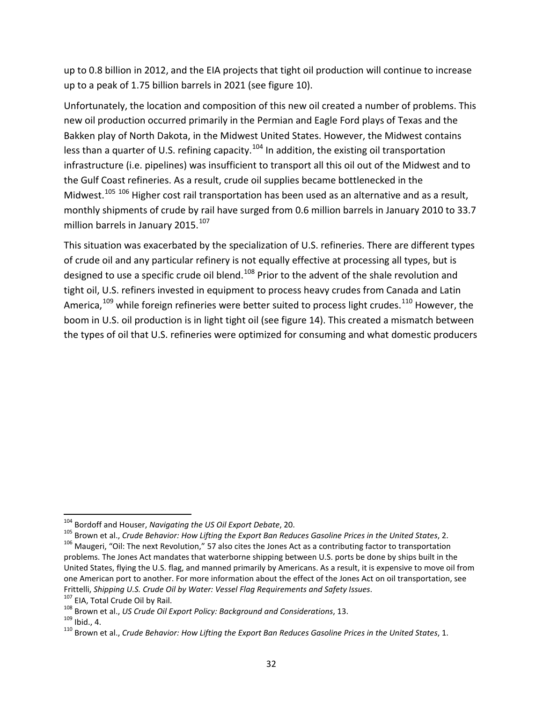up to 0.8 billion in 2012, and the EIA projects that tight oil production will continue to increase up to a peak of 1.75 billion barrels in 2021 (see figure 10).

Unfortunately, the location and composition of this new oil created a number of problems. This new oil production occurred primarily in the Permian and Eagle Ford plays of Texas and the Bakken play of North Dakota, in the Midwest United States. However, the Midwest contains less than a quarter of U.S. refining capacity.<sup>[104](#page-35-0)</sup> In addition, the existing oil transportation infrastructure (i.e. pipelines) was insufficient to transport all this oil out of the Midwest and to the Gulf Coast refineries. As a result, crude oil supplies became bottlenecked in the Midwest.<sup>[105](#page-35-1) [106](#page-35-2)</sup> Higher cost rail transportation has been used as an alternative and as a result, monthly shipments of crude by rail have surged from 0.6 million barrels in January 2010 to 33.7 million barrels in January 2015.<sup>[107](#page-35-3)</sup>

This situation was exacerbated by the specialization of U.S. refineries. There are different types of crude oil and any particular refinery is not equally effective at processing all types, but is designed to use a specific crude oil blend.<sup>[108](#page-35-4)</sup> Prior to the advent of the shale revolution and tight oil, U.S. refiners invested in equipment to process heavy crudes from Canada and Latin America,<sup>[109](#page-35-5)</sup> while foreign refineries were better suited to process light crudes.<sup>[110](#page-35-6)</sup> However, the boom in U.S. oil production is in light tight oil (see figure 14). This created a mismatch between the types of oil that U.S. refineries were optimized for consuming and what domestic producers

<span id="page-35-0"></span><sup>&</sup>lt;sup>104</sup> Bordoff and Houser, Navigating the US Oil Export Debate, 20.<br><sup>105</sup> Brown et al., Crude Behavior: How Lifting the Export Ban Reduces Gasoline Prices in the United States, 2.<br><sup>106</sup> Maugeri, "Oil: The next Revolution,"

<span id="page-35-2"></span><span id="page-35-1"></span>problems. The Jones Act mandates that waterborne shipping between U.S. ports be done by ships built in the United States, flying the U.S. flag, and manned primarily by Americans. As a result, it is expensive to move oil from one American port to another. For more information about the effect of the Jones Act on oil transportation, see Frittelli, Shipping U.S. Crude Oil by Water: Vessel Flag Requirements and Safety Issues.<br><sup>107</sup> EIA, Total Crude Oil by Rail.<br><sup>108</sup> Brown et al., *US Crude Oil Export Policy: Background and Considerations*, 13.<br><sup>109</sup> Ibid.,

<span id="page-35-3"></span>

<span id="page-35-4"></span>

<span id="page-35-5"></span>

<span id="page-35-6"></span>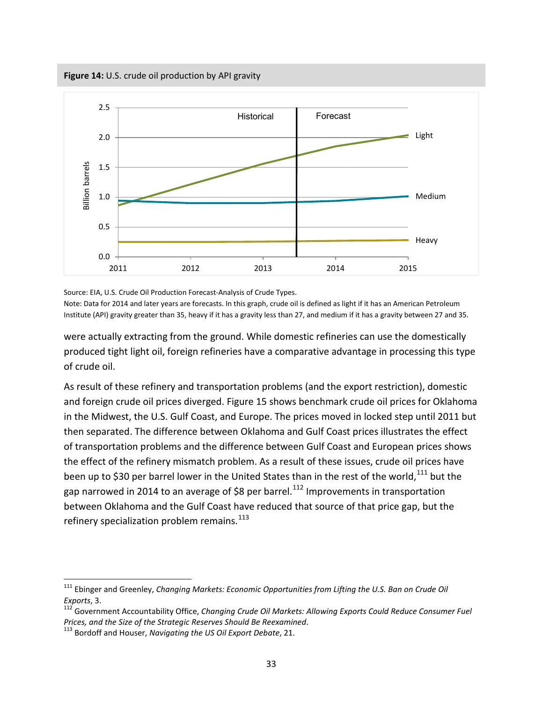<span id="page-36-0"></span>**Figure 14:** U.S. crude oil production by API gravity

![](_page_36_Figure_1.jpeg)

Source: EIA, U.S. Crude Oil Production Forecast-Analysis of Crude Types.

Note: Data for 2014 and later years are forecasts. In this graph, crude oil is defined as light if it has an American Petroleum Institute (API) gravity greater than 35, heavy if it has a gravity less than 27, and medium if it has a gravity between 27 and 35.

were actually extracting from the ground. While domestic refineries can use the domestically produced tight light oil, foreign refineries have a comparative advantage in processing this type of crude oil.

As result of these refinery and transportation problems (and the export restriction), domestic and foreign crude oil prices diverged. Figure 15 shows benchmark crude oil prices for Oklahoma in the Midwest, the U.S. Gulf Coast, and Europe. The prices moved in locked step until 2011 but then separated. The difference between Oklahoma and Gulf Coast prices illustrates the effect of transportation problems and the difference between Gulf Coast and European prices shows the effect of the refinery mismatch problem. As a result of these issues, crude oil prices have been up to \$30 per barrel lower in the United States than in the rest of the world,<sup>[111](#page-36-1)</sup> but the gap narrowed in 2014 to an average of \$8 per barrel.<sup>[112](#page-36-2)</sup> Improvements in transportation between Oklahoma and the Gulf Coast have reduced that source of that price gap, but the refinery specialization problem remains. $113$ 

 $\overline{\phantom{a}}$ 

<span id="page-36-1"></span><sup>&</sup>lt;sup>111</sup> Ebinger and Greenley, *Changing Markets: Economic Opportunities from Lifting the U.S. Ban on Crude Oil* 

<span id="page-36-2"></span>*Exports*, 3.<br><sup>112</sup> Government Accountability Office, *Changing Crude Oil Markets: Allowing Exports Could Reduce Consumer Fuel*<br>Prices, and the Size of the Strategic Reserves Should Be Reexamined.

<span id="page-36-3"></span>*Prices, and the Size of the Strategic Reserves Should Be Reexamined*. 113 Bordoff and Houser, *Navigating the US Oil Export Debate*, 21.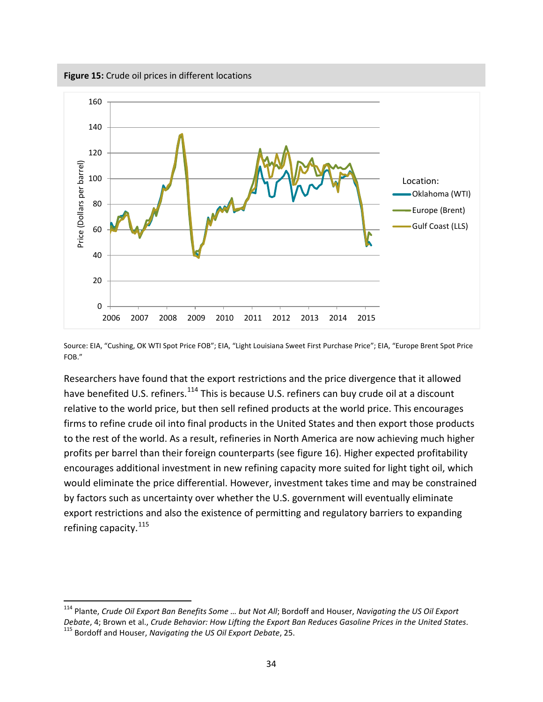<span id="page-37-0"></span>**Figure 15:** Crude oil prices in different locations

![](_page_37_Figure_1.jpeg)

Source: EIA, "Cushing, OK WTI Spot Price FOB"; EIA, "Light Louisiana Sweet First Purchase Price"; EIA, "Europe Brent Spot Price FOB."

Researchers have found that the export restrictions and the price divergence that it allowed have benefited U.S. refiners.<sup>[114](#page-37-1)</sup> This is because U.S. refiners can buy crude oil at a discount relative to the world price, but then sell refined products at the world price. This encourages firms to refine crude oil into final products in the United States and then export those products to the rest of the world. As a result, refineries in North America are now achieving much higher profits per barrel than their foreign counterparts (see figure 16). Higher expected profitability encourages additional investment in new refining capacity more suited for light tight oil, which would eliminate the price differential. However, investment takes time and may be constrained by factors such as uncertainty over whether the U.S. government will eventually eliminate export restrictions and also the existence of permitting and regulatory barriers to expanding refining capacity.<sup>[115](#page-37-2)</sup>

<span id="page-37-2"></span><span id="page-37-1"></span> <sup>114</sup> Plante, *Crude Oil Export Ban Benefits Some … but Not All*; Bordoff and Houser, *Navigating the US Oil Export Debate*, 4; Brown et al., *Crude Behavior: How Lifting the Export Ban Reduces Gasoline Prices in the United States.*<br><sup>115</sup> Bordoff and Houser, *Navigating the US Oil Export Debate*, 25.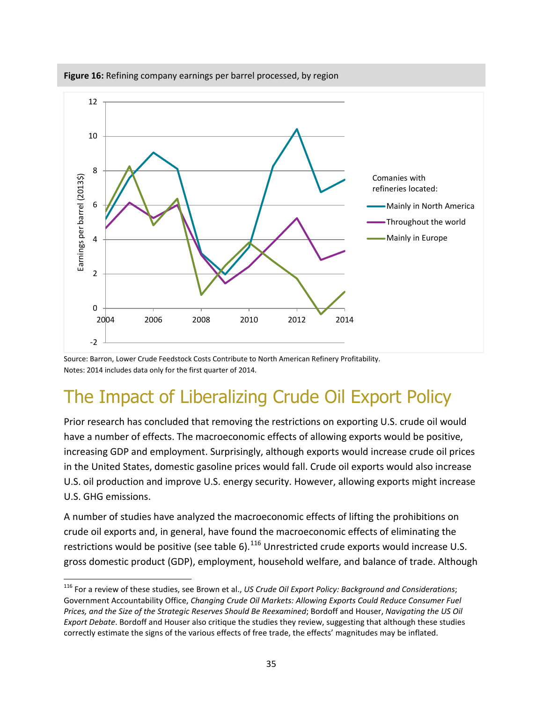![](_page_38_Figure_0.jpeg)

<span id="page-38-0"></span>**Figure 16:** Refining company earnings per barrel processed, by region

Source: Barron, Lower Crude Feedstock Costs Contribute to North American Refinery Profitability. Notes: 2014 includes data only for the first quarter of 2014.

### The Impact of Liberalizing Crude Oil Export Policy

Prior research has concluded that removing the restrictions on exporting U.S. crude oil would have a number of effects. The macroeconomic effects of allowing exports would be positive, increasing GDP and employment. Surprisingly, although exports would increase crude oil prices in the United States, domestic gasoline prices would fall. Crude oil exports would also increase U.S. oil production and improve U.S. energy security. However, allowing exports might increase U.S. GHG emissions.

A number of studies have analyzed the macroeconomic effects of lifting the prohibitions on crude oil exports and, in general, have found the macroeconomic effects of eliminating the restrictions would be positive (see table 6).<sup>[116](#page-38-1)</sup> Unrestricted crude exports would increase U.S. gross domestic product (GDP), employment, household welfare, and balance of trade. Although

<span id="page-38-1"></span> <sup>116</sup> For a review of these studies, see Brown et al., *US Crude Oil Export Policy: Background and Considerations*; Government Accountability Office, *Changing Crude Oil Markets: Allowing Exports Could Reduce Consumer Fuel Prices, and the Size of the Strategic Reserves Should Be Reexamined*; Bordoff and Houser, *Navigating the US Oil Export Debate*. Bordoff and Houser also critique the studies they review, suggesting that although these studies correctly estimate the signs of the various effects of free trade, the effects' magnitudes may be inflated.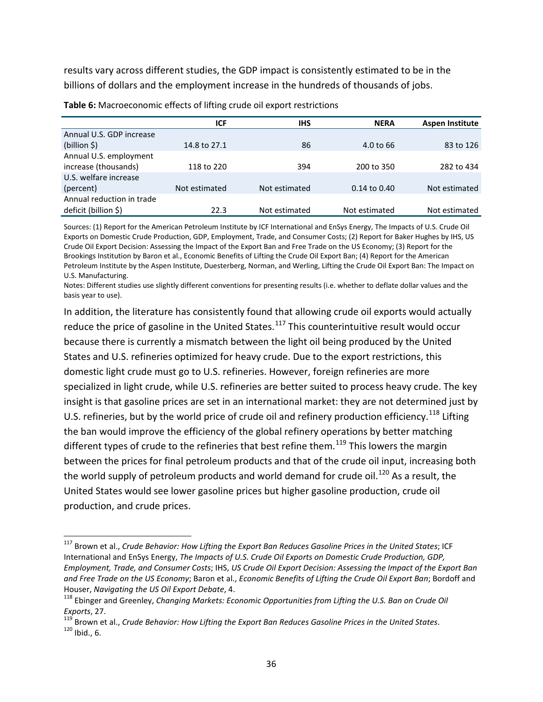results vary across different studies, the GDP impact is consistently estimated to be in the billions of dollars and the employment increase in the hundreds of thousands of jobs.

|                           | ICF           | <b>IHS</b>    | <b>NERA</b>          | <b>Aspen Institute</b> |
|---------------------------|---------------|---------------|----------------------|------------------------|
| Annual U.S. GDP increase  |               |               |                      |                        |
| (billion \$)              | 14.8 to 27.1  | 86            | $4.0 \text{ to } 66$ | 83 to 126              |
| Annual U.S. employment    |               |               |                      |                        |
| increase (thousands)      | 118 to 220    | 394           | 200 to 350           | 282 to 434             |
| U.S. welfare increase     |               |               |                      |                        |
| (percent)                 | Not estimated | Not estimated | $0.14$ to $0.40$     | Not estimated          |
| Annual reduction in trade |               |               |                      |                        |
| deficit (billion \$)      | 22.3          | Not estimated | Not estimated        | Not estimated          |

<span id="page-39-0"></span>**Table 6:** Macroeconomic effects of lifting crude oil export restrictions

Sources: (1) Report for the American Petroleum Institute by ICF International and EnSys Energy, The Impacts of U.S. Crude Oil Exports on Domestic Crude Production, GDP, Employment, Trade, and Consumer Costs; (2) Report for Baker Hughes by IHS, US Crude Oil Export Decision: Assessing the Impact of the Export Ban and Free Trade on the US Economy; (3) Report for the Brookings Institution by Baron et al., Economic Benefits of Lifting the Crude Oil Export Ban; (4) Report for the American Petroleum Institute by the Aspen Institute, Duesterberg, Norman, and Werling, Lifting the Crude Oil Export Ban: The Impact on U.S. Manufacturing.

Notes: Different studies use slightly different conventions for presenting results (i.e. whether to deflate dollar values and the basis year to use).

In addition, the literature has consistently found that allowing crude oil exports would actually reduce the price of gasoline in the United States.<sup>[117](#page-39-1)</sup> This counterintuitive result would occur because there is currently a mismatch between the light oil being produced by the United States and U.S. refineries optimized for heavy crude. Due to the export restrictions, this domestic light crude must go to U.S. refineries. However, foreign refineries are more specialized in light crude, while U.S. refineries are better suited to process heavy crude. The key insight is that gasoline prices are set in an international market: they are not determined just by U.S. refineries, but by the world price of crude oil and refinery production efficiency.<sup>[118](#page-39-2)</sup> Lifting the ban would improve the efficiency of the global refinery operations by better matching different types of crude to the refineries that best refine them.<sup>[119](#page-39-3)</sup> This lowers the margin between the prices for final petroleum products and that of the crude oil input, increasing both the world supply of petroleum products and world demand for crude oil.<sup>[120](#page-39-4)</sup> As a result, the United States would see lower gasoline prices but higher gasoline production, crude oil production, and crude prices.

<span id="page-39-1"></span> <sup>117</sup> Brown et al., *Crude Behavior: How Lifting the Export Ban Reduces Gasoline Prices in the United States*; ICF International and EnSys Energy, *The Impacts of U.S. Crude Oil Exports on Domestic Crude Production, GDP, Employment, Trade, and Consumer Costs*; IHS, *US Crude Oil Export Decision: Assessing the Impact of the Export Ban and Free Trade on the US Economy*; Baron et al., *Economic Benefits of Lifting the Crude Oil Export Ban*; Bordoff and Houser, *Navigating the US Oil Export Debate*, 4.<br><sup>118</sup> Ebinger and Greenley, *Changing Markets: Economic Opportunities from Lifting the U.S. Ban on Crude Oil* 

<span id="page-39-4"></span><span id="page-39-3"></span><span id="page-39-2"></span>*Exports, 27.*<br><sup>119</sup> Brown et al., *Crude Behavior: How Lifting the Export Ban Reduces Gasoline Prices in the United States.* 120<br><sup>120</sup> Ibid., 6.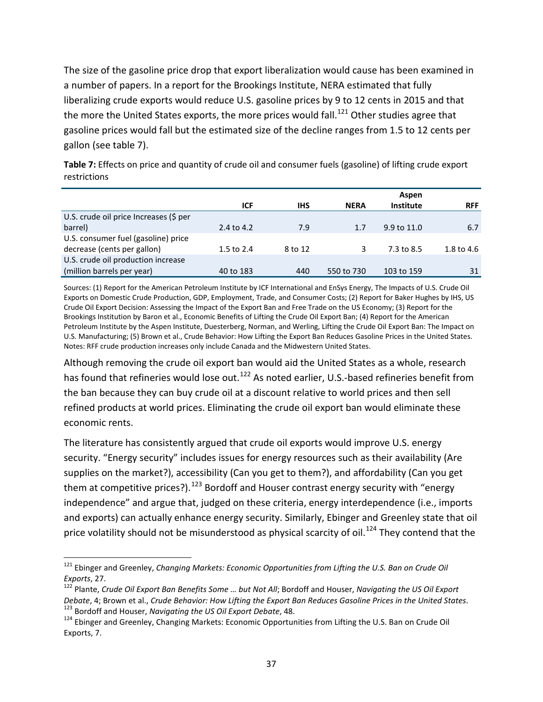The size of the gasoline price drop that export liberalization would cause has been examined in a number of papers. In a report for the Brookings Institute, NERA estimated that fully liberalizing crude exports would reduce U.S. gasoline prices by 9 to 12 cents in 2015 and that the more the United States exports, the more prices would fall.<sup>[121](#page-40-1)</sup> Other studies agree that gasoline prices would fall but the estimated size of the decline ranges from 1.5 to 12 cents per gallon (see table 7).

|                                        |            |            |             | Aspen       |            |
|----------------------------------------|------------|------------|-------------|-------------|------------|
|                                        | <b>ICF</b> | <b>IHS</b> | <b>NERA</b> | Institute   | <b>RFF</b> |
| U.S. crude oil price Increases (\$ per |            |            |             |             |            |
| barrel)                                | 2.4 to 4.2 | 7.9        | 1.7         | 9.9 to 11.0 | 6.7        |
| U.S. consumer fuel (gasoline) price    |            |            |             |             |            |
| decrease (cents per gallon)            | 1.5 to 2.4 | 8 to 12    | 3           | 7.3 to 8.5  | 1.8 to 4.6 |
| U.S. crude oil production increase     |            |            |             |             |            |
| (million barrels per year)             | 40 to 183  | 440        | 550 to 730  | 103 to 159  | 31         |

<span id="page-40-0"></span>**Table 7:** Effects on price and quantity of crude oil and consumer fuels (gasoline) of lifting crude export restrictions

Sources: (1) Report for the American Petroleum Institute by ICF International and EnSys Energy, The Impacts of U.S. Crude Oil Exports on Domestic Crude Production, GDP, Employment, Trade, and Consumer Costs; (2) Report for Baker Hughes by IHS, US Crude Oil Export Decision: Assessing the Impact of the Export Ban and Free Trade on the US Economy; (3) Report for the Brookings Institution by Baron et al., Economic Benefits of Lifting the Crude Oil Export Ban; (4) Report for the American Petroleum Institute by the Aspen Institute, Duesterberg, Norman, and Werling, Lifting the Crude Oil Export Ban: The Impact on U.S. Manufacturing; (5) Brown et al., Crude Behavior: How Lifting the Export Ban Reduces Gasoline Prices in the United States. Notes: RFF crude production increases only include Canada and the Midwestern United States.

Although removing the crude oil export ban would aid the United States as a whole, research has found that refineries would lose out.<sup>[122](#page-40-2)</sup> As noted earlier, U.S.-based refineries benefit from the ban because they can buy crude oil at a discount relative to world prices and then sell refined products at world prices. Eliminating the crude oil export ban would eliminate these economic rents.

The literature has consistently argued that crude oil exports would improve U.S. energy security. "Energy security" includes issues for energy resources such as their availability (Are supplies on the market?), accessibility (Can you get to them?), and affordability (Can you get them at competitive prices?).<sup>[123](#page-40-3)</sup> Bordoff and Houser contrast energy security with "energy independence" and argue that, judged on these criteria, energy interdependence (i.e., imports and exports) can actually enhance energy security. Similarly, Ebinger and Greenley state that oil price volatility should not be misunderstood as physical scarcity of oil.<sup>[124](#page-40-4)</sup> They contend that the

<span id="page-40-1"></span> <sup>121</sup> Ebinger and Greenley, *Changing Markets: Economic Opportunities from Lifting the U.S. Ban on Crude Oil* 

<span id="page-40-2"></span>*Exports, 27.*<br><sup>122</sup> Plante, *Crude Oil Export Ban Benefits Some ... but Not All*; Bordoff and Houser, *Navigating the US Oil Export* Debate, 4; Brown et al., Crude Behavior: How Lifting the Export Ban Reduces Gasoline Prices in the United States.<br><sup>123</sup> Bordoff and Houser, Navigating the US Oil Export Debate, 48.<br><sup>124</sup> Ebinger and Greenley, Changing Mark

<span id="page-40-4"></span><span id="page-40-3"></span>Exports, 7.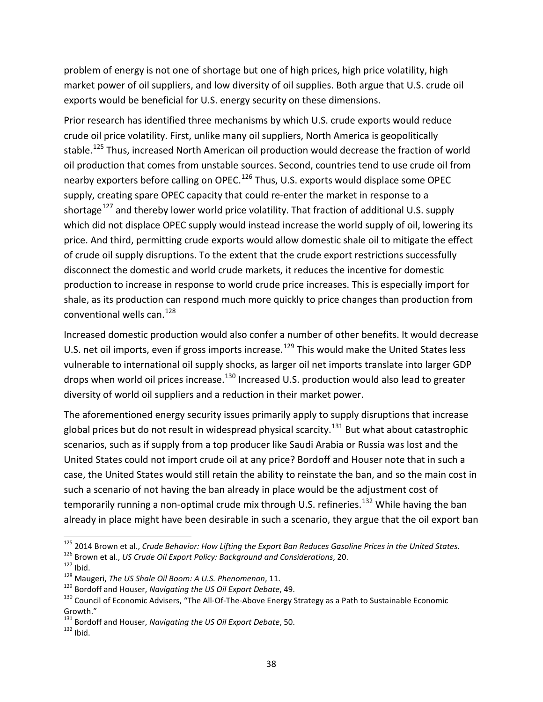problem of energy is not one of shortage but one of high prices, high price volatility, high market power of oil suppliers, and low diversity of oil supplies. Both argue that U.S. crude oil exports would be beneficial for U.S. energy security on these dimensions.

Prior research has identified three mechanisms by which U.S. crude exports would reduce crude oil price volatility. First, unlike many oil suppliers, North America is geopolitically stable.<sup>[125](#page-41-0)</sup> Thus, increased North American oil production would decrease the fraction of world oil production that comes from unstable sources. Second, countries tend to use crude oil from nearby exporters before calling on OPEC.<sup>[126](#page-41-1)</sup> Thus, U.S. exports would displace some OPEC supply, creating spare OPEC capacity that could re-enter the market in response to a shortage<sup>[127](#page-41-2)</sup> and thereby lower world price volatility. That fraction of additional U.S. supply which did not displace OPEC supply would instead increase the world supply of oil, lowering its price. And third, permitting crude exports would allow domestic shale oil to mitigate the effect of crude oil supply disruptions. To the extent that the crude export restrictions successfully disconnect the domestic and world crude markets, it reduces the incentive for domestic production to increase in response to world crude price increases. This is especially import for shale, as its production can respond much more quickly to price changes than production from conventional wells can.<sup>[128](#page-41-3)</sup>

Increased domestic production would also confer a number of other benefits. It would decrease U.S. net oil imports, even if gross imports increase.<sup>[129](#page-41-4)</sup> This would make the United States less vulnerable to international oil supply shocks, as larger oil net imports translate into larger GDP drops when world oil prices increase.<sup>[130](#page-41-5)</sup> Increased U.S. production would also lead to greater diversity of world oil suppliers and a reduction in their market power.

The aforementioned energy security issues primarily apply to supply disruptions that increase global prices but do not result in widespread physical scarcity.<sup>[131](#page-41-6)</sup> But what about catastrophic scenarios, such as if supply from a top producer like Saudi Arabia or Russia was lost and the United States could not import crude oil at any price? Bordoff and Houser note that in such a case, the United States would still retain the ability to reinstate the ban, and so the main cost in such a scenario of not having the ban already in place would be the adjustment cost of temporarily running a non-optimal crude mix through U.S. refineries.<sup>[132](#page-41-7)</sup> While having the ban already in place might have been desirable in such a scenario, they argue that the oil export ban

<span id="page-41-1"></span><span id="page-41-0"></span><sup>&</sup>lt;sup>125</sup> 2014 Brown et al., *Crude Behavior: How Lifting the Export Ban Reduces Gasoline Prices in the United States.*<br><sup>126</sup> Brown et al., *US Crude Oil Export Policy: Background and Considerations*, 20.<br><sup>127</sup> Ibid.<br><sup>128</sup> Ma

<span id="page-41-2"></span>

<span id="page-41-3"></span>

<span id="page-41-4"></span>

<span id="page-41-5"></span>Growth."<br><sup>131</sup> Bordoff and Houser, *Navigating the US Oil Export Debate*, 50.<br><sup>132</sup> Ibid

<span id="page-41-7"></span><span id="page-41-6"></span>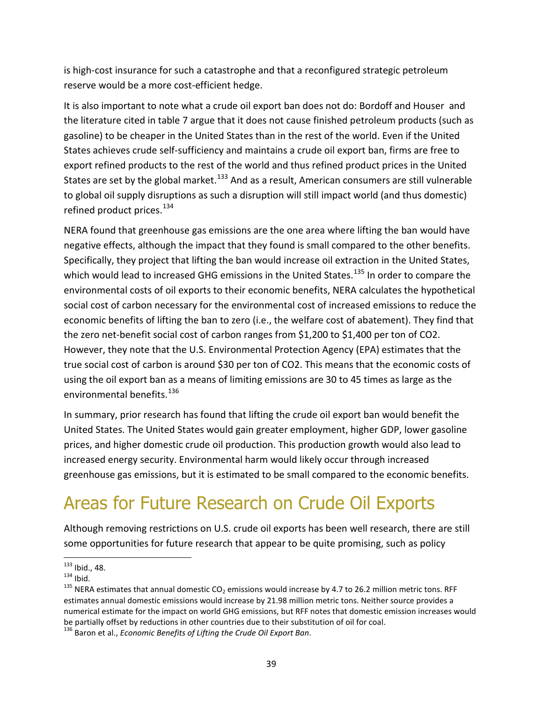is high-cost insurance for such a catastrophe and that a reconfigured strategic petroleum reserve would be a more cost-efficient hedge.

It is also important to note what a crude oil export ban does not do: Bordoff and Houser and the literature cited in table 7 argue that it does not cause finished petroleum products (such as gasoline) to be cheaper in the United States than in the rest of the world. Even if the United States achieves crude self-sufficiency and maintains a crude oil export ban, firms are free to export refined products to the rest of the world and thus refined product prices in the United States are set by the global market.<sup>[133](#page-42-0)</sup> And as a result, American consumers are still vulnerable to global oil supply disruptions as such a disruption will still impact world (and thus domestic) refined product prices.<sup>[134](#page-42-1)</sup>

NERA found that greenhouse gas emissions are the one area where lifting the ban would have negative effects, although the impact that they found is small compared to the other benefits. Specifically, they project that lifting the ban would increase oil extraction in the United States, which would lead to increased GHG emissions in the United States.<sup>[135](#page-42-2)</sup> In order to compare the environmental costs of oil exports to their economic benefits, NERA calculates the hypothetical social cost of carbon necessary for the environmental cost of increased emissions to reduce the economic benefits of lifting the ban to zero (i.e., the welfare cost of abatement). They find that the zero net-benefit social cost of carbon ranges from \$1,200 to \$1,400 per ton of CO2. However, they note that the U.S. Environmental Protection Agency (EPA) estimates that the true social cost of carbon is around \$30 per ton of CO2. This means that the economic costs of using the oil export ban as a means of limiting emissions are 30 to 45 times as large as the environmental benefits.<sup>[136](#page-42-3)</sup>

In summary, prior research has found that lifting the crude oil export ban would benefit the United States. The United States would gain greater employment, higher GDP, lower gasoline prices, and higher domestic crude oil production. This production growth would also lead to increased energy security. Environmental harm would likely occur through increased greenhouse gas emissions, but it is estimated to be small compared to the economic benefits.

### Areas for Future Research on Crude Oil Exports

Although removing restrictions on U.S. crude oil exports has been well research, there are still some opportunities for future research that appear to be quite promising, such as policy

<span id="page-42-2"></span>

<span id="page-42-1"></span><span id="page-42-0"></span><sup>&</sup>lt;sup>133</sup> Ibid., 48.<br><sup>134</sup> Ibid.<br><sup>135</sup> NERA estimates that annual domestic CO<sub>2</sub> emissions would increase by 4.7 to 26.2 million metric tons. RFF estimates annual domestic emissions would increase by 21.98 million metric tons. Neither source provides a numerical estimate for the impact on world GHG emissions, but RFF notes that domestic emission increases would be partially offset by reductions in other countries due to their substitution of oil for coal.

<span id="page-42-3"></span><sup>136</sup> Baron et al., *Economic Benefits of Lifting the Crude Oil Export Ban*.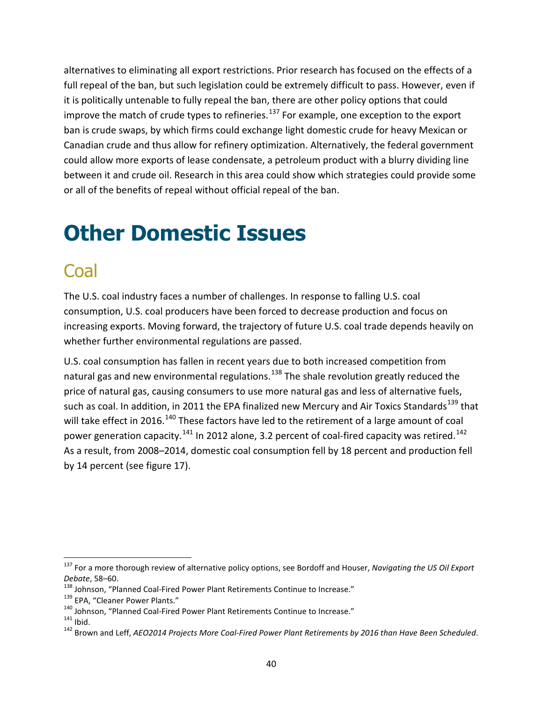alternatives to eliminating all export restrictions. Prior research has focused on the effects of a full repeal of the ban, but such legislation could be extremely difficult to pass. However, even if it is politically untenable to fully repeal the ban, there are other policy options that could improve the match of crude types to refineries. $137$  For example, one exception to the export ban is crude swaps, by which firms could exchange light domestic crude for heavy Mexican or Canadian crude and thus allow for refinery optimization. Alternatively, the federal government could allow more exports of lease condensate, a petroleum product with a blurry dividing line between it and crude oil. Research in this area could show which strategies could provide some or all of the benefits of repeal without official repeal of the ban.

## <span id="page-43-0"></span>**Other Domestic Issues**

#### Coal

The U.S. coal industry faces a number of challenges. In response to falling U.S. coal consumption, U.S. coal producers have been forced to decrease production and focus on increasing exports. Moving forward, the trajectory of future U.S. coal trade depends heavily on whether further environmental regulations are passed.

U.S. coal consumption has fallen in recent years due to both increased competition from natural gas and new environmental regulations.<sup>[138](#page-43-2)</sup> The shale revolution greatly reduced the price of natural gas, causing consumers to use more natural gas and less of alternative fuels, such as coal. In addition, in 2011 the EPA finalized new Mercury and Air Toxics Standards<sup>[139](#page-43-3)</sup> that will take effect in 2016.<sup>[140](#page-43-4)</sup> These factors have led to the retirement of a large amount of coal power generation capacity.<sup>[141](#page-43-5)</sup> In 2012 alone, 3.2 percent of coal-fired capacity was retired.<sup>[142](#page-43-6)</sup> As a result, from 2008–2014, domestic coal consumption fell by 18 percent and production fell by 14 percent (see figure 17).

<span id="page-43-1"></span> <sup>137</sup> For a more thorough review of alternative policy options, see Bordoff and Houser, *Navigating the US Oil Export*  Debate, 58–60.<br><sup>138</sup> Johnson, "Planned Coal-Fired Power Plant Retirements Continue to Increase."<br><sup>139</sup> EPA, "Cleaner Power Plants."<br><sup>140</sup> Johnson, "Planned Coal-Fired Power Plant Retirements Continue to Increase."<br><sup>141</sup> Ib

<span id="page-43-2"></span>

<span id="page-43-3"></span>

<span id="page-43-4"></span>

<span id="page-43-5"></span>

<span id="page-43-6"></span>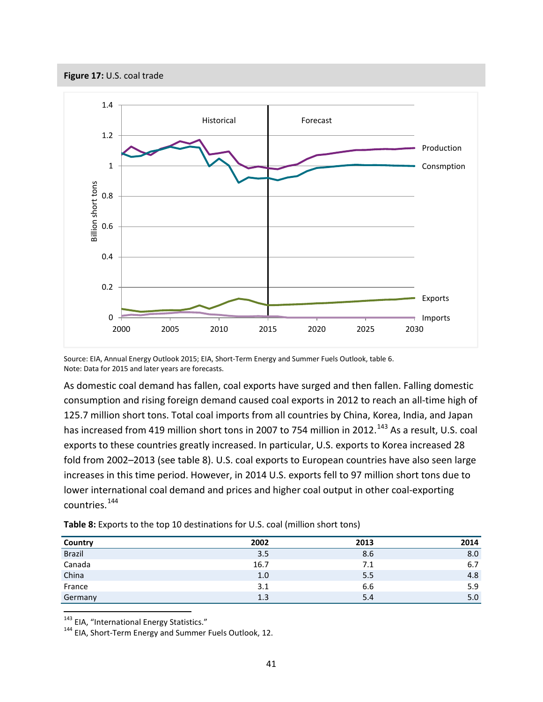<span id="page-44-0"></span>![](_page_44_Figure_0.jpeg)

![](_page_44_Figure_1.jpeg)

Source: EIA, Annual Energy Outlook 2015; EIA, Short-Term Energy and Summer Fuels Outlook, table 6. Note: Data for 2015 and later years are forecasts.

As domestic coal demand has fallen, coal exports have surged and then fallen. Falling domestic consumption and rising foreign demand caused coal exports in 2012 to reach an all-time high of 125.7 million short tons. Total coal imports from all countries by China, Korea, India, and Japan has increased from 419 million short tons in 2007 to 754 million in 2012.<sup>[143](#page-44-2)</sup> As a result, U.S. coal exports to these countries greatly increased. In particular, U.S. exports to Korea increased 28 fold from 2002–2013 (see table 8). U.S. coal exports to European countries have also seen large increases in this time period. However, in 2014 U.S. exports fell to 97 million short tons due to lower international coal demand and prices and higher coal output in other coal-exporting countries.[144](#page-44-3)

| Country       | 2002 | 2013 | 2014 |
|---------------|------|------|------|
| <b>Brazil</b> | 3.5  | 8.6  | 8.0  |
| Canada        | 16.7 | 7.1  | 6.7  |
| China         | 1.0  | 5.5  | 4.8  |
| France        | 3.1  | 6.6  | 5.9  |
| Germany       | 1.3  | 5.4  | 5.0  |

<span id="page-44-1"></span>**Table 8:** Exports to the top 10 destinations for U.S. coal (million short tons)

<span id="page-44-3"></span><span id="page-44-2"></span><sup>143</sup> EIA, "International Energy Statistics."<br><sup>144</sup> EIA, Short-Term Energy and Summer Fuels Outlook, 12.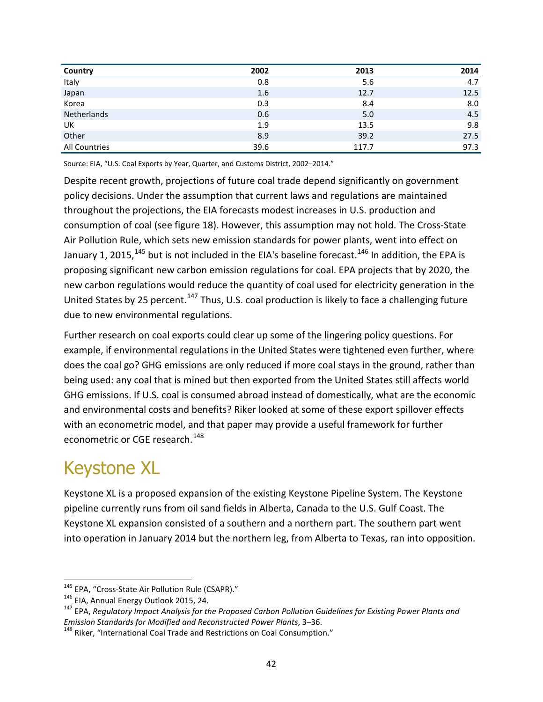| Country       | 2002 | 2013  | 2014 |
|---------------|------|-------|------|
| Italy         | 0.8  | 5.6   | 4.7  |
| Japan         | 1.6  | 12.7  | 12.5 |
| Korea         | 0.3  | 8.4   | 8.0  |
| Netherlands   | 0.6  | 5.0   | 4.5  |
| UK            | 1.9  | 13.5  | 9.8  |
| Other         | 8.9  | 39.2  | 27.5 |
| All Countries | 39.6 | 117.7 | 97.3 |

Source: EIA, "U.S. Coal Exports by Year, Quarter, and Customs District, 2002–2014."

Despite recent growth, projections of future coal trade depend significantly on government policy decisions. Under the assumption that current laws and regulations are maintained throughout the projections, the EIA forecasts modest increases in U.S. production and consumption of coal (see figure 18). However, this assumption may not hold. The Cross-State Air Pollution Rule, which sets new emission standards for power plants, went into effect on January 1, 2015,  $^{145}$  $^{145}$  $^{145}$  but is not included in the EIA's baseline forecast.  $^{146}$  $^{146}$  $^{146}$  In addition, the EPA is proposing significant new carbon emission regulations for coal. EPA projects that by 2020, the new carbon regulations would reduce the quantity of coal used for electricity generation in the United States by 25 percent.<sup>[147](#page-45-2)</sup> Thus, U.S. coal production is likely to face a challenging future due to new environmental regulations.

Further research on coal exports could clear up some of the lingering policy questions. For example, if environmental regulations in the United States were tightened even further, where does the coal go? GHG emissions are only reduced if more coal stays in the ground, rather than being used: any coal that is mined but then exported from the United States still affects world GHG emissions. If U.S. coal is consumed abroad instead of domestically, what are the economic and environmental costs and benefits? Riker looked at some of these export spillover effects with an econometric model, and that paper may provide a useful framework for further econometric or CGE research.<sup>[148](#page-45-3)</sup>

#### Keystone XL

Keystone XL is a proposed expansion of the existing Keystone Pipeline System. The Keystone pipeline currently runs from oil sand fields in Alberta, Canada to the U.S. Gulf Coast. The Keystone XL expansion consisted of a southern and a northern part. The southern part went into operation in January 2014 but the northern leg, from Alberta to Texas, ran into opposition.

<span id="page-45-2"></span>

<span id="page-45-1"></span><span id="page-45-0"></span><sup>&</sup>lt;sup>145</sup> EPA, "Cross-State Air Pollution Rule (CSAPR)."<br><sup>146</sup> EIA, Annual Energy Outlook 2015, 24.<br><sup>147</sup> EPA, *Regulatory Impact Analysis for the Proposed Carbon Pollution Guidelines for Existing Power Plants and<br><i>Emission St* 

<span id="page-45-3"></span><sup>&</sup>lt;sup>148</sup> Riker, "International Coal Trade and Restrictions on Coal Consumption."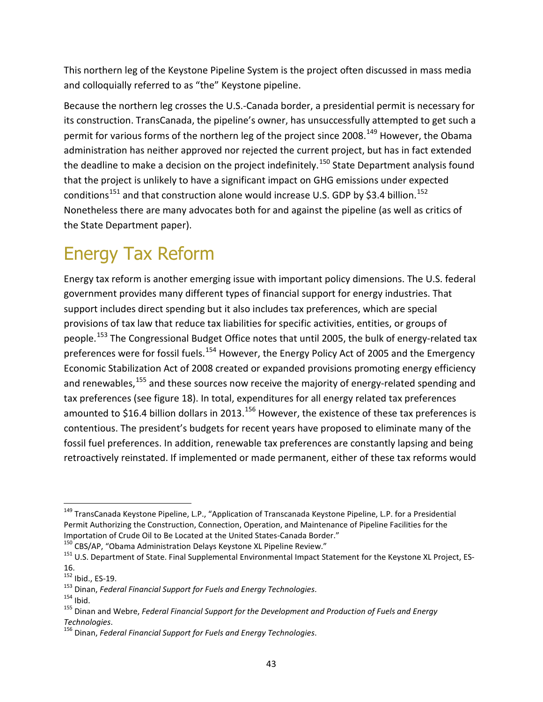This northern leg of the Keystone Pipeline System is the project often discussed in mass media and colloquially referred to as "the" Keystone pipeline.

Because the northern leg crosses the U.S.-Canada border, a presidential permit is necessary for its construction. TransCanada, the pipeline's owner, has unsuccessfully attempted to get such a permit for various forms of the northern leg of the project since 2008.<sup>[149](#page-46-0)</sup> However, the Obama administration has neither approved nor rejected the current project, but has in fact extended the deadline to make a decision on the project indefinitely.<sup>[150](#page-46-1)</sup> State Department analysis found that the project is unlikely to have a significant impact on GHG emissions under expected conditions<sup>[151](#page-46-2)</sup> and that construction alone would increase U.S. GDP by \$3.4 billion.<sup>[152](#page-46-3)</sup> Nonetheless there are many advocates both for and against the pipeline (as well as critics of the State Department paper).

### Energy Tax Reform

Energy tax reform is another emerging issue with important policy dimensions. The U.S. federal government provides many different types of financial support for energy industries. That support includes direct spending but it also includes tax preferences, which are special provisions of tax law that reduce tax liabilities for specific activities, entities, or groups of people.<sup>[153](#page-46-4)</sup> The Congressional Budget Office notes that until 2005, the bulk of energy-related tax preferences were for fossil fuels.<sup>[154](#page-46-5)</sup> However, the Energy Policy Act of 2005 and the Emergency Economic Stabilization Act of 2008 created or expanded provisions promoting energy efficiency and renewables, <sup>[155](#page-46-6)</sup> and these sources now receive the majority of energy-related spending and tax preferences (see figure 18). In total, expenditures for all energy related tax preferences amounted to \$16.4 billion dollars in 2013.<sup>[156](#page-46-7)</sup> However, the existence of these tax preferences is contentious. The president's budgets for recent years have proposed to eliminate many of the fossil fuel preferences. In addition, renewable tax preferences are constantly lapsing and being retroactively reinstated. If implemented or made permanent, either of these tax reforms would

<span id="page-46-0"></span><sup>&</sup>lt;sup>149</sup> TransCanada Keystone Pipeline, L.P., "Application of Transcanada Keystone Pipeline, L.P. for a Presidential Permit Authorizing the Construction, Connection, Operation, and Maintenance of Pipeline Facilities for the Importation of Crude Oil to Be Located at the United States-Canada Border."<br><sup>150</sup> CBS/AP, "Obama Administration Delays Keystone XL Pipeline Review."<br><sup>151</sup> U.S. Department of State. Final Supplemental Environmental Impact S

<span id="page-46-1"></span>

<span id="page-46-2"></span>

<span id="page-46-3"></span><sup>16.&</sup>lt;br> $152$  Ibid., ES-19.

<span id="page-46-6"></span>

<span id="page-46-5"></span><span id="page-46-4"></span><sup>&</sup>lt;sup>153</sup> Dinan, *Federal Financial Support for Fuels and Energy Technologies*.<br><sup>154</sup> Ibid. 155 Dinan and Webre, *Federal Financial Support for the Development and Production of Fuels and Energy*<br>Technologies.

<span id="page-46-7"></span>*Technologies*. <sup>156</sup> Dinan, *Federal Financial Support for Fuels and Energy Technologies*.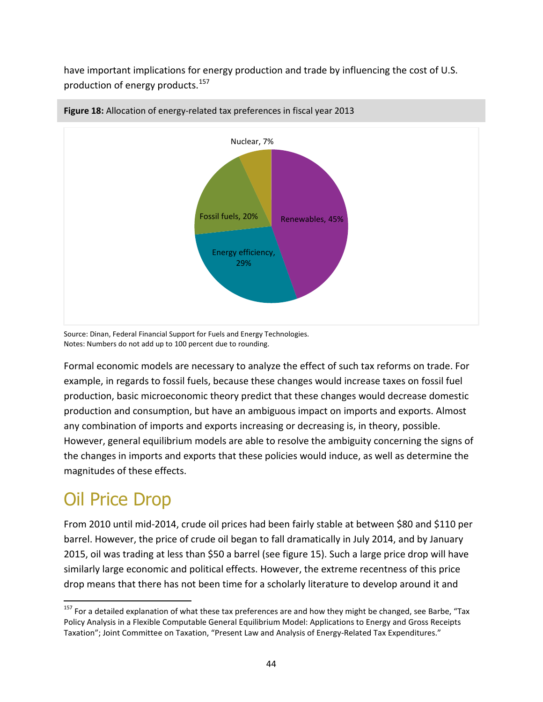have important implications for energy production and trade by influencing the cost of U.S. production of energy products.<sup>[157](#page-47-1)</sup>

![](_page_47_Figure_1.jpeg)

#### <span id="page-47-0"></span>**Figure 18:** Allocation of energy-related tax preferences in fiscal year 2013

Source: Dinan, Federal Financial Support for Fuels and Energy Technologies. Notes: Numbers do not add up to 100 percent due to rounding.

Formal economic models are necessary to analyze the effect of such tax reforms on trade. For example, in regards to fossil fuels, because these changes would increase taxes on fossil fuel production, basic microeconomic theory predict that these changes would decrease domestic production and consumption, but have an ambiguous impact on imports and exports. Almost any combination of imports and exports increasing or decreasing is, in theory, possible. However, general equilibrium models are able to resolve the ambiguity concerning the signs of the changes in imports and exports that these policies would induce, as well as determine the magnitudes of these effects.

#### Oil Price Drop

From 2010 until mid-2014, crude oil prices had been fairly stable at between \$80 and \$110 per barrel. However, the price of crude oil began to fall dramatically in July 2014, and by January 2015, oil was trading at less than \$50 a barrel (see figure 15). Such a large price drop will have similarly large economic and political effects. However, the extreme recentness of this price drop means that there has not been time for a scholarly literature to develop around it and

<span id="page-47-1"></span> $157$  For a detailed explanation of what these tax preferences are and how they might be changed, see Barbe, "Tax Policy Analysis in a Flexible Computable General Equilibrium Model: Applications to Energy and Gross Receipts Taxation"; Joint Committee on Taxation, "Present Law and Analysis of Energy-Related Tax Expenditures."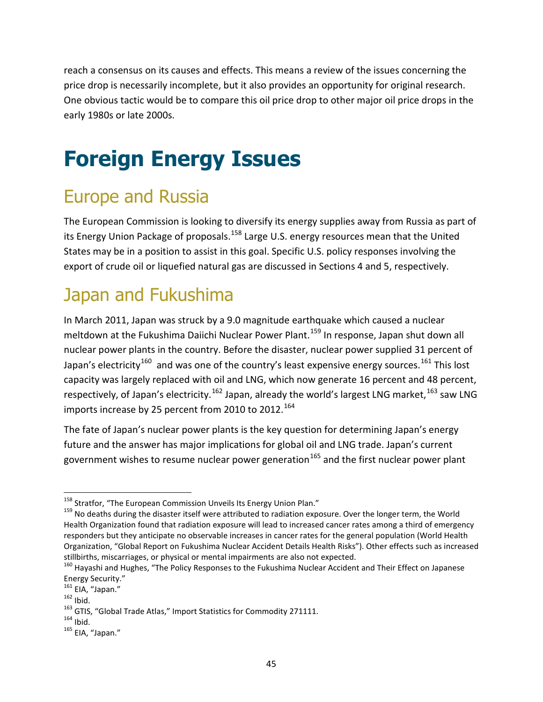reach a consensus on its causes and effects. This means a review of the issues concerning the price drop is necessarily incomplete, but it also provides an opportunity for original research. One obvious tactic would be to compare this oil price drop to other major oil price drops in the early 1980s or late 2000s.

## <span id="page-48-0"></span>**Foreign Energy Issues**

#### Europe and Russia

The European Commission is looking to diversify its energy supplies away from Russia as part of its Energy Union Package of proposals.<sup>[158](#page-48-1)</sup> Large U.S. energy resources mean that the United States may be in a position to assist in this goal. Specific U.S. policy responses involving the export of crude oil or liquefied natural gas are discussed in Sections 4 and 5, respectively.

#### Japan and Fukushima

In March 2011, Japan was struck by a 9.0 magnitude earthquake which caused a nuclear meltdown at the Fukushima Daiichi Nuclear Power Plant.<sup>[159](#page-48-2)</sup> In response, Japan shut down all nuclear power plants in the country. Before the disaster, nuclear power supplied 31 percent of Japan's electricity<sup>[160](#page-48-3)</sup> and was one of the country's least expensive energy sources.<sup>[161](#page-48-4)</sup> This lost capacity was largely replaced with oil and LNG, which now generate 16 percent and 48 percent, respectively, of Japan's electricity.<sup>[162](#page-48-5)</sup> Japan, already the world's largest LNG market,<sup>[163](#page-48-6)</sup> saw LNG imports increase by 25 percent from 2010 to 2012.<sup>[164](#page-48-7)</sup>

The fate of Japan's nuclear power plants is the key question for determining Japan's energy future and the answer has major implications for global oil and LNG trade. Japan's current government wishes to resume nuclear power generation<sup>[165](#page-48-8)</sup> and the first nuclear power plant

<span id="page-48-2"></span><span id="page-48-1"></span><sup>&</sup>lt;sup>158</sup> Stratfor, "The European Commission Unveils Its Energy Union Plan."<br><sup>159</sup> No deaths during the disaster itself were attributed to radiation exposure. Over the longer term, the World Health Organization found that radiation exposure will lead to increased cancer rates among a third of emergency responders but they anticipate no observable increases in cancer rates for the general population (World Health Organization, "Global Report on Fukushima Nuclear Accident Details Health Risks"). Other effects such as increased stillbirths, miscarriages, or physical or mental impairments are also not expected.<br><sup>160</sup> Hayashi and Hughes, "The Policy Responses to the Fukushima Nuclear Accident and Their Effect on Japanese

<span id="page-48-3"></span>Energy Security."<br><sup>161</sup> EIA, "Japan."<br><sup>162</sup> Ibid. 163 GTIS, "Global Trade Atlas," Import Statistics for Commodity 271111.<br><sup>164</sup> Ibid.<br><sup>165</sup> FIA. "Japan."

<span id="page-48-4"></span>

<span id="page-48-5"></span>

<span id="page-48-7"></span><span id="page-48-6"></span>

<span id="page-48-8"></span>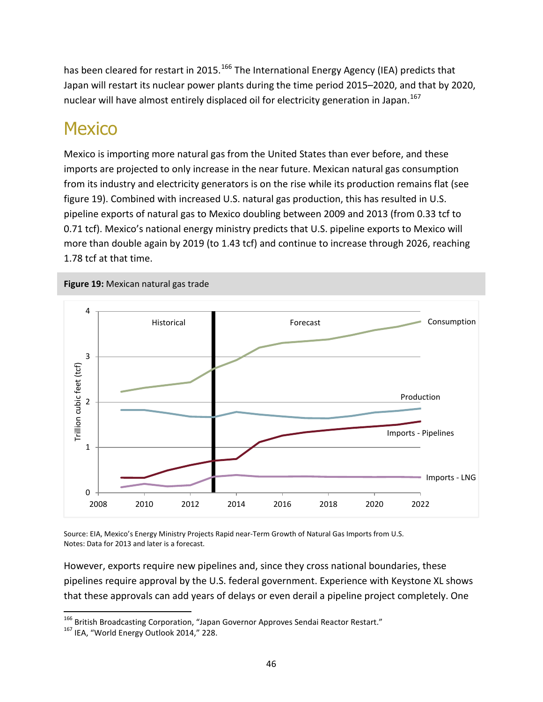has been cleared for restart in 2015.<sup>[166](#page-49-1)</sup> The International Energy Agency (IEA) predicts that Japan will restart its nuclear power plants during the time period 2015–2020, and that by 2020, nuclear will have almost entirely displaced oil for electricity generation in Japan.<sup>[167](#page-49-2)</sup>

#### **Mexico**

Mexico is importing more natural gas from the United States than ever before, and these imports are projected to only increase in the near future. Mexican natural gas consumption from its industry and electricity generators is on the rise while its production remains flat (see figure 19). Combined with increased U.S. natural gas production, this has resulted in U.S. pipeline exports of natural gas to Mexico doubling between 2009 and 2013 (from 0.33 tcf to 0.71 tcf). Mexico's national energy ministry predicts that U.S. pipeline exports to Mexico will more than double again by 2019 (to 1.43 tcf) and continue to increase through 2026, reaching 1.78 tcf at that time.

<span id="page-49-0"></span>![](_page_49_Figure_3.jpeg)

Source: EIA, Mexico's Energy Ministry Projects Rapid near-Term Growth of Natural Gas Imports from U.S. Notes: Data for 2013 and later is a forecast.

However, exports require new pipelines and, since they cross national boundaries, these pipelines require approval by the U.S. federal government. Experience with Keystone XL shows that these approvals can add years of delays or even derail a pipeline project completely. One

<span id="page-49-1"></span><sup>&</sup>lt;sup>166</sup> British Broadcasting Corporation, "Japan Governor Approves Sendai Reactor Restart."<br><sup>167</sup> IEA. "World Energy Outlook 2014," 228.

<span id="page-49-2"></span>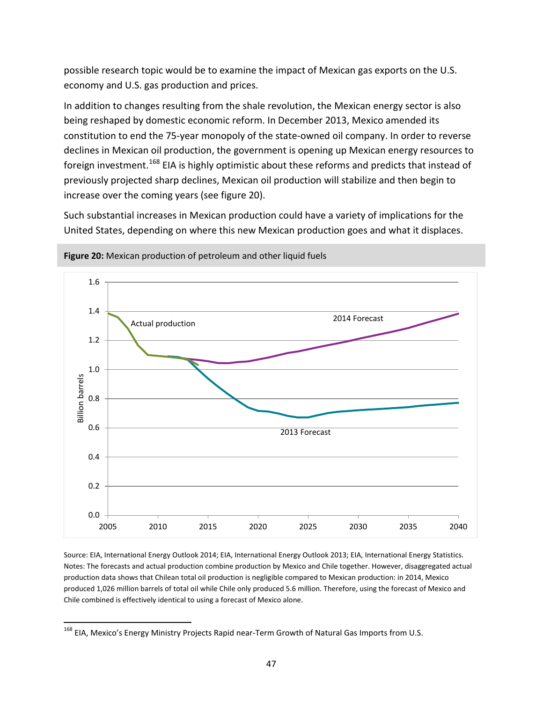possible research topic would be to examine the impact of Mexican gas exports on the U.S. economy and U.S. gas production and prices.

In addition to changes resulting from the shale revolution, the Mexican energy sector is also being reshaped by domestic economic reform. In December 2013, Mexico amended its constitution to end the 75-year monopoly of the state-owned oil company. In order to reverse declines in Mexican oil production, the government is opening up Mexican energy resources to foreign investment.<sup>[168](#page-50-1)</sup> EIA is highly optimistic about these reforms and predicts that instead of previously projected sharp declines, Mexican oil production will stabilize and then begin to increase over the coming years (see figure 20).

Such substantial increases in Mexican production could have a variety of implications for the United States, depending on where this new Mexican production goes and what it displaces.

![](_page_50_Figure_3.jpeg)

<span id="page-50-0"></span>**Figure 20:** Mexican production of petroleum and other liquid fuels

Source: EIA, International Energy Outlook 2014; EIA, International Energy Outlook 2013; EIA, International Energy Statistics. Notes: The forecasts and actual production combine production by Mexico and Chile together. However, disaggregated actual production data shows that Chilean total oil production is negligible compared to Mexican production: in 2014, Mexico produced 1,026 million barrels of total oil while Chile only produced 5.6 million. Therefore, using the forecast of Mexico and Chile combined is effectively identical to using a forecast of Mexico alone.

<span id="page-50-1"></span><sup>&</sup>lt;sup>168</sup> EIA, Mexico's Energy Ministry Projects Rapid near-Term Growth of Natural Gas Imports from U.S.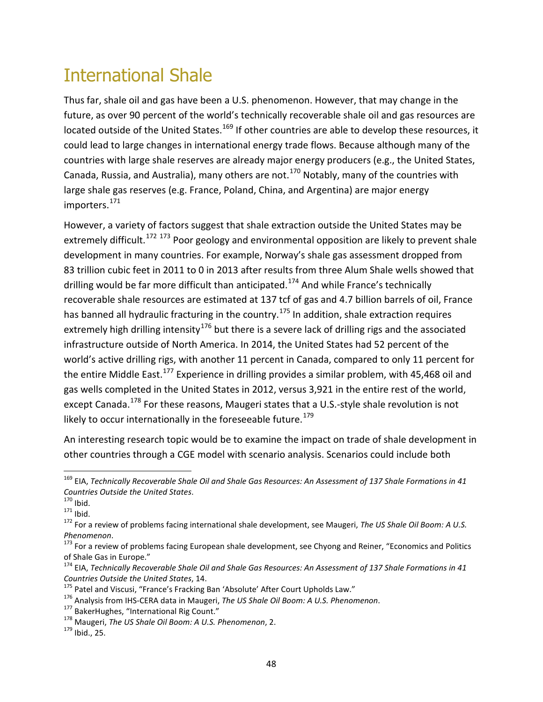### International Shale

Thus far, shale oil and gas have been a U.S. phenomenon. However, that may change in the future, as over 90 percent of the world's technically recoverable shale oil and gas resources are located outside of the United States.<sup>[169](#page-51-0)</sup> If other countries are able to develop these resources, it could lead to large changes in international energy trade flows. Because although many of the countries with large shale reserves are already major energy producers (e.g., the United States, Canada, Russia, and Australia), many others are not.<sup>[170](#page-51-1)</sup> Notably, many of the countries with large shale gas reserves (e.g. France, Poland, China, and Argentina) are major energy importers.<sup>[171](#page-51-2)</sup>

However, a variety of factors suggest that shale extraction outside the United States may be extremely difficult.<sup>[172](#page-51-3) [173](#page-51-4)</sup> Poor geology and environmental opposition are likely to prevent shale development in many countries. For example, Norway's shale gas assessment dropped from 83 trillion cubic feet in 2011 to 0 in 2013 after results from three Alum Shale wells showed that drilling would be far more difficult than anticipated.<sup>[174](#page-51-5)</sup> And while France's technically recoverable shale resources are estimated at 137 tcf of gas and 4.7 billion barrels of oil, France has banned all hydraulic fracturing in the country.<sup>[175](#page-51-6)</sup> In addition, shale extraction requires extremely high drilling intensity<sup>[176](#page-51-7)</sup> but there is a severe lack of drilling rigs and the associated infrastructure outside of North America. In 2014, the United States had 52 percent of the world's active drilling rigs, with another 11 percent in Canada, compared to only 11 percent for the entire Middle East.<sup>[177](#page-51-8)</sup> Experience in drilling provides a similar problem, with 45,468 oil and gas wells completed in the United States in 2012, versus 3,921 in the entire rest of the world, except Canada.<sup>[178](#page-51-9)</sup> For these reasons, Maugeri states that a U.S.-style shale revolution is not likely to occur internationally in the foreseeable future.<sup>[179](#page-51-10)</sup>

An interesting research topic would be to examine the impact on trade of shale development in other countries through a CGE model with scenario analysis. Scenarios could include both

<span id="page-51-0"></span><sup>&</sup>lt;sup>169</sup> EIA, *Technically Recoverable Shale Oil and Shale Gas Resources: An Assessment of 137 Shale Formations in 41*<br>Countries Outside the United States.<br><sup>170</sup> Ibid.

<span id="page-51-2"></span><span id="page-51-1"></span>*Countries Outside the United States*. <sup>170</sup> Ibid. <sup>171</sup> Ibid. <sup>172</sup> For a review of problems facing international shale development, see Maugeri, *The US Shale Oil Boom: A U.S.* 

<span id="page-51-4"></span><span id="page-51-3"></span>*Phenomenon.*<br><sup>173</sup> For a review of problems facing European shale development, see Chyong and Reiner, "Economics and Politics<br>of Shale Gas in Europe."

<span id="page-51-5"></span><sup>&</sup>lt;sup>174</sup> EIA, *Technically Recoverable Shale Oil and Shale Gas Resources: An Assessment of 137 Shale Formations in 41* Countries Outside the United States, 14.<br><sup>175</sup> Patel and Viscusi, "France's Fracking Ban 'Absolute' After Court Upholds Law."<br><sup>176</sup> Analysis from IHS-CERA data in Maugeri, *The US Shale Oil Boom: A U.S. Phenomenon*.<br><sup>177</sup>

<span id="page-51-6"></span>

<span id="page-51-7"></span>

<span id="page-51-8"></span>

<span id="page-51-9"></span>

<span id="page-51-10"></span>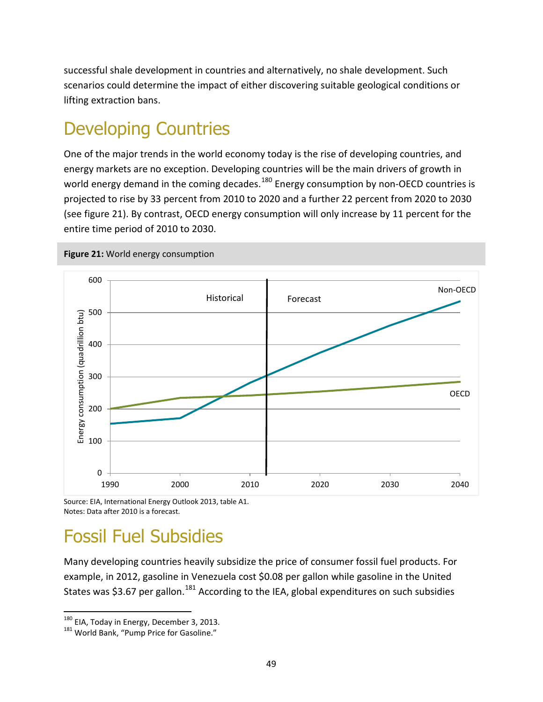successful shale development in countries and alternatively, no shale development. Such scenarios could determine the impact of either discovering suitable geological conditions or lifting extraction bans.

### Developing Countries

One of the major trends in the world economy today is the rise of developing countries, and energy markets are no exception. Developing countries will be the main drivers of growth in world energy demand in the coming decades.<sup>[180](#page-52-1)</sup> Energy consumption by non-OECD countries is projected to rise by 33 percent from 2010 to 2020 and a further 22 percent from 2020 to 2030 (see figure 21). By contrast, OECD energy consumption will only increase by 11 percent for the entire time period of 2010 to 2030.

![](_page_52_Figure_3.jpeg)

<span id="page-52-0"></span>**Figure 21:** World energy consumption

Source: EIA, International Energy Outlook 2013, table A1. Notes: Data after 2010 is a forecast.

### Fossil Fuel Subsidies

Many developing countries heavily subsidize the price of consumer fossil fuel products. For example, in 2012, gasoline in Venezuela cost \$0.08 per gallon while gasoline in the United States was \$3.67 per gallon.<sup>[181](#page-52-2)</sup> According to the IEA, global expenditures on such subsidies

 $\overline{\phantom{a}}$ 

<span id="page-52-2"></span>

<span id="page-52-1"></span><sup>&</sup>lt;sup>180</sup> EIA, Today in Energy, December 3, 2013.<br><sup>181</sup> World Bank, "Pump Price for Gasoline."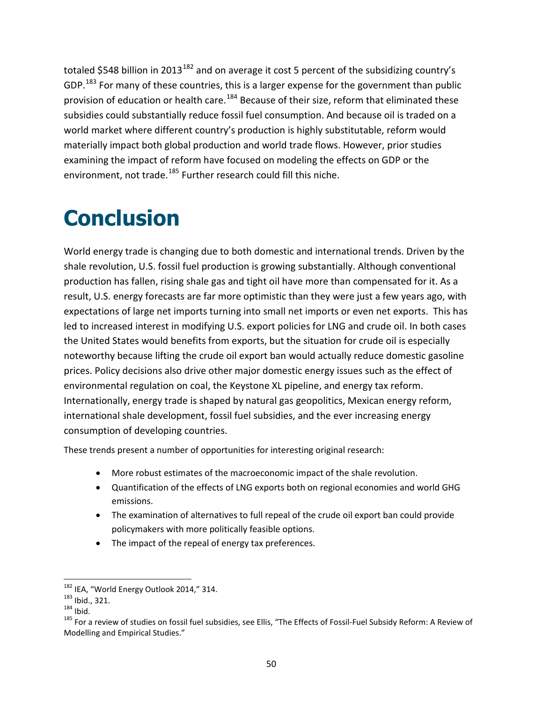totaled \$548 billion in 2013<sup>[182](#page-53-1)</sup> and on average it cost 5 percent of the subsidizing country's GDP.<sup>[183](#page-53-2)</sup> For many of these countries, this is a larger expense for the government than public provision of education or health care.<sup>[184](#page-53-3)</sup> Because of their size, reform that eliminated these subsidies could substantially reduce fossil fuel consumption. And because oil is traded on a world market where different country's production is highly substitutable, reform would materially impact both global production and world trade flows. However, prior studies examining the impact of reform have focused on modeling the effects on GDP or the environment, not trade.<sup>[185](#page-53-4)</sup> Further research could fill this niche.

## <span id="page-53-0"></span>**Conclusion**

World energy trade is changing due to both domestic and international trends. Driven by the shale revolution, U.S. fossil fuel production is growing substantially. Although conventional production has fallen, rising shale gas and tight oil have more than compensated for it. As a result, U.S. energy forecasts are far more optimistic than they were just a few years ago, with expectations of large net imports turning into small net imports or even net exports. This has led to increased interest in modifying U.S. export policies for LNG and crude oil. In both cases the United States would benefits from exports, but the situation for crude oil is especially noteworthy because lifting the crude oil export ban would actually reduce domestic gasoline prices. Policy decisions also drive other major domestic energy issues such as the effect of environmental regulation on coal, the Keystone XL pipeline, and energy tax reform. Internationally, energy trade is shaped by natural gas geopolitics, Mexican energy reform, international shale development, fossil fuel subsidies, and the ever increasing energy consumption of developing countries.

These trends present a number of opportunities for interesting original research:

- More robust estimates of the macroeconomic impact of the shale revolution.
- Quantification of the effects of LNG exports both on regional economies and world GHG emissions.
- The examination of alternatives to full repeal of the crude oil export ban could provide policymakers with more politically feasible options.
- The impact of the repeal of energy tax preferences.

<span id="page-53-4"></span><span id="page-53-3"></span>

<span id="page-53-2"></span><span id="page-53-1"></span><sup>&</sup>lt;sup>182</sup> IEA, "World Energy Outlook 2014," 314.<br><sup>183</sup> Ibid., 321.<br><sup>184</sup> Ibid. 185 For a review of studies on fossil fuel subsidies, see Ellis, "The Effects of Fossil-Fuel Subsidy Reform: A Review of Modelling and Empirical Studies."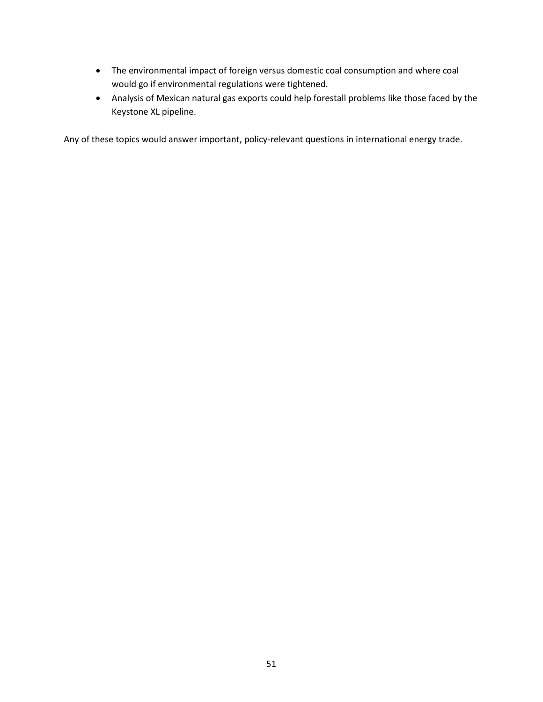- The environmental impact of foreign versus domestic coal consumption and where coal would go if environmental regulations were tightened.
- Analysis of Mexican natural gas exports could help forestall problems like those faced by the Keystone XL pipeline.

Any of these topics would answer important, policy-relevant questions in international energy trade.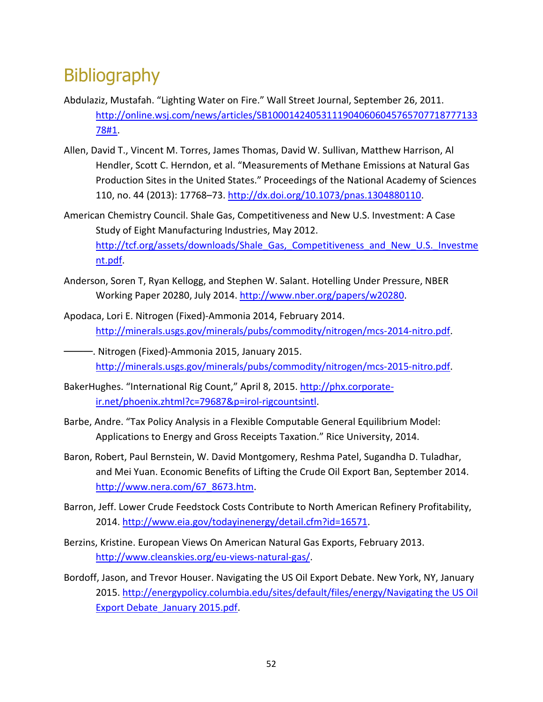#### **Bibliography**

- Abdulaziz, Mustafah. "Lighting Water on Fire." Wall Street Journal, September 26, 2011. [http://online.wsj.com/news/articles/SB100014240531119040606045765707718777133](http://online.wsj.com/news/articles/SB10001424053111904060604576570771877713378%231) [78#1.](http://online.wsj.com/news/articles/SB10001424053111904060604576570771877713378%231)
- Allen, David T., Vincent M. Torres, James Thomas, David W. Sullivan, Matthew Harrison, Al Hendler, Scott C. Herndon, et al. "Measurements of Methane Emissions at Natural Gas Production Sites in the United States." Proceedings of the National Academy of Sciences 110, no. 44 (2013): 17768–73. [http://dx.doi.org/10.1073/pnas.1304880110.](http://dx.doi.org/10.1073/pnas.1304880110)
- American Chemistry Council. Shale Gas, Competitiveness and New U.S. Investment: A Case Study of Eight Manufacturing Industries, May 2012. [http://tcf.org/assets/downloads/Shale\\_Gas,\\_Competitiveness\\_and\\_New\\_U.S.\\_Investme](http://tcf.org/assets/downloads/Shale_Gas,_Competitiveness_and_New_U.S._Investment.pdf) [nt.pdf.](http://tcf.org/assets/downloads/Shale_Gas,_Competitiveness_and_New_U.S._Investment.pdf)
- Anderson, Soren T, Ryan Kellogg, and Stephen W. Salant. Hotelling Under Pressure, NBER Working Paper 20280, July 2014. [http://www.nber.org/papers/w20280.](http://www.nber.org/papers/w20280)
- Apodaca, Lori E. Nitrogen (Fixed)-Ammonia 2014, February 2014. [http://minerals.usgs.gov/minerals/pubs/commodity/nitrogen/mcs-2014-nitro.pdf.](http://minerals.usgs.gov/minerals/pubs/commodity/nitrogen/mcs-2014-nitro.pdf)
- -. Nitrogen (Fixed)-Ammonia 2015, January 2015. [http://minerals.usgs.gov/minerals/pubs/commodity/nitrogen/mcs-2015-nitro.pdf.](http://minerals.usgs.gov/minerals/pubs/commodity/nitrogen/mcs-2015-nitro.pdf)
- BakerHughes. "International Rig Count," April 8, 2015. [http://phx.corporate](http://phx.corporate-ir.net/phoenix.zhtml?c=79687&p=irol-rigcountsintl)[ir.net/phoenix.zhtml?c=79687&p=irol-rigcountsintl.](http://phx.corporate-ir.net/phoenix.zhtml?c=79687&p=irol-rigcountsintl)
- Barbe, Andre. "Tax Policy Analysis in a Flexible Computable General Equilibrium Model: Applications to Energy and Gross Receipts Taxation." Rice University, 2014.
- Baron, Robert, Paul Bernstein, W. David Montgomery, Reshma Patel, Sugandha D. Tuladhar, and Mei Yuan. Economic Benefits of Lifting the Crude Oil Export Ban, September 2014. [http://www.nera.com/67\\_8673.htm.](http://www.nera.com/67_8673.htm)
- Barron, Jeff. Lower Crude Feedstock Costs Contribute to North American Refinery Profitability, 2014. [http://www.eia.gov/todayinenergy/detail.cfm?id=16571.](http://www.eia.gov/todayinenergy/detail.cfm?id=16571)
- Berzins, Kristine. European Views On American Natural Gas Exports, February 2013. [http://www.cleanskies.org/eu-views-natural-gas/.](http://www.cleanskies.org/eu-views-natural-gas/)
- Bordoff, Jason, and Trevor Houser. Navigating the US Oil Export Debate. New York, NY, January 2015. http://energypolicy.columbia.edu/sites/default/files/energy/Navigating the US Oil Export Debate\_January 2015.pdf.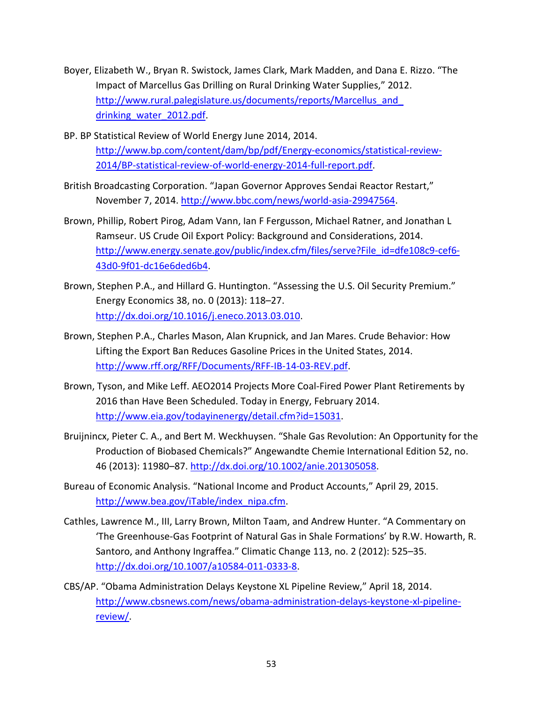- Boyer, Elizabeth W., Bryan R. Swistock, James Clark, Mark Madden, and Dana E. Rizzo. "The Impact of Marcellus Gas Drilling on Rural Drinking Water Supplies," 2012. http://www.rural.palegislature.us/documents/reports/Marcellus\_and drinking water 2012.pdf.
- BP. BP Statistical Review of World Energy June 2014, 2014. [http://www.bp.com/content/dam/bp/pdf/Energy-economics/statistical-review-](http://www.bp.com/content/dam/bp/pdf/Energy-economics/statistical-review-2014/BP-statistical-review-of-world-energy-2014-full-report.pdf)[2014/BP-statistical-review-of-world-energy-2014-full-report.pdf.](http://www.bp.com/content/dam/bp/pdf/Energy-economics/statistical-review-2014/BP-statistical-review-of-world-energy-2014-full-report.pdf)
- British Broadcasting Corporation. "Japan Governor Approves Sendai Reactor Restart," November 7, 2014. [http://www.bbc.com/news/world-asia-29947564.](http://www.bbc.com/news/world-asia-29947564)
- Brown, Phillip, Robert Pirog, Adam Vann, Ian F Fergusson, Michael Ratner, and Jonathan L Ramseur. US Crude Oil Export Policy: Background and Considerations, 2014. [http://www.energy.senate.gov/public/index.cfm/files/serve?File\\_id=dfe108c9-cef6-](http://www.energy.senate.gov/public/index.cfm/files/serve?File_id=dfe108c9-cef6-43d0-9f01-dc16e6ded6b4) [43d0-9f01-dc16e6ded6b4.](http://www.energy.senate.gov/public/index.cfm/files/serve?File_id=dfe108c9-cef6-43d0-9f01-dc16e6ded6b4)
- Brown, Stephen P.A., and Hillard G. Huntington. "Assessing the U.S. Oil Security Premium." Energy Economics 38, no. 0 (2013): 118–27. [http://dx.doi.org/10.1016/j.eneco.2013.03.010.](http://dx.doi.org/10.1016/j.eneco.2013.03.010)
- Brown, Stephen P.A., Charles Mason, Alan Krupnick, and Jan Mares. Crude Behavior: How Lifting the Export Ban Reduces Gasoline Prices in the United States, 2014. [http://www.rff.org/RFF/Documents/RFF-IB-14-03-REV.pdf.](http://www.rff.org/RFF/Documents/RFF-IB-14-03-REV.pdf)
- Brown, Tyson, and Mike Leff. AEO2014 Projects More Coal-Fired Power Plant Retirements by 2016 than Have Been Scheduled. Today in Energy, February 2014. [http://www.eia.gov/todayinenergy/detail.cfm?id=15031.](http://www.eia.gov/todayinenergy/detail.cfm?id=15031)
- Bruijnincx, Pieter C. A., and Bert M. Weckhuysen. "Shale Gas Revolution: An Opportunity for the Production of Biobased Chemicals?" Angewandte Chemie International Edition 52, no. 46 (2013): 11980–87[. http://dx.doi.org/10.1002/anie.201305058.](http://dx.doi.org/10.1002/anie.201305058)
- Bureau of Economic Analysis. "National Income and Product Accounts," April 29, 2015. [http://www.bea.gov/iTable/index\\_nipa.cfm.](http://www.bea.gov/iTable/index_nipa.cfm)
- Cathles, Lawrence M., III, Larry Brown, Milton Taam, and Andrew Hunter. "A Commentary on 'The Greenhouse-Gas Footprint of Natural Gas in Shale Formations' by R.W. Howarth, R. Santoro, and Anthony Ingraffea." Climatic Change 113, no. 2 (2012): 525–35. [http://dx.doi.org/10.1007/a10584-011-0333-8.](http://dx.doi.org/10.1007/a10584-011-0333-8)
- CBS/AP. "Obama Administration Delays Keystone XL Pipeline Review," April 18, 2014. [http://www.cbsnews.com/news/obama-administration-delays-keystone-xl-pipeline](http://www.cbsnews.com/news/obama-administration-delays-keystone-xl-pipeline-review/)[review/.](http://www.cbsnews.com/news/obama-administration-delays-keystone-xl-pipeline-review/)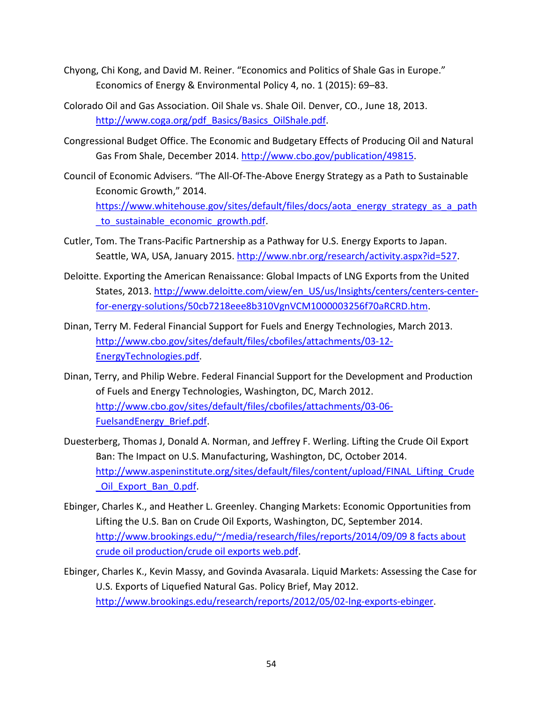- Chyong, Chi Kong, and David M. Reiner. "Economics and Politics of Shale Gas in Europe." Economics of Energy & Environmental Policy 4, no. 1 (2015): 69–83.
- Colorado Oil and Gas Association. Oil Shale vs. Shale Oil. Denver, CO., June 18, 2013. [http://www.coga.org/pdf\\_Basics/Basics\\_OilShale.pdf.](http://www.coga.org/pdf_Basics/Basics_OilShale.pdf)
- Congressional Budget Office. The Economic and Budgetary Effects of Producing Oil and Natural Gas From Shale, December 2014. [http://www.cbo.gov/publication/49815.](http://www.cbo.gov/publication/49815)
- Council of Economic Advisers. "The All-Of-The-Above Energy Strategy as a Path to Sustainable Economic Growth," 2014. [https://www.whitehouse.gov/sites/default/files/docs/aota\\_energy\\_strategy\\_as\\_a\\_path](https://www.whitehouse.gov/sites/default/files/docs/aota_energy_strategy_as_a_path_to_sustainable_economic_growth.pdf) to sustainable economic growth.pdf.
- Cutler, Tom. The Trans-Pacific Partnership as a Pathway for U.S. Energy Exports to Japan. Seattle, WA, USA, January 2015. [http://www.nbr.org/research/activity.aspx?id=527.](http://www.nbr.org/research/activity.aspx?id=527)
- Deloitte. Exporting the American Renaissance: Global Impacts of LNG Exports from the United States, 2013[. http://www.deloitte.com/view/en\\_US/us/Insights/centers/centers-center](http://www.deloitte.com/view/en_US/us/Insights/centers/centers-center-for-energy-solutions/50cb7218eee8b310VgnVCM1000003256f70aRCRD.htm)[for-energy-solutions/50cb7218eee8b310VgnVCM1000003256f70aRCRD.htm.](http://www.deloitte.com/view/en_US/us/Insights/centers/centers-center-for-energy-solutions/50cb7218eee8b310VgnVCM1000003256f70aRCRD.htm)
- Dinan, Terry M. Federal Financial Support for Fuels and Energy Technologies, March 2013. [http://www.cbo.gov/sites/default/files/cbofiles/attachments/03-12-](http://www.cbo.gov/sites/default/files/cbofiles/attachments/03-12-EnergyTechnologies.pdf) [EnergyTechnologies.pdf.](http://www.cbo.gov/sites/default/files/cbofiles/attachments/03-12-EnergyTechnologies.pdf)
- Dinan, Terry, and Philip Webre. Federal Financial Support for the Development and Production of Fuels and Energy Technologies, Washington, DC, March 2012. [http://www.cbo.gov/sites/default/files/cbofiles/attachments/03-06-](http://www.cbo.gov/sites/default/files/cbofiles/attachments/03-06-FuelsandEnergy_Brief.pdf) [FuelsandEnergy\\_Brief.pdf.](http://www.cbo.gov/sites/default/files/cbofiles/attachments/03-06-FuelsandEnergy_Brief.pdf)
- Duesterberg, Thomas J, Donald A. Norman, and Jeffrey F. Werling. Lifting the Crude Oil Export Ban: The Impact on U.S. Manufacturing, Washington, DC, October 2014. [http://www.aspeninstitute.org/sites/default/files/content/upload/FINAL\\_Lifting\\_Crude](http://www.aspeninstitute.org/sites/default/files/content/upload/FINAL_Lifting_Crude_Oil_Export_Ban_0.pdf) Oil Export Ban 0.pdf.
- Ebinger, Charles K., and Heather L. Greenley. Changing Markets: Economic Opportunities from Lifting the U.S. Ban on Crude Oil Exports, Washington, DC, September 2014. http://www.brookings.edu/~/media/research/files/reports/2014/09/09 8 facts about crude oil production/crude oil exports web.pdf.
- Ebinger, Charles K., Kevin Massy, and Govinda Avasarala. Liquid Markets: Assessing the Case for U.S. Exports of Liquefied Natural Gas. Policy Brief, May 2012. [http://www.brookings.edu/research/reports/2012/05/02-lng-exports-ebinger.](http://www.brookings.edu/research/reports/2012/05/02-lng-exports-ebinger)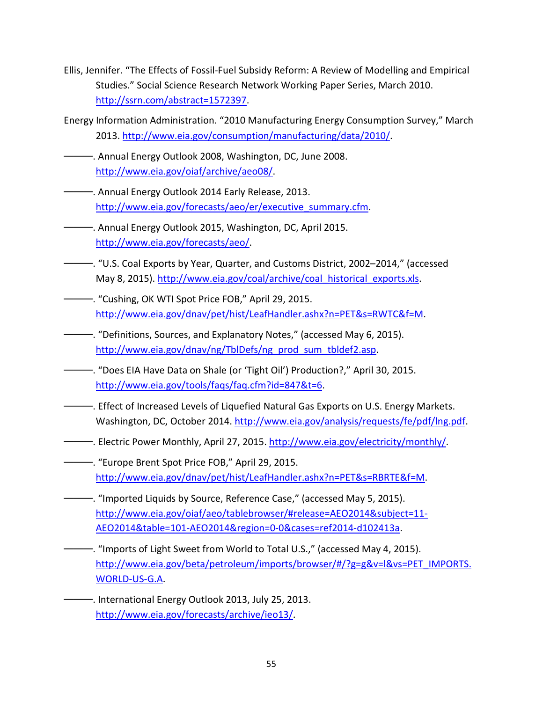- Ellis, Jennifer. "The Effects of Fossil-Fuel Subsidy Reform: A Review of Modelling and Empirical Studies." Social Science Research Network Working Paper Series, March 2010. [http://ssrn.com/abstract=1572397.](http://ssrn.com/abstract=1572397)
- Energy Information Administration. "2010 Manufacturing Energy Consumption Survey," March 2013. [http://www.eia.gov/consumption/manufacturing/data/2010/.](http://www.eia.gov/consumption/manufacturing/data/2010/)
- ———. Annual Energy Outlook 2008, Washington, DC, June 2008. [http://www.eia.gov/oiaf/archive/aeo08/.](http://www.eia.gov/oiaf/archive/aeo08/)
- ———. Annual Energy Outlook 2014 Early Release, 2013. [http://www.eia.gov/forecasts/aeo/er/executive\\_summary.cfm.](http://www.eia.gov/forecasts/aeo/er/executive_summary.cfm)
- ———. Annual Energy Outlook 2015, Washington, DC, April 2015. [http://www.eia.gov/forecasts/aeo/.](http://www.eia.gov/forecasts/aeo/)
- ———. "U.S. Coal Exports by Year, Quarter, and Customs District, 2002–2014," (accessed May 8, 2015). [http://www.eia.gov/coal/archive/coal\\_historical\\_exports.xls.](http://www.eia.gov/coal/archive/coal_historical_exports.xls)
- ———. "Cushing, OK WTI Spot Price FOB," April 29, 2015. [http://www.eia.gov/dnav/pet/hist/LeafHandler.ashx?n=PET&s=RWTC&f=M.](http://www.eia.gov/dnav/pet/hist/LeafHandler.ashx?n=PET&s=RWTC&f=M)
- ———. "Definitions, Sources, and Explanatory Notes," (accessed May 6, 2015). [http://www.eia.gov/dnav/ng/TblDefs/ng\\_prod\\_sum\\_tbldef2.asp.](http://www.eia.gov/dnav/ng/TblDefs/ng_prod_sum_tbldef2.asp)
- ———. "Does EIA Have Data on Shale (or 'Tight Oil') Production?," April 30, 2015. [http://www.eia.gov/tools/faqs/faq.cfm?id=847&t=6.](http://www.eia.gov/tools/faqs/faq.cfm?id=847&t=6)
- ———. Effect of Increased Levels of Liquefied Natural Gas Exports on U.S. Energy Markets. Washington, DC, October 2014. [http://www.eia.gov/analysis/requests/fe/pdf/lng.pdf.](http://www.eia.gov/analysis/requests/fe/pdf/lng.pdf)
- ———. Electric Power Monthly, April 27, 2015. [http://www.eia.gov/electricity/monthly/.](http://www.eia.gov/electricity/monthly/)
- ———. "Europe Brent Spot Price FOB," April 29, 2015. [http://www.eia.gov/dnav/pet/hist/LeafHandler.ashx?n=PET&s=RBRTE&f=M.](http://www.eia.gov/dnav/pet/hist/LeafHandler.ashx?n=PET&s=RBRTE&f=M)
- ———. "Imported Liquids by Source, Reference Case," (accessed May 5, 2015). [http://www.eia.gov/oiaf/aeo/tablebrowser/#release=AEO2014&subject=11-](http://www.eia.gov/oiaf/aeo/tablebrowser/%23release=AEO2014&subject=11-AEO2014&table=101-AEO2014®ion=0-0&cases=ref2014-d102413a) [AEO2014&table=101-AEO2014&region=0-0&cases=ref2014-d102413a.](http://www.eia.gov/oiaf/aeo/tablebrowser/%23release=AEO2014&subject=11-AEO2014&table=101-AEO2014®ion=0-0&cases=ref2014-d102413a)
- ———. "Imports of Light Sweet from World to Total U.S.," (accessed May 4, 2015). [http://www.eia.gov/beta/petroleum/imports/browser/#/?g=g&v=l&vs=PET\\_IMPORTS.](http://www.eia.gov/beta/petroleum/imports/browser/%23/?g=g&v=l&vs=PET_IMPORTS.WORLD-US-G.A) [WORLD-US-G.A.](http://www.eia.gov/beta/petroleum/imports/browser/%23/?g=g&v=l&vs=PET_IMPORTS.WORLD-US-G.A)
- -. International Energy Outlook 2013, July 25, 2013. [http://www.eia.gov/forecasts/archive/ieo13/.](http://www.eia.gov/forecasts/archive/ieo13/)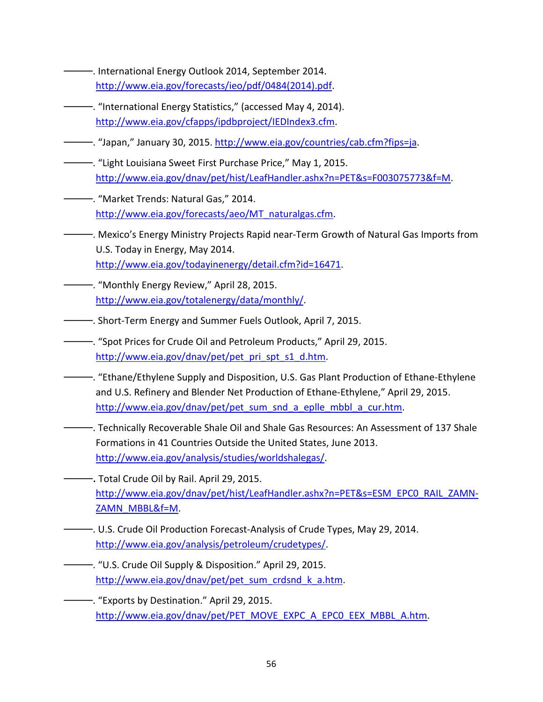- ———. International Energy Outlook 2014, September 2014. [http://www.eia.gov/forecasts/ieo/pdf/0484\(2014\).pdf.](http://www.eia.gov/forecasts/ieo/pdf/0484(2014).pdf)
- ———. "International Energy Statistics," (accessed May 4, 2014). [http://www.eia.gov/cfapps/ipdbproject/IEDIndex3.cfm.](http://www.eia.gov/cfapps/ipdbproject/IEDIndex3.cfm)
- ———. "Japan," January 30, 2015. [http://www.eia.gov/countries/cab.cfm?fips=ja.](http://www.eia.gov/countries/cab.cfm?fips=ja)
- ———. "Light Louisiana Sweet First Purchase Price," May 1, 2015. [http://www.eia.gov/dnav/pet/hist/LeafHandler.ashx?n=PET&s=F003075773&f=M.](http://www.eia.gov/dnav/pet/hist/LeafHandler.ashx?n=PET&s=F003075773&f=M)
- ———. "Market Trends: Natural Gas," 2014. [http://www.eia.gov/forecasts/aeo/MT\\_naturalgas.cfm.](http://www.eia.gov/forecasts/aeo/MT_naturalgas.cfm)
- ———. Mexico's Energy Ministry Projects Rapid near-Term Growth of Natural Gas Imports from U.S. Today in Energy, May 2014. [http://www.eia.gov/todayinenergy/detail.cfm?id=16471.](http://www.eia.gov/todayinenergy/detail.cfm?id=16471)
- ———. "Monthly Energy Review," April 28, 2015. [http://www.eia.gov/totalenergy/data/monthly/.](http://www.eia.gov/totalenergy/data/monthly/)
- ———. Short-Term Energy and Summer Fuels Outlook, April 7, 2015.
- ———. "Spot Prices for Crude Oil and Petroleum Products," April 29, 2015. [http://www.eia.gov/dnav/pet/pet\\_pri\\_spt\\_s1\\_d.htm.](http://www.eia.gov/dnav/pet/pet_pri_spt_s1_d.htm)
- ———. "Ethane/Ethylene Supply and Disposition, U.S. Gas Plant Production of Ethane-Ethylene and U.S. Refinery and Blender Net Production of Ethane-Ethylene," April 29, 2015. [http://www.eia.gov/dnav/pet/pet\\_sum\\_snd\\_a\\_eplle\\_mbbl\\_a\\_cur.htm.](http://www.eia.gov/dnav/pet/pet_sum_snd_a_eplle_mbbl_a_cur.htm)
- ———. Technically Recoverable Shale Oil and Shale Gas Resources: An Assessment of 137 Shale Formations in 41 Countries Outside the United States, June 2013. [http://www.eia.gov/analysis/studies/worldshalegas/.](http://www.eia.gov/analysis/studies/worldshalegas/)
- -. Total Crude Oil by Rail. April 29, 2015. [http://www.eia.gov/dnav/pet/hist/LeafHandler.ashx?n=PET&s=ESM\\_EPC0\\_RAIL\\_ZAMN-](http://www.eia.gov/dnav/pet/hist/LeafHandler.ashx?n=PET&s=ESM_EPC0_RAIL_ZAMN-ZAMN_MBBL&f=M)[ZAMN\\_MBBL&f=M.](http://www.eia.gov/dnav/pet/hist/LeafHandler.ashx?n=PET&s=ESM_EPC0_RAIL_ZAMN-ZAMN_MBBL&f=M)
- ———. U.S. Crude Oil Production Forecast-Analysis of Crude Types, May 29, 2014. [http://www.eia.gov/analysis/petroleum/crudetypes/.](http://www.eia.gov/analysis/petroleum/crudetypes/)
- ———. "U.S. Crude Oil Supply & Disposition." April 29, 2015. [http://www.eia.gov/dnav/pet/pet\\_sum\\_crdsnd\\_k\\_a.htm.](http://www.eia.gov/dnav/pet/pet_sum_crdsnd_k_a.htm)
	- ———. "Exports by Destination." April 29, 2015. [http://www.eia.gov/dnav/pet/PET\\_MOVE\\_EXPC\\_A\\_EPC0\\_EEX\\_MBBL\\_A.htm.](http://www.eia.gov/dnav/pet/PET_MOVE_EXPC_A_EPC0_EEX_MBBL_A.htm)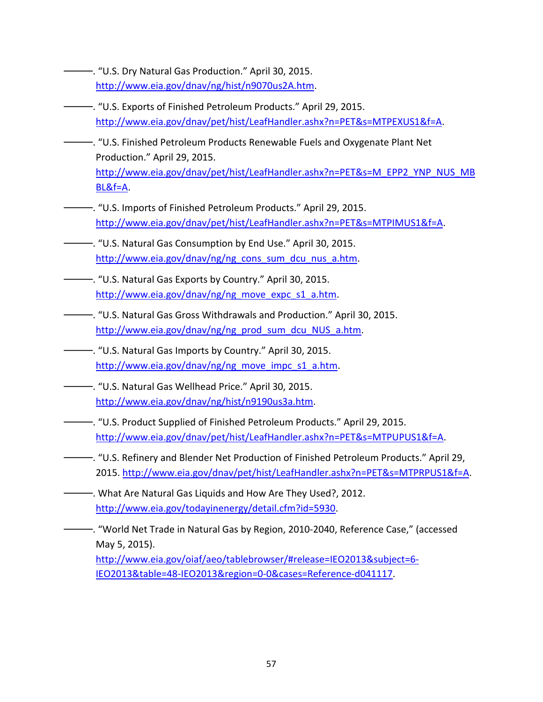- ———. "U.S. Dry Natural Gas Production." April 30, 2015. [http://www.eia.gov/dnav/ng/hist/n9070us2A.htm.](http://www.eia.gov/dnav/ng/hist/n9070us2A.htm)
- ———. "U.S. Exports of Finished Petroleum Products." April 29, 2015. [http://www.eia.gov/dnav/pet/hist/LeafHandler.ashx?n=PET&s=MTPEXUS1&f=A.](http://www.eia.gov/dnav/pet/hist/LeafHandler.ashx?n=PET&s=MTPEXUS1&f=A)
- ———. "U.S. Finished Petroleum Products Renewable Fuels and Oxygenate Plant Net Production." April 29, 2015. [http://www.eia.gov/dnav/pet/hist/LeafHandler.ashx?n=PET&s=M\\_EPP2\\_YNP\\_NUS\\_MB](http://www.eia.gov/dnav/pet/hist/LeafHandler.ashx?n=PET&s=M_EPP2_YNP_NUS_MBBL&f=A) [BL&f=A.](http://www.eia.gov/dnav/pet/hist/LeafHandler.ashx?n=PET&s=M_EPP2_YNP_NUS_MBBL&f=A)
- ———. "U.S. Imports of Finished Petroleum Products." April 29, 2015. [http://www.eia.gov/dnav/pet/hist/LeafHandler.ashx?n=PET&s=MTPIMUS1&f=A.](http://www.eia.gov/dnav/pet/hist/LeafHandler.ashx?n=PET&s=MTPIMUS1&f=A)
- ———. "U.S. Natural Gas Consumption by End Use." April 30, 2015. [http://www.eia.gov/dnav/ng/ng\\_cons\\_sum\\_dcu\\_nus\\_a.htm.](http://www.eia.gov/dnav/ng/ng_cons_sum_dcu_nus_a.htm)
- ———. "U.S. Natural Gas Exports by Country." April 30, 2015. [http://www.eia.gov/dnav/ng/ng\\_move\\_expc\\_s1\\_a.htm.](http://www.eia.gov/dnav/ng/ng_move_expc_s1_a.htm)
- ———. "U.S. Natural Gas Gross Withdrawals and Production." April 30, 2015. [http://www.eia.gov/dnav/ng/ng\\_prod\\_sum\\_dcu\\_NUS\\_a.htm.](http://www.eia.gov/dnav/ng/ng_prod_sum_dcu_NUS_a.htm)
- ———. "U.S. Natural Gas Imports by Country." April 30, 2015. [http://www.eia.gov/dnav/ng/ng\\_move\\_impc\\_s1\\_a.htm.](http://www.eia.gov/dnav/ng/ng_move_impc_s1_a.htm)
- ———. "U.S. Natural Gas Wellhead Price." April 30, 2015. [http://www.eia.gov/dnav/ng/hist/n9190us3a.htm.](http://www.eia.gov/dnav/ng/hist/n9190us3a.htm)
	- ———. "U.S. Product Supplied of Finished Petroleum Products." April 29, 2015. [http://www.eia.gov/dnav/pet/hist/LeafHandler.ashx?n=PET&s=MTPUPUS1&f=A.](http://www.eia.gov/dnav/pet/hist/LeafHandler.ashx?n=PET&s=MTPUPUS1&f=A)
- ———. "U.S. Refinery and Blender Net Production of Finished Petroleum Products." April 29, 2015. [http://www.eia.gov/dnav/pet/hist/LeafHandler.ashx?n=PET&s=MTPRPUS1&f=A.](http://www.eia.gov/dnav/pet/hist/LeafHandler.ashx?n=PET&s=MTPRPUS1&f=A)
- ———. What Are Natural Gas Liquids and How Are They Used?, 2012. [http://www.eia.gov/todayinenergy/detail.cfm?id=5930.](http://www.eia.gov/todayinenergy/detail.cfm?id=5930)
	- ———. "World Net Trade in Natural Gas by Region, 2010-2040, Reference Case," (accessed May 5, 2015).

[http://www.eia.gov/oiaf/aeo/tablebrowser/#release=IEO2013&subject=6-](http://www.eia.gov/oiaf/aeo/tablebrowser/%23release=IEO2013&subject=6-IEO2013&table=48-IEO2013®ion=0-0&cases=Reference-d041117) [IEO2013&table=48-IEO2013&region=0-0&cases=Reference-d041117.](http://www.eia.gov/oiaf/aeo/tablebrowser/%23release=IEO2013&subject=6-IEO2013&table=48-IEO2013®ion=0-0&cases=Reference-d041117)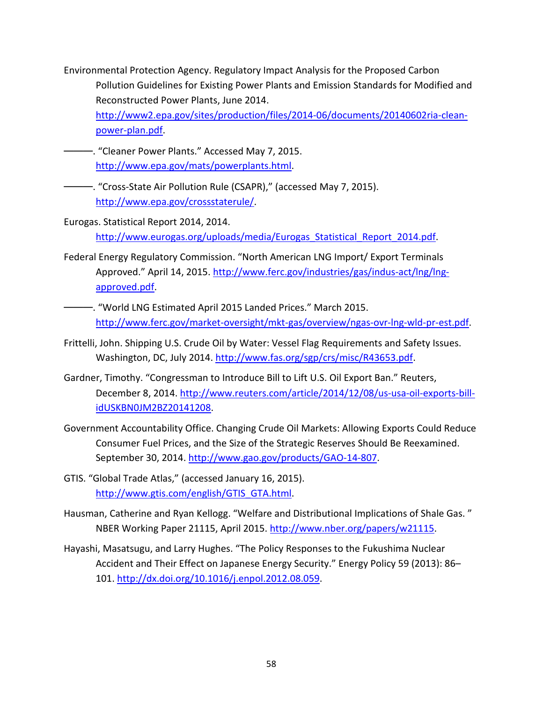- Environmental Protection Agency. Regulatory Impact Analysis for the Proposed Carbon Pollution Guidelines for Existing Power Plants and Emission Standards for Modified and Reconstructed Power Plants, June 2014. [http://www2.epa.gov/sites/production/files/2014-06/documents/20140602ria-clean](http://www2.epa.gov/sites/production/files/2014-06/documents/20140602ria-clean-power-plan.pdf)[power-plan.pdf.](http://www2.epa.gov/sites/production/files/2014-06/documents/20140602ria-clean-power-plan.pdf)
- -. "Cleaner Power Plants." Accessed May 7, 2015. [http://www.epa.gov/mats/powerplants.html.](http://www.epa.gov/mats/powerplants.html)
- ———. "Cross-State Air Pollution Rule (CSAPR)," (accessed May 7, 2015). [http://www.epa.gov/crossstaterule/.](http://www.epa.gov/crossstaterule/)
- Eurogas. Statistical Report 2014, 2014. http://www.eurogas.org/uploads/media/Eurogas Statistical Report 2014.pdf.
- Federal Energy Regulatory Commission. "North American LNG Import/ Export Terminals Approved." April 14, 2015. [http://www.ferc.gov/industries/gas/indus-act/lng/lng](http://www.ferc.gov/industries/gas/indus-act/lng/lng-approved.pdf)[approved.pdf.](http://www.ferc.gov/industries/gas/indus-act/lng/lng-approved.pdf)
- -. "World LNG Estimated April 2015 Landed Prices." March 2015. [http://www.ferc.gov/market-oversight/mkt-gas/overview/ngas-ovr-lng-wld-pr-est.pdf.](http://www.ferc.gov/market-oversight/mkt-gas/overview/ngas-ovr-lng-wld-pr-est.pdf)
- Frittelli, John. Shipping U.S. Crude Oil by Water: Vessel Flag Requirements and Safety Issues. Washington, DC, July 2014. [http://www.fas.org/sgp/crs/misc/R43653.pdf.](http://www.fas.org/sgp/crs/misc/R43653.pdf)
- Gardner, Timothy. "Congressman to Introduce Bill to Lift U.S. Oil Export Ban." Reuters, December 8, 2014. [http://www.reuters.com/article/2014/12/08/us-usa-oil-exports-bill](http://www.reuters.com/article/2014/12/08/us-usa-oil-exports-bill-idUSKBN0JM2BZ20141208)[idUSKBN0JM2BZ20141208.](http://www.reuters.com/article/2014/12/08/us-usa-oil-exports-bill-idUSKBN0JM2BZ20141208)
- Government Accountability Office. Changing Crude Oil Markets: Allowing Exports Could Reduce Consumer Fuel Prices, and the Size of the Strategic Reserves Should Be Reexamined. September 30, 2014. [http://www.gao.gov/products/GAO-14-807.](http://www.gao.gov/products/GAO-14-807)
- GTIS. "Global Trade Atlas," (accessed January 16, 2015). [http://www.gtis.com/english/GTIS\\_GTA.html.](http://www.gtis.com/english/GTIS_GTA.html)
- Hausman, Catherine and Ryan Kellogg. "Welfare and Distributional Implications of Shale Gas. " NBER Working Paper 21115, April 2015. [http://www.nber.org/papers/w21115.](http://www.nber.org/papers/w21115)
- Hayashi, Masatsugu, and Larry Hughes. "The Policy Responses to the Fukushima Nuclear Accident and Their Effect on Japanese Energy Security." Energy Policy 59 (2013): 86– 101. [http://dx.doi.org/10.1016/j.enpol.2012.08.059.](http://dx.doi.org/10.1016/j.enpol.2012.08.059)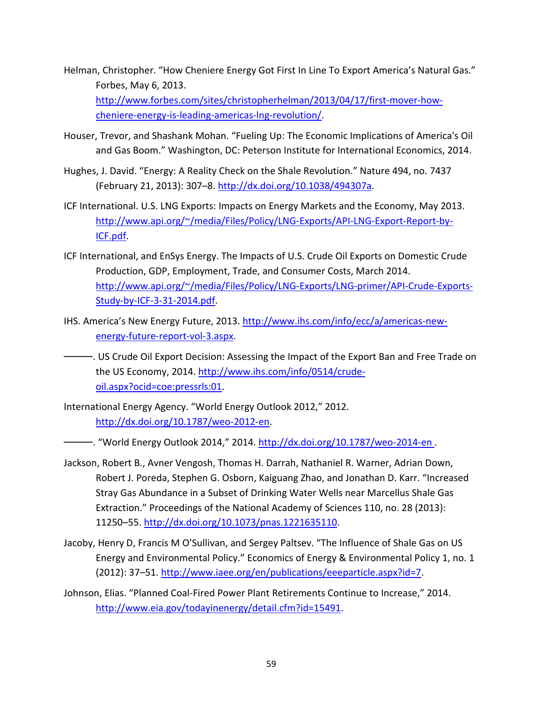Helman, Christopher. "How Cheniere Energy Got First In Line To Export America's Natural Gas." Forbes, May 6, 2013.

[http://www.forbes.com/sites/christopherhelman/2013/04/17/first-mover-how](http://www.forbes.com/sites/christopherhelman/2013/04/17/first-mover-how-cheniere-energy-is-leading-americas-lng-revolution/)[cheniere-energy-is-leading-americas-lng-revolution/.](http://www.forbes.com/sites/christopherhelman/2013/04/17/first-mover-how-cheniere-energy-is-leading-americas-lng-revolution/)

- Houser, Trevor, and Shashank Mohan. "Fueling Up: The Economic Implications of America's Oil and Gas Boom." Washington, DC: Peterson Institute for International Economics, 2014.
- Hughes, J. David. "Energy: A Reality Check on the Shale Revolution." Nature 494, no. 7437 (February 21, 2013): 307–8. [http://dx.doi.org/10.1038/494307a.](http://dx.doi.org/10.1038/494307a)
- ICF International. U.S. LNG Exports: Impacts on Energy Markets and the Economy, May 2013. [http://www.api.org/~/media/Files/Policy/LNG-Exports/API-LNG-Export-Report-by-](http://www.api.org/%7E/media/Files/Policy/LNG-Exports/API-LNG-Export-Report-by-ICF.pdf)[ICF.pdf.](http://www.api.org/%7E/media/Files/Policy/LNG-Exports/API-LNG-Export-Report-by-ICF.pdf)
- ICF International, and EnSys Energy. The Impacts of U.S. Crude Oil Exports on Domestic Crude Production, GDP, Employment, Trade, and Consumer Costs, March 2014. [http://www.api.org/~/media/Files/Policy/LNG-Exports/LNG-primer/API-Crude-Exports-](http://www.api.org/%7E/media/Files/Policy/LNG-Exports/LNG-primer/API-Crude-Exports-Study-by-ICF-3-31-2014.pdf)[Study-by-ICF-3-31-2014.pdf.](http://www.api.org/%7E/media/Files/Policy/LNG-Exports/LNG-primer/API-Crude-Exports-Study-by-ICF-3-31-2014.pdf)
- IHS. America's New Energy Future, 2013. [http://www.ihs.com/info/ecc/a/americas-new](http://www.ihs.com/info/ecc/a/americas-new-energy-future-report-vol-3.aspx)[energy-future-report-vol-3.aspx.](http://www.ihs.com/info/ecc/a/americas-new-energy-future-report-vol-3.aspx)
- ———. US Crude Oil Export Decision: Assessing the Impact of the Export Ban and Free Trade on the US Economy, 2014[. http://www.ihs.com/info/0514/crude](http://www.ihs.com/info/0514/crude-oil.aspx?ocid=coe:pressrls:01)[oil.aspx?ocid=coe:pressrls:01.](http://www.ihs.com/info/0514/crude-oil.aspx?ocid=coe:pressrls:01)
- International Energy Agency. "World Energy Outlook 2012," 2012. [http://dx.doi.org/10.1787/weo-2012-en.](http://dx.doi.org/10.1787/weo-2012-en)
- —. "World Energy Outlook 2014," 2014. <u>http://dx.doi.org/10.1787/weo-2014-en</u> .
- Jackson, Robert B., Avner Vengosh, Thomas H. Darrah, Nathaniel R. Warner, Adrian Down, Robert J. Poreda, Stephen G. Osborn, Kaiguang Zhao, and Jonathan D. Karr. "Increased Stray Gas Abundance in a Subset of Drinking Water Wells near Marcellus Shale Gas Extraction." Proceedings of the National Academy of Sciences 110, no. 28 (2013): 11250–55. [http://dx.doi.org/10.1073/pnas.1221635110.](http://dx.doi.org/10.1073/pnas.1221635110)
- Jacoby, Henry D, Francis M O'Sullivan, and Sergey Paltsev. "The Influence of Shale Gas on US Energy and Environmental Policy." Economics of Energy & Environmental Policy 1, no. 1 (2012): 37-51. [http://www.iaee.org/en/publications/eeeparticle.aspx?id=7.](http://www.iaee.org/en/publications/eeeparticle.aspx?id=7)
- Johnson, Elias. "Planned Coal-Fired Power Plant Retirements Continue to Increase," 2014. [http://www.eia.gov/todayinenergy/detail.cfm?id=15491.](http://www.eia.gov/todayinenergy/detail.cfm?id=15491)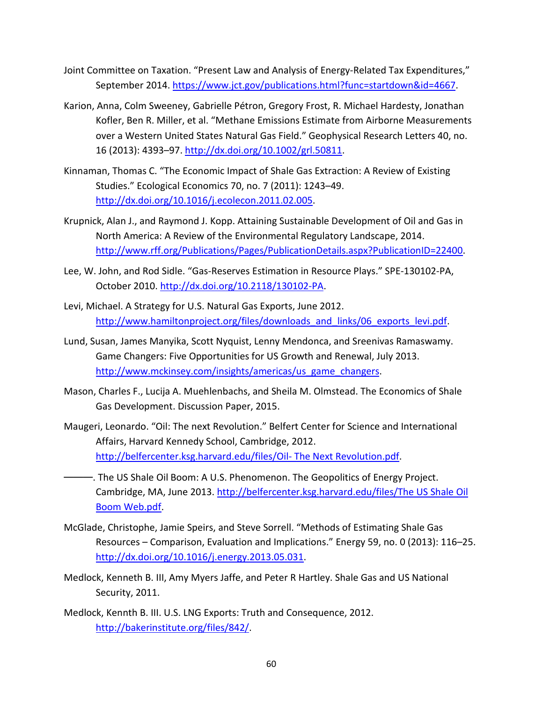- Joint Committee on Taxation. "Present Law and Analysis of Energy-Related Tax Expenditures," September 2014[. https://www.jct.gov/publications.html?func=startdown&id=4667.](https://www.jct.gov/publications.html?func=startdown&id=4667)
- Karion, Anna, Colm Sweeney, Gabrielle Pétron, Gregory Frost, R. Michael Hardesty, Jonathan Kofler, Ben R. Miller, et al. "Methane Emissions Estimate from Airborne Measurements over a Western United States Natural Gas Field." Geophysical Research Letters 40, no. 16 (2013): 4393–97[. http://dx.doi.org/10.1002/grl.50811.](http://dx.doi.org/10.1002/grl.50811)
- Kinnaman, Thomas C. "The Economic Impact of Shale Gas Extraction: A Review of Existing Studies." Ecological Economics 70, no. 7 (2011): 1243–49. [http://dx.doi.org/10.1016/j.ecolecon.2011.02.005.](http://dx.doi.org/10.1016/j.ecolecon.2011.02.005)
- Krupnick, Alan J., and Raymond J. Kopp. Attaining Sustainable Development of Oil and Gas in North America: A Review of the Environmental Regulatory Landscape, 2014. [http://www.rff.org/Publications/Pages/PublicationDetails.aspx?PublicationID=22400.](http://www.rff.org/Publications/Pages/PublicationDetails.aspx?PublicationID=22400)
- Lee, W. John, and Rod Sidle. "Gas-Reserves Estimation in Resource Plays." SPE-130102-PA, October 2010. [http://dx.doi.org/10.2118/130102-PA.](http://dx.doi.org/10.2118/130102-PA)
- Levi, Michael. A Strategy for U.S. Natural Gas Exports, June 2012. [http://www.hamiltonproject.org/files/downloads\\_and\\_links/06\\_exports\\_levi.pdf.](http://www.hamiltonproject.org/files/downloads_and_links/06_exports_levi.pdf)
- Lund, Susan, James Manyika, Scott Nyquist, Lenny Mendonca, and Sreenivas Ramaswamy. Game Changers: Five Opportunities for US Growth and Renewal, July 2013. [http://www.mckinsey.com/insights/americas/us\\_game\\_changers.](http://www.mckinsey.com/insights/americas/us_game_changers)
- Mason, Charles F., Lucija A. Muehlenbachs, and Sheila M. Olmstead. The Economics of Shale Gas Development. Discussion Paper, 2015.
- Maugeri, Leonardo. "Oil: The next Revolution." Belfert Center for Science and International Affairs, Harvard Kennedy School, Cambridge, 2012. [http://belfercenter.ksg.harvard.edu/files/Oil-](http://belfercenter.ksg.harvard.edu/files/Oil-%20The%20Next%20Revolution.pdf) The Next Revolution.pdf.

-. The US Shale Oil Boom: A U.S. Phenomenon. The Geopolitics of Energy Project. Cambridge, MA, June 2013. http://belfercenter.ksg.harvard.edu/files/The US Shale Oil [Boom Web.pdf.](http://belfercenter.ksg.harvard.edu/files/The%20US%20Shale%20Oil%20Boom%20Web.pdf)

- McGlade, Christophe, Jamie Speirs, and Steve Sorrell. "Methods of Estimating Shale Gas Resources – Comparison, Evaluation and Implications." Energy 59, no. 0 (2013): 116–25. [http://dx.doi.org/10.1016/j.energy.2013.05.031.](http://dx.doi.org/10.1016/j.energy.2013.05.031)
- Medlock, Kenneth B. III, Amy Myers Jaffe, and Peter R Hartley. Shale Gas and US National Security, 2011.
- Medlock, Kennth B. III. U.S. LNG Exports: Truth and Consequence, 2012. [http://bakerinstitute.org/files/842/.](http://bakerinstitute.org/files/842/)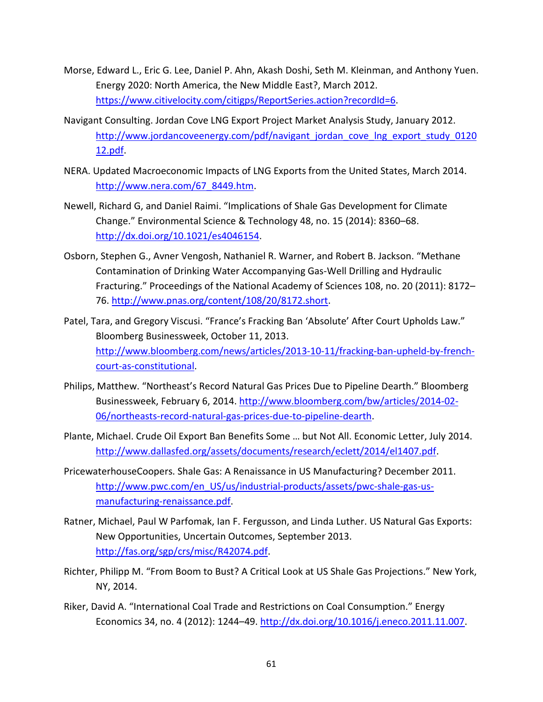- Morse, Edward L., Eric G. Lee, Daniel P. Ahn, Akash Doshi, Seth M. Kleinman, and Anthony Yuen. Energy 2020: North America, the New Middle East?, March 2012. [https://www.citivelocity.com/citigps/ReportSeries.action?recordId=6.](https://www.citivelocity.com/citigps/ReportSeries.action?recordId=6)
- Navigant Consulting. Jordan Cove LNG Export Project Market Analysis Study, January 2012. [http://www.jordancoveenergy.com/pdf/navigant\\_jordan\\_cove\\_lng\\_export\\_study\\_0120](http://www.jordancoveenergy.com/pdf/navigant_jordan_cove_lng_export_study_012012.pdf) [12.pdf.](http://www.jordancoveenergy.com/pdf/navigant_jordan_cove_lng_export_study_012012.pdf)
- NERA. Updated Macroeconomic Impacts of LNG Exports from the United States, March 2014. [http://www.nera.com/67\\_8449.htm.](http://www.nera.com/67_8449.htm)
- Newell, Richard G, and Daniel Raimi. "Implications of Shale Gas Development for Climate Change." Environmental Science & Technology 48, no. 15 (2014): 8360–68. [http://dx.doi.org/10.1021/es4046154.](http://dx.doi.org/10.1021/es4046154)
- Osborn, Stephen G., Avner Vengosh, Nathaniel R. Warner, and Robert B. Jackson. "Methane Contamination of Drinking Water Accompanying Gas-Well Drilling and Hydraulic Fracturing." Proceedings of the National Academy of Sciences 108, no. 20 (2011): 8172– 76. [http://www.pnas.org/content/108/20/8172.short.](http://www.pnas.org/content/108/20/8172.short)
- Patel, Tara, and Gregory Viscusi. "France's Fracking Ban 'Absolute' After Court Upholds Law." Bloomberg Businessweek, October 11, 2013. [http://www.bloomberg.com/news/articles/2013-10-11/fracking-ban-upheld-by-french](http://www.bloomberg.com/news/articles/2013-10-11/fracking-ban-upheld-by-french-court-as-constitutional)[court-as-constitutional.](http://www.bloomberg.com/news/articles/2013-10-11/fracking-ban-upheld-by-french-court-as-constitutional)
- Philips, Matthew. "Northeast's Record Natural Gas Prices Due to Pipeline Dearth." Bloomberg Businessweek, February 6, 2014. [http://www.bloomberg.com/bw/articles/2014-02-](http://www.bloomberg.com/bw/articles/2014-02-06/northeasts-record-natural-gas-prices-due-to-pipeline-dearth) [06/northeasts-record-natural-gas-prices-due-to-pipeline-dearth.](http://www.bloomberg.com/bw/articles/2014-02-06/northeasts-record-natural-gas-prices-due-to-pipeline-dearth)
- Plante, Michael. Crude Oil Export Ban Benefits Some … but Not All. Economic Letter, July 2014. [http://www.dallasfed.org/assets/documents/research/eclett/2014/el1407.pdf.](http://www.dallasfed.org/assets/documents/research/eclett/2014/el1407.pdf)
- PricewaterhouseCoopers. Shale Gas: A Renaissance in US Manufacturing? December 2011. [http://www.pwc.com/en\\_US/us/industrial-products/assets/pwc-shale-gas-us](http://www.pwc.com/en_US/us/industrial-products/assets/pwc-shale-gas-us-manufacturing-renaissance.pdf)[manufacturing-renaissance.pdf.](http://www.pwc.com/en_US/us/industrial-products/assets/pwc-shale-gas-us-manufacturing-renaissance.pdf)
- Ratner, Michael, Paul W Parfomak, Ian F. Fergusson, and Linda Luther. US Natural Gas Exports: New Opportunities, Uncertain Outcomes, September 2013. [http://fas.org/sgp/crs/misc/R42074.pdf.](http://fas.org/sgp/crs/misc/R42074.pdf)
- Richter, Philipp M. "From Boom to Bust? A Critical Look at US Shale Gas Projections." New York, NY, 2014.
- Riker, David A. "International Coal Trade and Restrictions on Coal Consumption." Energy Economics 34, no. 4 (2012): 1244–49. [http://dx.doi.org/10.1016/j.eneco.2011.11.007.](http://dx.doi.org/10.1016/j.eneco.2011.11.007)